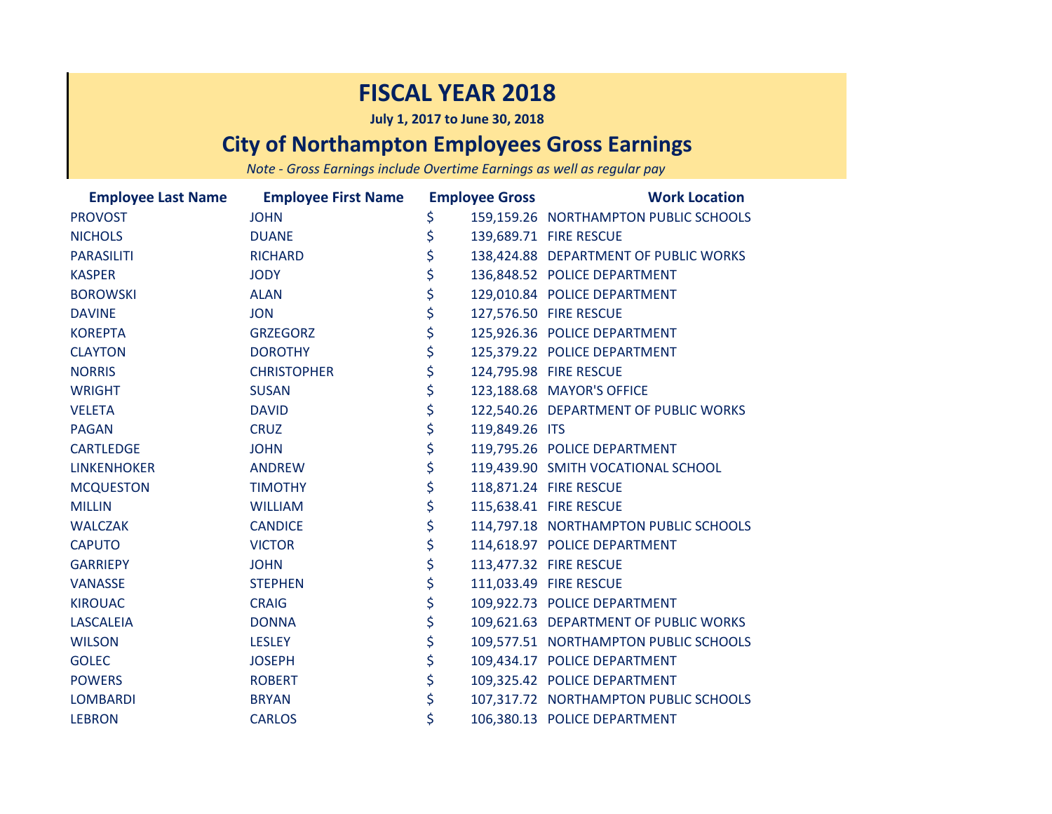## **FISCAL YEAR 2018**

**July 1, 2017 to June 30, 2018**

## **City of Northampton Employees Gross Earnings**

*Note - Gross Earnings include Overtime Earnings as well as regular pay*

|                   | <b>Employee Last Name Employee First Name</b> |                      | <b>Employee Gross</b><br><b>Work Location</b> |
|-------------------|-----------------------------------------------|----------------------|-----------------------------------------------|
| <b>PROVOST</b>    | <b>JOHN</b>                                   | \$                   | 159,159.26 NORTHAMPTON PUBLIC SCHOOLS         |
| <b>NICHOLS</b>    | <b>DUANE</b>                                  | \$                   | 139,689.71 FIRE RESCUE                        |
| <b>PARASILITI</b> | <b>RICHARD</b>                                | \$                   | 138,424.88 DEPARTMENT OF PUBLIC WORKS         |
| <b>KASPER</b>     | <b>JODY</b>                                   | \$                   | 136,848.52 POLICE DEPARTMENT                  |
| <b>BOROWSKI</b>   | <b>ALAN</b>                                   | \$                   | 129,010.84 POLICE DEPARTMENT                  |
| <b>DAVINE</b>     | <b>JON</b>                                    | \$                   | 127,576.50 FIRE RESCUE                        |
| <b>KOREPTA</b>    | <b>GRZEGORZ</b>                               | \$                   | 125,926.36 POLICE DEPARTMENT                  |
| <b>CLAYTON</b>    | <b>DOROTHY</b>                                | \$                   | 125,379.22 POLICE DEPARTMENT                  |
| <b>NORRIS</b>     | <b>CHRISTOPHER</b>                            | \$                   | 124,795.98 FIRE RESCUE                        |
| <b>WRIGHT</b>     | <b>SUSAN</b>                                  | \$                   | 123,188.68 MAYOR'S OFFICE                     |
| <b>VELETA</b>     | <b>DAVID</b>                                  | \$                   | 122,540.26 DEPARTMENT OF PUBLIC WORKS         |
| <b>PAGAN</b>      | <b>CRUZ</b>                                   | \$<br>119,849.26 ITS |                                               |
| <b>CARTLEDGE</b>  | <b>JOHN</b>                                   | \$                   | 119,795.26 POLICE DEPARTMENT                  |
| LINKENHOKER       | <b>ANDREW</b>                                 | \$                   | 119,439.90 SMITH VOCATIONAL SCHOOL            |
| <b>MCQUESTON</b>  | <b>TIMOTHY</b>                                | \$                   | 118,871.24 FIRE RESCUE                        |
| <b>MILLIN</b>     | <b>WILLIAM</b>                                | \$                   | 115,638.41 FIRE RESCUE                        |
| <b>WALCZAK</b>    | <b>CANDICE</b>                                | \$                   | 114,797.18 NORTHAMPTON PUBLIC SCHOOLS         |
| <b>CAPUTO</b>     | <b>VICTOR</b>                                 | \$                   | 114,618.97 POLICE DEPARTMENT                  |
| <b>GARRIEPY</b>   | <b>JOHN</b>                                   | \$                   | 113,477.32 FIRE RESCUE                        |
| <b>VANASSE</b>    | <b>STEPHEN</b>                                | \$                   | 111,033.49 FIRE RESCUE                        |
| <b>KIROUAC</b>    | <b>CRAIG</b>                                  | \$                   | 109,922.73 POLICE DEPARTMENT                  |
| <b>LASCALEIA</b>  | <b>DONNA</b>                                  | \$                   | 109,621.63 DEPARTMENT OF PUBLIC WORKS         |
| <b>WILSON</b>     | <b>LESLEY</b>                                 | \$                   | 109,577.51 NORTHAMPTON PUBLIC SCHOOLS         |
| <b>GOLEC</b>      | <b>JOSEPH</b>                                 | \$                   | 109,434.17 POLICE DEPARTMENT                  |
| <b>POWERS</b>     | <b>ROBERT</b>                                 | \$                   | 109,325.42 POLICE DEPARTMENT                  |
| LOMBARDI          | <b>BRYAN</b>                                  | \$                   | 107,317.72 NORTHAMPTON PUBLIC SCHOOLS         |
| <b>LEBRON</b>     | <b>CARLOS</b>                                 | \$                   | 106,380.13 POLICE DEPARTMENT                  |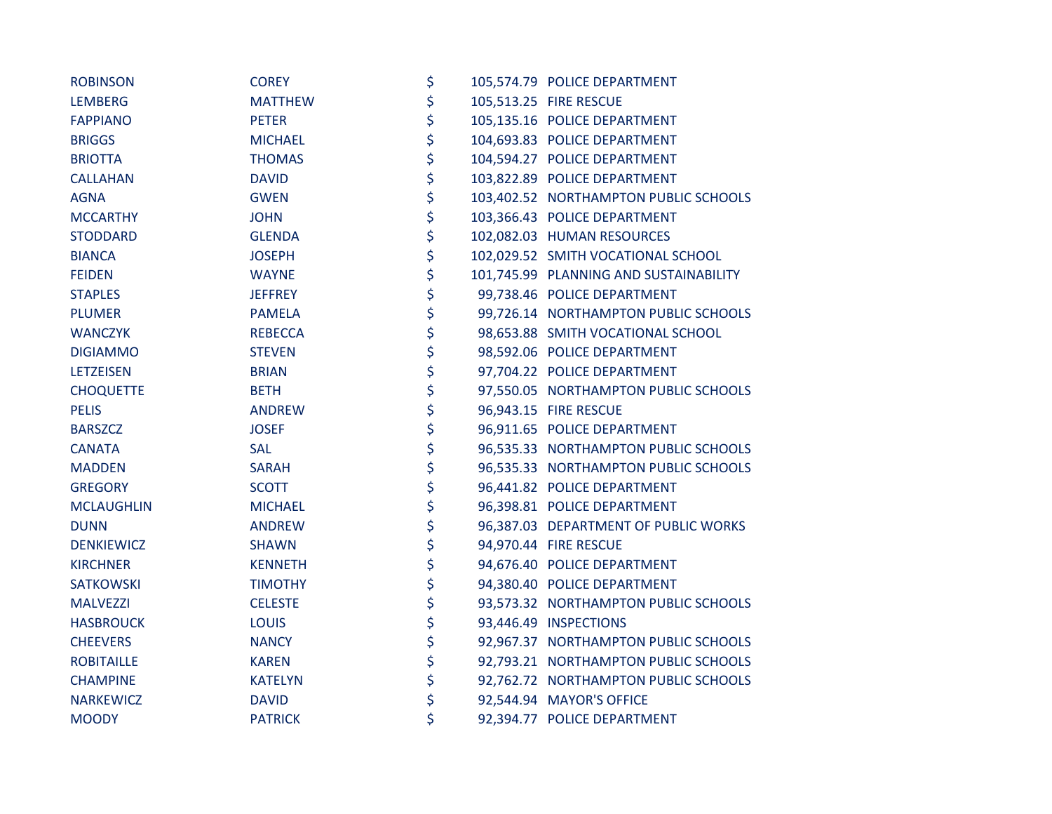| <b>ROBINSON</b>   | <b>COREY</b>   | \$ | 105,574.79 POLICE DEPARTMENT           |
|-------------------|----------------|----|----------------------------------------|
| <b>LEMBERG</b>    | <b>MATTHEW</b> | \$ | 105,513.25 FIRE RESCUE                 |
| <b>FAPPIANO</b>   | <b>PETER</b>   | \$ | 105,135.16 POLICE DEPARTMENT           |
| <b>BRIGGS</b>     | <b>MICHAEL</b> | \$ | 104,693.83 POLICE DEPARTMENT           |
| <b>BRIOTTA</b>    | <b>THOMAS</b>  | \$ | 104,594.27 POLICE DEPARTMENT           |
| <b>CALLAHAN</b>   | <b>DAVID</b>   | \$ | 103,822.89 POLICE DEPARTMENT           |
| <b>AGNA</b>       | <b>GWEN</b>    | \$ | 103,402.52 NORTHAMPTON PUBLIC SCHOOLS  |
| <b>MCCARTHY</b>   | <b>JOHN</b>    | \$ | 103,366.43 POLICE DEPARTMENT           |
| <b>STODDARD</b>   | <b>GLENDA</b>  | \$ | 102,082.03 HUMAN RESOURCES             |
| <b>BIANCA</b>     | <b>JOSEPH</b>  | \$ | 102,029.52 SMITH VOCATIONAL SCHOOL     |
| <b>FEIDEN</b>     | <b>WAYNE</b>   | \$ | 101,745.99 PLANNING AND SUSTAINABILITY |
| <b>STAPLES</b>    | <b>JEFFREY</b> | \$ | 99,738.46 POLICE DEPARTMENT            |
| <b>PLUMER</b>     | <b>PAMELA</b>  | \$ | 99,726.14 NORTHAMPTON PUBLIC SCHOOLS   |
| <b>WANCZYK</b>    | <b>REBECCA</b> | \$ | 98,653.88 SMITH VOCATIONAL SCHOOL      |
| <b>DIGIAMMO</b>   | <b>STEVEN</b>  | \$ | 98,592.06 POLICE DEPARTMENT            |
| <b>LETZEISEN</b>  | <b>BRIAN</b>   | \$ | 97,704.22 POLICE DEPARTMENT            |
| <b>CHOQUETTE</b>  | <b>BETH</b>    | \$ | 97,550.05 NORTHAMPTON PUBLIC SCHOOLS   |
| <b>PELIS</b>      | <b>ANDREW</b>  | \$ | 96,943.15 FIRE RESCUE                  |
| <b>BARSZCZ</b>    | <b>JOSEF</b>   | \$ | 96,911.65 POLICE DEPARTMENT            |
| <b>CANATA</b>     | <b>SAL</b>     | \$ | 96,535.33 NORTHAMPTON PUBLIC SCHOOLS   |
| <b>MADDEN</b>     | <b>SARAH</b>   | \$ | 96,535.33 NORTHAMPTON PUBLIC SCHOOLS   |
| <b>GREGORY</b>    | <b>SCOTT</b>   | \$ | 96,441.82 POLICE DEPARTMENT            |
| <b>MCLAUGHLIN</b> | <b>MICHAEL</b> | \$ | 96,398.81 POLICE DEPARTMENT            |
| <b>DUNN</b>       | <b>ANDREW</b>  | \$ | 96,387.03 DEPARTMENT OF PUBLIC WORKS   |
| <b>DENKIEWICZ</b> | <b>SHAWN</b>   | \$ | 94,970.44 FIRE RESCUE                  |
| <b>KIRCHNER</b>   | <b>KENNETH</b> | \$ | 94,676.40 POLICE DEPARTMENT            |
| SATKOWSKI         | <b>TIMOTHY</b> | \$ | 94,380.40 POLICE DEPARTMENT            |
| <b>MALVEZZI</b>   | <b>CELESTE</b> | \$ | 93,573.32 NORTHAMPTON PUBLIC SCHOOLS   |
| <b>HASBROUCK</b>  | <b>LOUIS</b>   | \$ | 93,446.49 INSPECTIONS                  |
| <b>CHEEVERS</b>   | <b>NANCY</b>   | \$ | 92,967.37 NORTHAMPTON PUBLIC SCHOOLS   |
| <b>ROBITAILLE</b> | <b>KAREN</b>   | \$ | 92,793.21 NORTHAMPTON PUBLIC SCHOOLS   |
| <b>CHAMPINE</b>   | <b>KATELYN</b> | \$ | 92,762.72 NORTHAMPTON PUBLIC SCHOOLS   |
| <b>NARKEWICZ</b>  | <b>DAVID</b>   | \$ | 92,544.94 MAYOR'S OFFICE               |
| <b>MOODY</b>      | <b>PATRICK</b> | \$ | 92,394.77 POLICE DEPARTMENT            |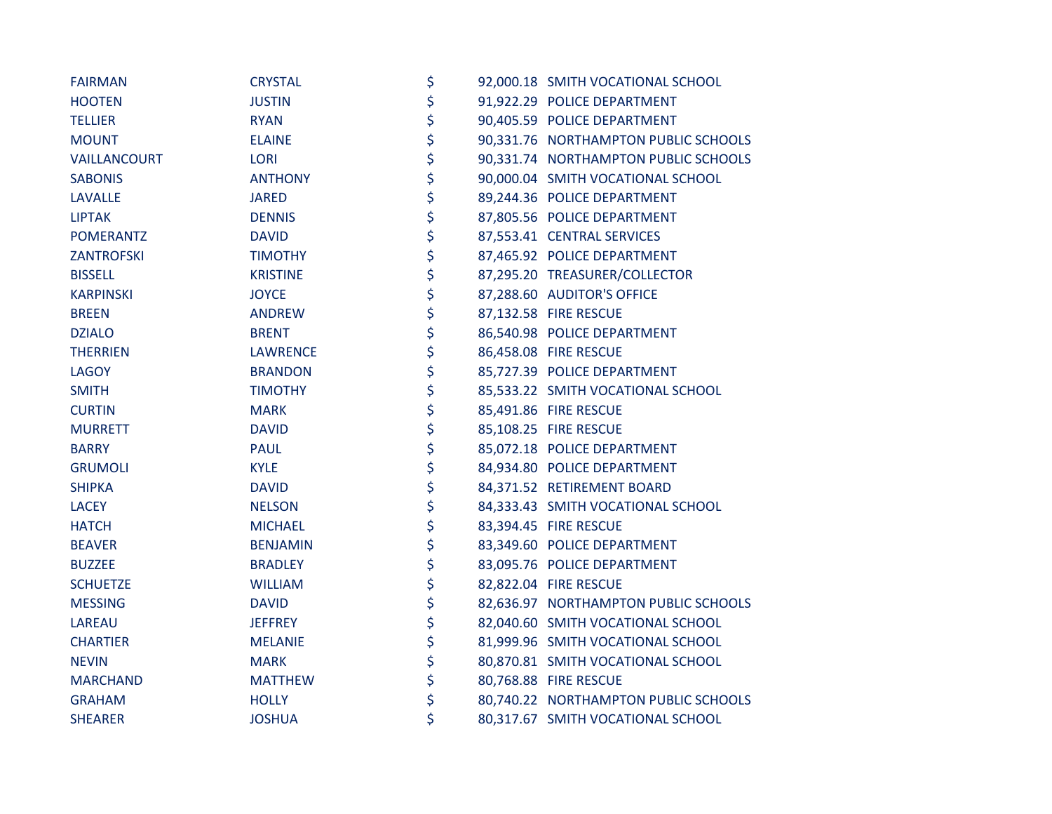| <b>FAIRMAN</b>    | <b>CRYSTAL</b>  | \$ | 92,000.18 SMITH VOCATIONAL SCHOOL    |
|-------------------|-----------------|----|--------------------------------------|
| <b>HOOTEN</b>     | <b>JUSTIN</b>   | \$ | 91,922.29 POLICE DEPARTMENT          |
| <b>TELLIER</b>    | <b>RYAN</b>     | \$ | 90,405.59 POLICE DEPARTMENT          |
| <b>MOUNT</b>      | <b>ELAINE</b>   | \$ | 90,331.76 NORTHAMPTON PUBLIC SCHOOLS |
| VAILLANCOURT      | <b>LORI</b>     | \$ | 90,331.74 NORTHAMPTON PUBLIC SCHOOLS |
| <b>SABONIS</b>    | <b>ANTHONY</b>  | \$ | 90,000.04 SMITH VOCATIONAL SCHOOL    |
| <b>LAVALLE</b>    | <b>JARED</b>    | \$ | 89,244.36 POLICE DEPARTMENT          |
| <b>LIPTAK</b>     | <b>DENNIS</b>   | \$ | 87,805.56 POLICE DEPARTMENT          |
| POMERANTZ         | <b>DAVID</b>    | \$ | 87,553.41 CENTRAL SERVICES           |
| <b>ZANTROFSKI</b> | <b>TIMOTHY</b>  | \$ | 87,465.92 POLICE DEPARTMENT          |
| <b>BISSELL</b>    | <b>KRISTINE</b> | \$ | 87,295.20 TREASURER/COLLECTOR        |
| KARPINSKI         | <b>JOYCE</b>    | \$ | 87,288.60 AUDITOR'S OFFICE           |
| <b>BREEN</b>      | ANDREW          | \$ | 87,132.58 FIRE RESCUE                |
| <b>DZIALO</b>     | <b>BRENT</b>    | \$ | 86,540.98 POLICE DEPARTMENT          |
| <b>THERRIEN</b>   | <b>LAWRENCE</b> | \$ | 86,458.08 FIRE RESCUE                |
| <b>LAGOY</b>      | <b>BRANDON</b>  | \$ | 85,727.39 POLICE DEPARTMENT          |
| <b>SMITH</b>      | <b>TIMOTHY</b>  | \$ | 85,533.22 SMITH VOCATIONAL SCHOOL    |
| <b>CURTIN</b>     | <b>MARK</b>     | \$ | 85,491.86 FIRE RESCUE                |
| <b>MURRETT</b>    | <b>DAVID</b>    | \$ | 85,108.25 FIRE RESCUE                |
| <b>BARRY</b>      | <b>PAUL</b>     | \$ | 85,072.18 POLICE DEPARTMENT          |
| <b>GRUMOLI</b>    | <b>KYLE</b>     | \$ | 84,934.80 POLICE DEPARTMENT          |
| <b>SHIPKA</b>     | <b>DAVID</b>    | \$ | 84,371.52 RETIREMENT BOARD           |
| <b>LACEY</b>      | <b>NELSON</b>   | \$ | 84,333.43 SMITH VOCATIONAL SCHOOL    |
| <b>HATCH</b>      | <b>MICHAEL</b>  | \$ | 83,394.45 FIRE RESCUE                |
| <b>BEAVER</b>     | <b>BENJAMIN</b> | \$ | 83,349.60 POLICE DEPARTMENT          |
| <b>BUZZEE</b>     | <b>BRADLEY</b>  | \$ | 83,095.76 POLICE DEPARTMENT          |
| <b>SCHUETZE</b>   | <b>WILLIAM</b>  | \$ | 82,822.04 FIRE RESCUE                |
| <b>MESSING</b>    | <b>DAVID</b>    | \$ | 82,636.97 NORTHAMPTON PUBLIC SCHOOLS |
| LAREAU            | <b>JEFFREY</b>  | \$ | 82,040.60 SMITH VOCATIONAL SCHOOL    |
| <b>CHARTIER</b>   | <b>MELANIE</b>  | \$ | 81,999.96 SMITH VOCATIONAL SCHOOL    |
| <b>NEVIN</b>      | <b>MARK</b>     | \$ | 80,870.81 SMITH VOCATIONAL SCHOOL    |
| <b>MARCHAND</b>   | <b>MATTHEW</b>  | \$ | 80,768.88 FIRE RESCUE                |
| <b>GRAHAM</b>     | <b>HOLLY</b>    | \$ | 80,740.22 NORTHAMPTON PUBLIC SCHOOLS |
| <b>SHEARER</b>    | <b>JOSHUA</b>   | \$ | 80,317.67 SMITH VOCATIONAL SCHOOL    |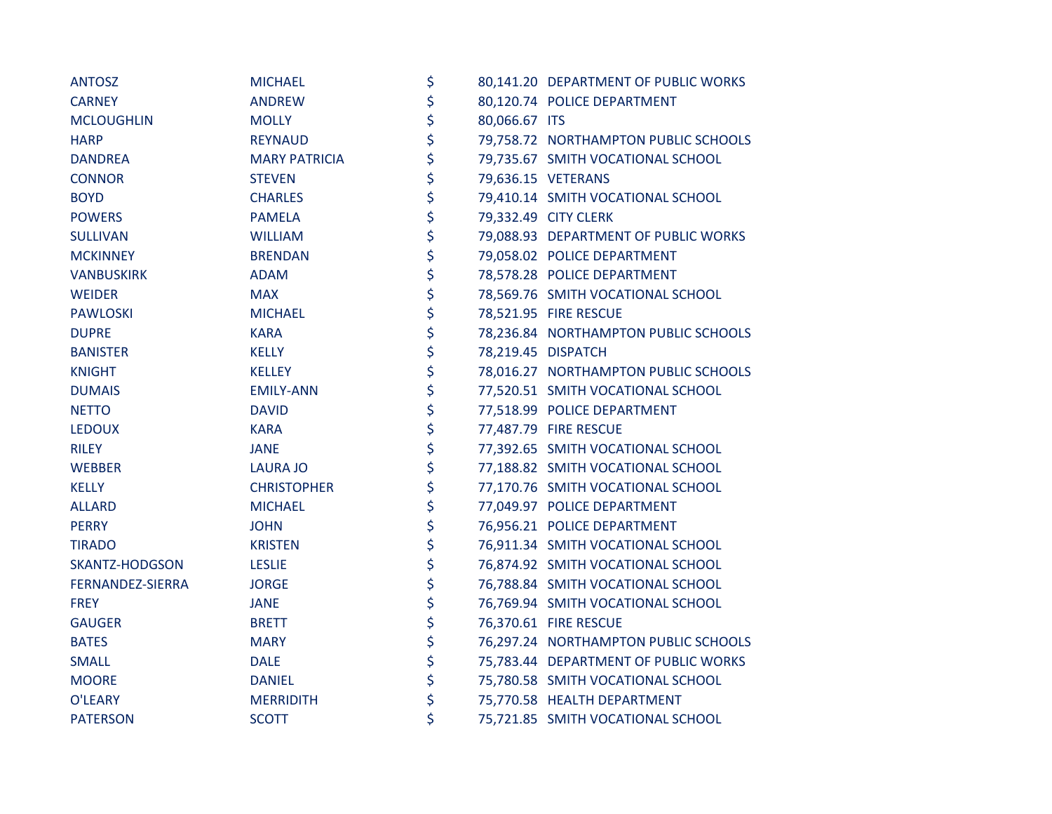| <b>ANTOSZ</b>     | <b>MICHAEL</b>       | \$                  | 80,141.20 DEPARTMENT OF PUBLIC WORKS |
|-------------------|----------------------|---------------------|--------------------------------------|
| <b>CARNEY</b>     | <b>ANDREW</b>        | \$                  | 80,120.74 POLICE DEPARTMENT          |
| <b>MCLOUGHLIN</b> | <b>MOLLY</b>         | \$<br>80,066.67 ITS |                                      |
| <b>HARP</b>       | <b>REYNAUD</b>       | \$                  | 79,758.72 NORTHAMPTON PUBLIC SCHOOLS |
| <b>DANDREA</b>    | <b>MARY PATRICIA</b> | \$                  | 79,735.67 SMITH VOCATIONAL SCHOOL    |
| <b>CONNOR</b>     | <b>STEVEN</b>        | \$                  | 79,636.15 VETERANS                   |
| <b>BOYD</b>       | <b>CHARLES</b>       | \$                  | 79,410.14 SMITH VOCATIONAL SCHOOL    |
| <b>POWERS</b>     | <b>PAMELA</b>        | \$                  | 79,332.49 CITY CLERK                 |
| <b>SULLIVAN</b>   | <b>WILLIAM</b>       | \$                  | 79,088.93 DEPARTMENT OF PUBLIC WORKS |
| <b>MCKINNEY</b>   | <b>BRENDAN</b>       | \$                  | 79,058.02 POLICE DEPARTMENT          |
| VANBUSKIRK        | <b>ADAM</b>          | \$                  | 78,578.28 POLICE DEPARTMENT          |
| <b>WEIDER</b>     | <b>MAX</b>           | \$                  | 78,569.76 SMITH VOCATIONAL SCHOOL    |
| <b>PAWLOSKI</b>   | <b>MICHAEL</b>       | \$                  | 78,521.95 FIRE RESCUE                |
| <b>DUPRE</b>      | <b>KARA</b>          | \$                  | 78,236.84 NORTHAMPTON PUBLIC SCHOOLS |
| <b>BANISTER</b>   | <b>KELLY</b>         | \$                  | 78,219.45 DISPATCH                   |
| <b>KNIGHT</b>     | <b>KELLEY</b>        | \$                  | 78,016.27 NORTHAMPTON PUBLIC SCHOOLS |
| <b>DUMAIS</b>     | <b>EMILY-ANN</b>     | \$                  | 77,520.51 SMITH VOCATIONAL SCHOOL    |
| <b>NETTO</b>      | <b>DAVID</b>         | \$                  | 77,518.99 POLICE DEPARTMENT          |
| <b>LEDOUX</b>     | <b>KARA</b>          | \$                  | 77,487.79 FIRE RESCUE                |
| <b>RILEY</b>      | <b>JANE</b>          | \$                  | 77,392.65 SMITH VOCATIONAL SCHOOL    |
| <b>WEBBER</b>     | <b>LAURA JO</b>      | \$                  | 77,188.82 SMITH VOCATIONAL SCHOOL    |
| <b>KELLY</b>      | <b>CHRISTOPHER</b>   | \$                  | 77,170.76 SMITH VOCATIONAL SCHOOL    |
| <b>ALLARD</b>     | <b>MICHAEL</b>       | \$                  | 77,049.97 POLICE DEPARTMENT          |
| <b>PERRY</b>      | <b>JOHN</b>          | \$                  | 76,956.21 POLICE DEPARTMENT          |
| <b>TIRADO</b>     | <b>KRISTEN</b>       | \$                  | 76,911.34 SMITH VOCATIONAL SCHOOL    |
| SKANTZ-HODGSON    | <b>LESLIE</b>        | \$                  | 76,874.92 SMITH VOCATIONAL SCHOOL    |
| FERNANDEZ-SIERRA  | <b>JORGE</b>         | \$                  | 76,788.84 SMITH VOCATIONAL SCHOOL    |
| <b>FREY</b>       | <b>JANE</b>          | \$                  | 76,769.94 SMITH VOCATIONAL SCHOOL    |
| <b>GAUGER</b>     | <b>BRETT</b>         | \$                  | 76,370.61 FIRE RESCUE                |
| <b>BATES</b>      | <b>MARY</b>          | \$                  | 76,297.24 NORTHAMPTON PUBLIC SCHOOLS |
| <b>SMALL</b>      | <b>DALE</b>          | \$                  | 75,783.44 DEPARTMENT OF PUBLIC WORKS |
| <b>MOORE</b>      | <b>DANIEL</b>        | \$                  | 75,780.58 SMITH VOCATIONAL SCHOOL    |
| O'LEARY           | <b>MERRIDITH</b>     | \$                  | 75,770.58 HEALTH DEPARTMENT          |
| <b>PATERSON</b>   | <b>SCOTT</b>         | \$                  | 75,721.85 SMITH VOCATIONAL SCHOOL    |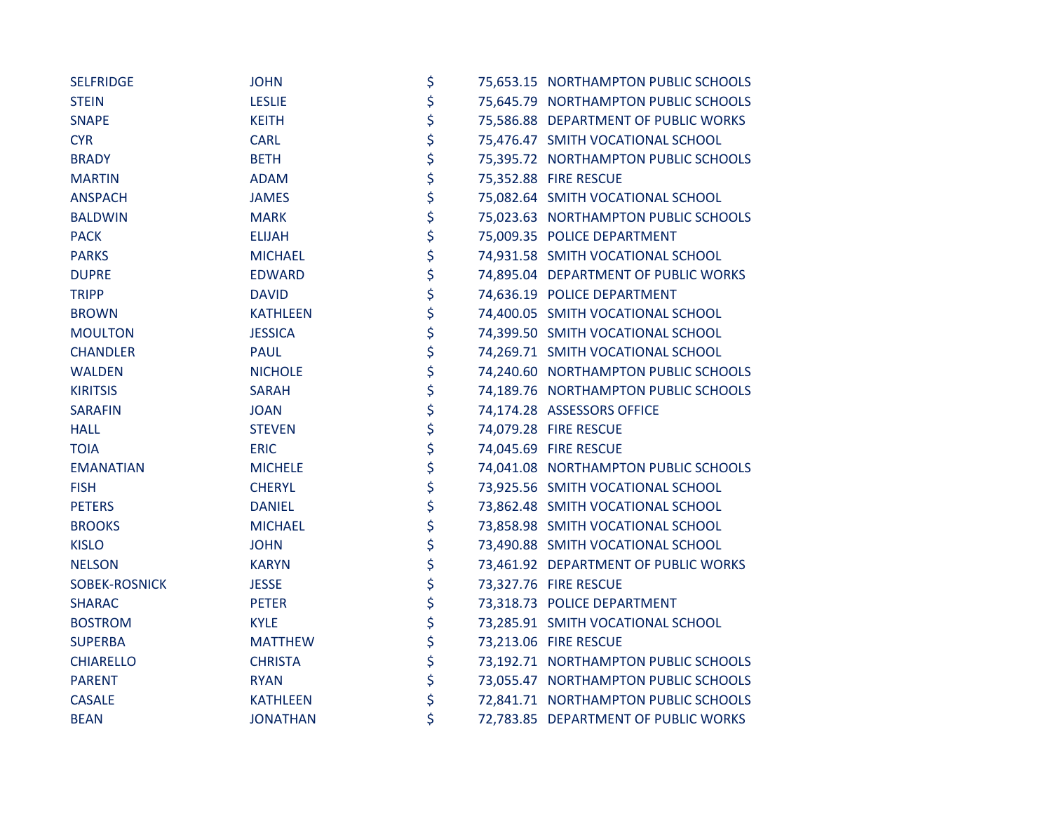| <b>SELFRIDGE</b>     | <b>JOHN</b>     | \$ | 75,653.15 NORTHAMPTON PUBLIC SCHOOLS |
|----------------------|-----------------|----|--------------------------------------|
| <b>STEIN</b>         | <b>LESLIE</b>   | \$ | 75,645.79 NORTHAMPTON PUBLIC SCHOOLS |
| <b>SNAPE</b>         | <b>KEITH</b>    | \$ | 75,586.88 DEPARTMENT OF PUBLIC WORKS |
| <b>CYR</b>           | <b>CARL</b>     | \$ | 75,476.47 SMITH VOCATIONAL SCHOOL    |
| <b>BRADY</b>         | <b>BETH</b>     | \$ | 75,395.72 NORTHAMPTON PUBLIC SCHOOLS |
| <b>MARTIN</b>        | <b>ADAM</b>     | \$ | 75,352.88 FIRE RESCUE                |
| <b>ANSPACH</b>       | <b>JAMES</b>    | \$ | 75,082.64 SMITH VOCATIONAL SCHOOL    |
| <b>BALDWIN</b>       | <b>MARK</b>     | \$ | 75,023.63 NORTHAMPTON PUBLIC SCHOOLS |
| <b>PACK</b>          | <b>ELIJAH</b>   | \$ | 75,009.35 POLICE DEPARTMENT          |
| <b>PARKS</b>         | <b>MICHAEL</b>  | \$ | 74,931.58 SMITH VOCATIONAL SCHOOL    |
| <b>DUPRE</b>         | <b>EDWARD</b>   | \$ | 74,895.04 DEPARTMENT OF PUBLIC WORKS |
| <b>TRIPP</b>         | <b>DAVID</b>    | \$ | 74,636.19 POLICE DEPARTMENT          |
| <b>BROWN</b>         | <b>KATHLEEN</b> | \$ | 74,400.05 SMITH VOCATIONAL SCHOOL    |
| <b>MOULTON</b>       | <b>JESSICA</b>  | \$ | 74,399.50 SMITH VOCATIONAL SCHOOL    |
| <b>CHANDLER</b>      | <b>PAUL</b>     | \$ | 74,269.71 SMITH VOCATIONAL SCHOOL    |
| <b>WALDEN</b>        | <b>NICHOLE</b>  | \$ | 74,240.60 NORTHAMPTON PUBLIC SCHOOLS |
| <b>KIRITSIS</b>      | <b>SARAH</b>    | \$ | 74,189.76 NORTHAMPTON PUBLIC SCHOOLS |
| <b>SARAFIN</b>       | <b>JOAN</b>     | \$ | 74,174.28 ASSESSORS OFFICE           |
| <b>HALL</b>          | <b>STEVEN</b>   | \$ | 74,079.28 FIRE RESCUE                |
| <b>TOIA</b>          | <b>ERIC</b>     | \$ | 74,045.69 FIRE RESCUE                |
| <b>EMANATIAN</b>     | <b>MICHELE</b>  | \$ | 74,041.08 NORTHAMPTON PUBLIC SCHOOLS |
| <b>FISH</b>          | <b>CHERYL</b>   | \$ | 73,925.56 SMITH VOCATIONAL SCHOOL    |
| <b>PETERS</b>        | <b>DANIEL</b>   | \$ | 73,862.48 SMITH VOCATIONAL SCHOOL    |
| <b>BROOKS</b>        | <b>MICHAEL</b>  | \$ | 73,858.98 SMITH VOCATIONAL SCHOOL    |
| <b>KISLO</b>         | <b>JOHN</b>     | \$ | 73,490.88 SMITH VOCATIONAL SCHOOL    |
| <b>NELSON</b>        | <b>KARYN</b>    | \$ | 73,461.92 DEPARTMENT OF PUBLIC WORKS |
| <b>SOBEK-ROSNICK</b> | <b>JESSE</b>    | \$ | 73,327.76 FIRE RESCUE                |
| <b>SHARAC</b>        | <b>PETER</b>    | \$ | 73,318.73 POLICE DEPARTMENT          |
| <b>BOSTROM</b>       | <b>KYLE</b>     | \$ | 73,285.91 SMITH VOCATIONAL SCHOOL    |
| <b>SUPERBA</b>       | <b>MATTHEW</b>  | \$ | 73,213.06 FIRE RESCUE                |
| <b>CHIARELLO</b>     | <b>CHRISTA</b>  | \$ | 73,192.71 NORTHAMPTON PUBLIC SCHOOLS |
| <b>PARENT</b>        | <b>RYAN</b>     | \$ | 73,055.47 NORTHAMPTON PUBLIC SCHOOLS |
| <b>CASALE</b>        | <b>KATHLEEN</b> | \$ | 72,841.71 NORTHAMPTON PUBLIC SCHOOLS |
| <b>BEAN</b>          | <b>JONATHAN</b> | \$ | 72,783.85 DEPARTMENT OF PUBLIC WORKS |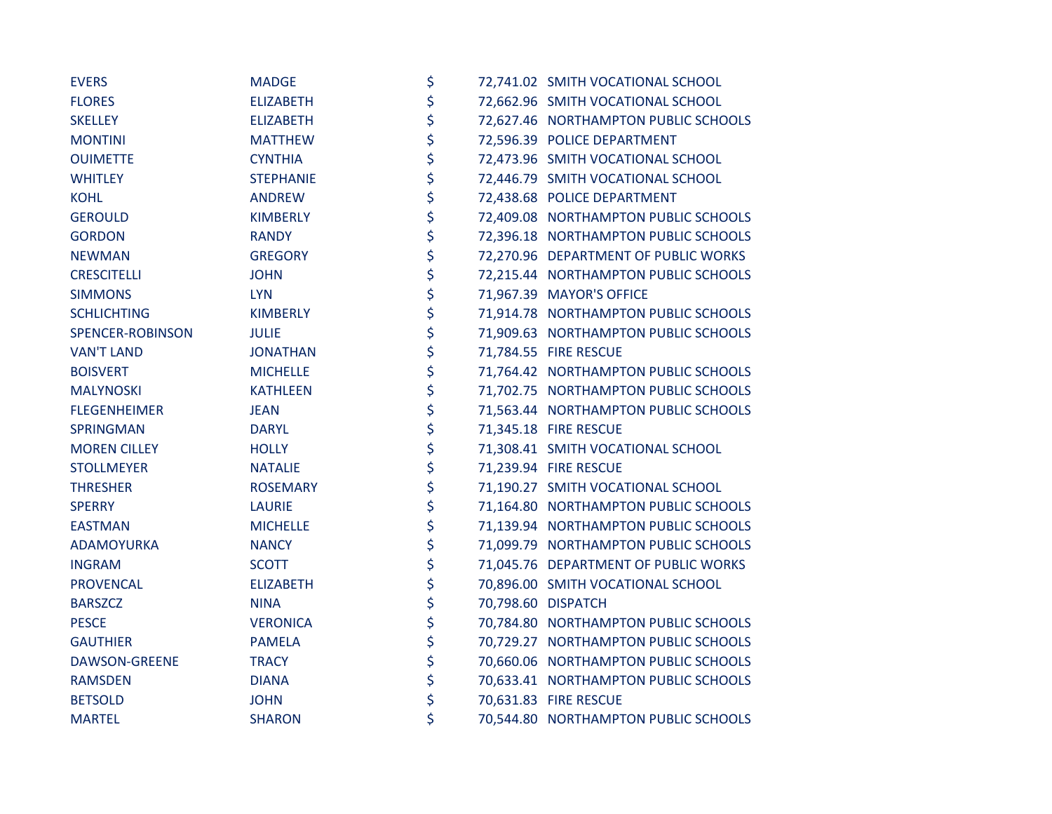| <b>EVERS</b>        | <b>MADGE</b>     | \$ | 72,741.02 SMITH VOCATIONAL SCHOOL    |
|---------------------|------------------|----|--------------------------------------|
| <b>FLORES</b>       | <b>ELIZABETH</b> | \$ | 72,662.96 SMITH VOCATIONAL SCHOOL    |
| <b>SKELLEY</b>      | <b>ELIZABETH</b> | \$ | 72,627.46 NORTHAMPTON PUBLIC SCHOOLS |
| <b>MONTINI</b>      | <b>MATTHEW</b>   | \$ | 72,596.39 POLICE DEPARTMENT          |
| <b>OUIMETTE</b>     | <b>CYNTHIA</b>   | \$ | 72,473.96 SMITH VOCATIONAL SCHOOL    |
| <b>WHITLEY</b>      | <b>STEPHANIE</b> | \$ | 72,446.79 SMITH VOCATIONAL SCHOOL    |
| <b>KOHL</b>         | <b>ANDREW</b>    | \$ | 72,438.68 POLICE DEPARTMENT          |
| <b>GEROULD</b>      | <b>KIMBERLY</b>  | \$ | 72,409.08 NORTHAMPTON PUBLIC SCHOOLS |
| <b>GORDON</b>       | <b>RANDY</b>     | \$ | 72,396.18 NORTHAMPTON PUBLIC SCHOOLS |
| <b>NEWMAN</b>       | <b>GREGORY</b>   | \$ | 72,270.96 DEPARTMENT OF PUBLIC WORKS |
| <b>CRESCITELLI</b>  | <b>JOHN</b>      | \$ | 72,215.44 NORTHAMPTON PUBLIC SCHOOLS |
| <b>SIMMONS</b>      | <b>LYN</b>       | \$ | 71,967.39 MAYOR'S OFFICE             |
| <b>SCHLICHTING</b>  | <b>KIMBERLY</b>  | \$ | 71,914.78 NORTHAMPTON PUBLIC SCHOOLS |
| SPENCER-ROBINSON    | <b>JULIE</b>     | \$ | 71,909.63 NORTHAMPTON PUBLIC SCHOOLS |
| <b>VAN'T LAND</b>   | <b>JONATHAN</b>  | \$ | 71,784.55 FIRE RESCUE                |
| <b>BOISVERT</b>     | <b>MICHELLE</b>  | \$ | 71,764.42 NORTHAMPTON PUBLIC SCHOOLS |
| <b>MALYNOSKI</b>    | <b>KATHLEEN</b>  | \$ | 71,702.75 NORTHAMPTON PUBLIC SCHOOLS |
| <b>FLEGENHEIMER</b> | <b>JEAN</b>      | \$ | 71,563.44 NORTHAMPTON PUBLIC SCHOOLS |
| <b>SPRINGMAN</b>    | <b>DARYL</b>     | \$ | 71,345.18 FIRE RESCUE                |
| <b>MOREN CILLEY</b> | <b>HOLLY</b>     | \$ | 71,308.41 SMITH VOCATIONAL SCHOOL    |
| <b>STOLLMEYER</b>   | <b>NATALIE</b>   | \$ | 71,239.94 FIRE RESCUE                |
| <b>THRESHER</b>     | <b>ROSEMARY</b>  | \$ | 71,190.27 SMITH VOCATIONAL SCHOOL    |
| <b>SPERRY</b>       | <b>LAURIE</b>    | \$ | 71,164.80 NORTHAMPTON PUBLIC SCHOOLS |
| <b>EASTMAN</b>      | <b>MICHELLE</b>  | \$ | 71,139.94 NORTHAMPTON PUBLIC SCHOOLS |
| ADAMOYURKA          | <b>NANCY</b>     | \$ | 71,099.79 NORTHAMPTON PUBLIC SCHOOLS |
| <b>INGRAM</b>       | <b>SCOTT</b>     | \$ | 71,045.76 DEPARTMENT OF PUBLIC WORKS |
| <b>PROVENCAL</b>    | <b>ELIZABETH</b> | \$ | 70,896.00 SMITH VOCATIONAL SCHOOL    |
| <b>BARSZCZ</b>      | <b>NINA</b>      | \$ | 70,798.60 DISPATCH                   |
| <b>PESCE</b>        | <b>VERONICA</b>  | \$ | 70,784.80 NORTHAMPTON PUBLIC SCHOOLS |
| <b>GAUTHIER</b>     | <b>PAMELA</b>    | \$ | 70,729.27 NORTHAMPTON PUBLIC SCHOOLS |
| DAWSON-GREENE       | <b>TRACY</b>     | \$ | 70,660.06 NORTHAMPTON PUBLIC SCHOOLS |
| <b>RAMSDEN</b>      | <b>DIANA</b>     | \$ | 70,633.41 NORTHAMPTON PUBLIC SCHOOLS |
| <b>BETSOLD</b>      | <b>JOHN</b>      | \$ | 70,631.83 FIRE RESCUE                |
| <b>MARTEL</b>       | <b>SHARON</b>    | \$ | 70,544.80 NORTHAMPTON PUBLIC SCHOOLS |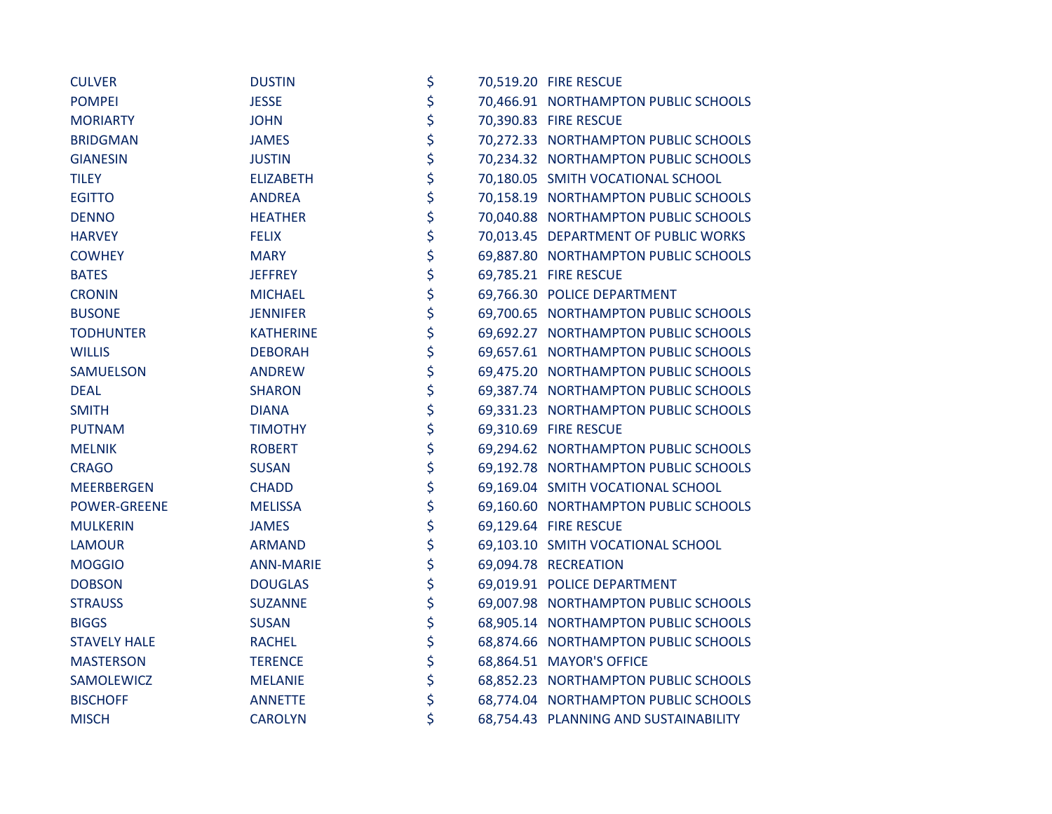| <b>CULVER</b>       | <b>DUSTIN</b>    | \$ | 70,519.20 FIRE RESCUE                 |
|---------------------|------------------|----|---------------------------------------|
| <b>POMPEI</b>       | <b>JESSE</b>     | \$ | 70,466.91 NORTHAMPTON PUBLIC SCHOOLS  |
| <b>MORIARTY</b>     | <b>JOHN</b>      | \$ | 70,390.83 FIRE RESCUE                 |
| <b>BRIDGMAN</b>     | <b>JAMES</b>     | \$ | 70,272.33 NORTHAMPTON PUBLIC SCHOOLS  |
| <b>GIANESIN</b>     | <b>JUSTIN</b>    | \$ | 70,234.32 NORTHAMPTON PUBLIC SCHOOLS  |
| <b>TILEY</b>        | <b>ELIZABETH</b> | \$ | 70,180.05 SMITH VOCATIONAL SCHOOL     |
| <b>EGITTO</b>       | <b>ANDREA</b>    | \$ | 70,158.19 NORTHAMPTON PUBLIC SCHOOLS  |
| <b>DENNO</b>        | <b>HEATHER</b>   | \$ | 70,040.88 NORTHAMPTON PUBLIC SCHOOLS  |
| <b>HARVEY</b>       | <b>FELIX</b>     | \$ | 70,013.45 DEPARTMENT OF PUBLIC WORKS  |
| <b>COWHEY</b>       | <b>MARY</b>      | \$ | 69,887.80 NORTHAMPTON PUBLIC SCHOOLS  |
| <b>BATES</b>        | <b>JEFFREY</b>   | \$ | 69,785.21 FIRE RESCUE                 |
| <b>CRONIN</b>       | <b>MICHAEL</b>   | \$ | 69,766.30 POLICE DEPARTMENT           |
| <b>BUSONE</b>       | <b>JENNIFER</b>  | \$ | 69,700.65 NORTHAMPTON PUBLIC SCHOOLS  |
| <b>TODHUNTER</b>    | <b>KATHERINE</b> | \$ | 69,692.27 NORTHAMPTON PUBLIC SCHOOLS  |
| <b>WILLIS</b>       | <b>DEBORAH</b>   | \$ | 69,657.61 NORTHAMPTON PUBLIC SCHOOLS  |
| SAMUELSON           | <b>ANDREW</b>    | \$ | 69,475.20 NORTHAMPTON PUBLIC SCHOOLS  |
| <b>DEAL</b>         | <b>SHARON</b>    | \$ | 69,387.74 NORTHAMPTON PUBLIC SCHOOLS  |
| <b>SMITH</b>        | <b>DIANA</b>     | \$ | 69,331.23 NORTHAMPTON PUBLIC SCHOOLS  |
| <b>PUTNAM</b>       | <b>TIMOTHY</b>   | \$ | 69,310.69 FIRE RESCUE                 |
| <b>MELNIK</b>       | <b>ROBERT</b>    | \$ | 69,294.62 NORTHAMPTON PUBLIC SCHOOLS  |
| <b>CRAGO</b>        | <b>SUSAN</b>     | \$ | 69,192.78 NORTHAMPTON PUBLIC SCHOOLS  |
| MEERBERGEN          | <b>CHADD</b>     | \$ | 69,169.04 SMITH VOCATIONAL SCHOOL     |
| <b>POWER-GREENE</b> | <b>MELISSA</b>   | \$ | 69,160.60 NORTHAMPTON PUBLIC SCHOOLS  |
| <b>MULKERIN</b>     | <b>JAMES</b>     | \$ | 69,129.64 FIRE RESCUE                 |
| <b>LAMOUR</b>       | <b>ARMAND</b>    | \$ | 69,103.10 SMITH VOCATIONAL SCHOOL     |
| <b>MOGGIO</b>       | <b>ANN-MARIE</b> | \$ | 69,094.78 RECREATION                  |
| <b>DOBSON</b>       | <b>DOUGLAS</b>   | \$ | 69,019.91 POLICE DEPARTMENT           |
| <b>STRAUSS</b>      | <b>SUZANNE</b>   | \$ | 69,007.98 NORTHAMPTON PUBLIC SCHOOLS  |
| <b>BIGGS</b>        | <b>SUSAN</b>     | \$ | 68,905.14 NORTHAMPTON PUBLIC SCHOOLS  |
| <b>STAVELY HALE</b> | <b>RACHEL</b>    | \$ | 68,874.66 NORTHAMPTON PUBLIC SCHOOLS  |
| <b>MASTERSON</b>    | <b>TERENCE</b>   | \$ | 68,864.51 MAYOR'S OFFICE              |
| SAMOLEWICZ          | <b>MELANIE</b>   | \$ | 68,852.23 NORTHAMPTON PUBLIC SCHOOLS  |
| <b>BISCHOFF</b>     | <b>ANNETTE</b>   | \$ | 68,774.04 NORTHAMPTON PUBLIC SCHOOLS  |
| <b>MISCH</b>        | <b>CAROLYN</b>   | \$ | 68,754.43 PLANNING AND SUSTAINABILITY |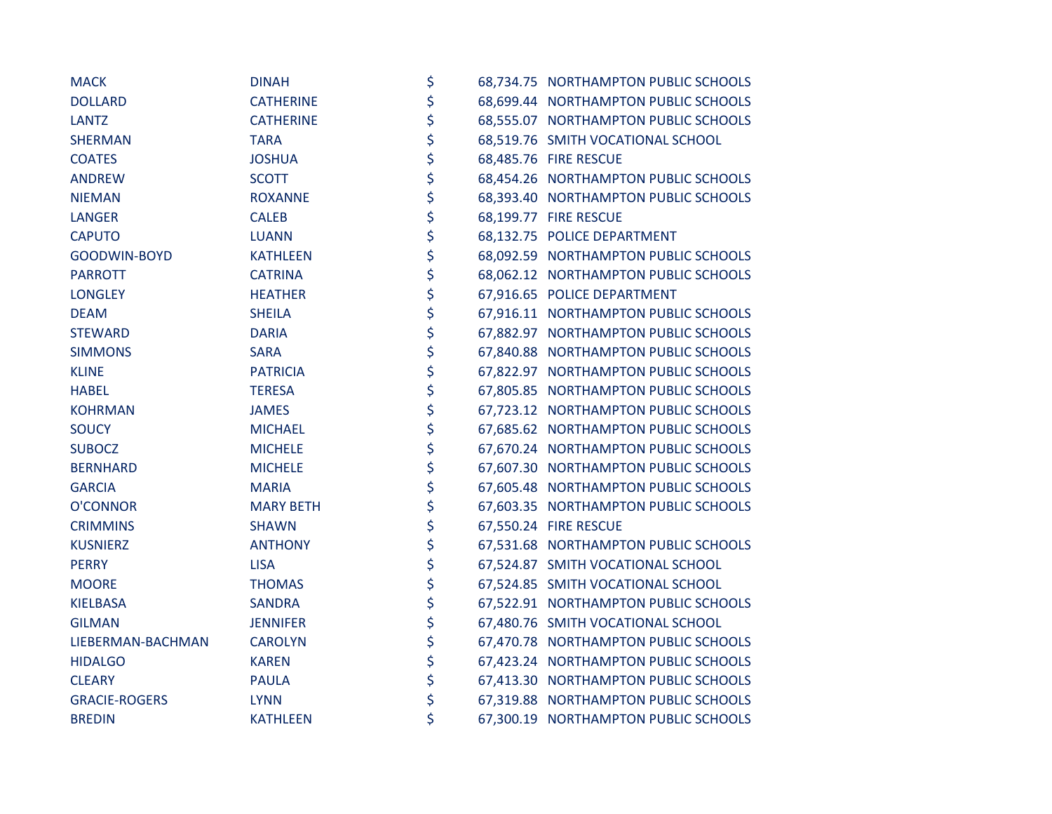| <b>MACK</b>          | <b>DINAH</b>     | \$ | 68,734.75 NORTHAMPTON PUBLIC SCHOOLS |
|----------------------|------------------|----|--------------------------------------|
| <b>DOLLARD</b>       | <b>CATHERINE</b> | \$ | 68,699.44 NORTHAMPTON PUBLIC SCHOOLS |
| <b>LANTZ</b>         | <b>CATHERINE</b> | \$ | 68,555.07 NORTHAMPTON PUBLIC SCHOOLS |
| <b>SHERMAN</b>       | <b>TARA</b>      | \$ | 68,519.76 SMITH VOCATIONAL SCHOOL    |
| <b>COATES</b>        | <b>JOSHUA</b>    | \$ | 68,485.76 FIRE RESCUE                |
| <b>ANDREW</b>        | <b>SCOTT</b>     | \$ | 68,454.26 NORTHAMPTON PUBLIC SCHOOLS |
| <b>NIEMAN</b>        | <b>ROXANNE</b>   | \$ | 68,393.40 NORTHAMPTON PUBLIC SCHOOLS |
| <b>LANGER</b>        | <b>CALEB</b>     | \$ | 68,199.77 FIRE RESCUE                |
| <b>CAPUTO</b>        | <b>LUANN</b>     | \$ | 68,132.75 POLICE DEPARTMENT          |
| GOODWIN-BOYD         | <b>KATHLEEN</b>  | \$ | 68,092.59 NORTHAMPTON PUBLIC SCHOOLS |
| <b>PARROTT</b>       | <b>CATRINA</b>   | \$ | 68,062.12 NORTHAMPTON PUBLIC SCHOOLS |
| <b>LONGLEY</b>       | <b>HEATHER</b>   | \$ | 67,916.65 POLICE DEPARTMENT          |
| <b>DEAM</b>          | <b>SHEILA</b>    | \$ | 67,916.11 NORTHAMPTON PUBLIC SCHOOLS |
| <b>STEWARD</b>       | <b>DARIA</b>     | \$ | 67,882.97 NORTHAMPTON PUBLIC SCHOOLS |
| <b>SIMMONS</b>       | <b>SARA</b>      | \$ | 67,840.88 NORTHAMPTON PUBLIC SCHOOLS |
| <b>KLINE</b>         | <b>PATRICIA</b>  | \$ | 67,822.97 NORTHAMPTON PUBLIC SCHOOLS |
| <b>HABEL</b>         | <b>TERESA</b>    | \$ | 67,805.85 NORTHAMPTON PUBLIC SCHOOLS |
| <b>KOHRMAN</b>       | <b>JAMES</b>     | \$ | 67,723.12 NORTHAMPTON PUBLIC SCHOOLS |
| <b>SOUCY</b>         | <b>MICHAEL</b>   | \$ | 67,685.62 NORTHAMPTON PUBLIC SCHOOLS |
| <b>SUBOCZ</b>        | <b>MICHELE</b>   | \$ | 67,670.24 NORTHAMPTON PUBLIC SCHOOLS |
| <b>BERNHARD</b>      | <b>MICHELE</b>   | \$ | 67,607.30 NORTHAMPTON PUBLIC SCHOOLS |
| <b>GARCIA</b>        | <b>MARIA</b>     | \$ | 67,605.48 NORTHAMPTON PUBLIC SCHOOLS |
| O'CONNOR             | <b>MARY BETH</b> | \$ | 67,603.35 NORTHAMPTON PUBLIC SCHOOLS |
| <b>CRIMMINS</b>      | <b>SHAWN</b>     | \$ | 67,550.24 FIRE RESCUE                |
| <b>KUSNIERZ</b>      | <b>ANTHONY</b>   | \$ | 67,531.68 NORTHAMPTON PUBLIC SCHOOLS |
| <b>PERRY</b>         | <b>LISA</b>      | \$ | 67,524.87 SMITH VOCATIONAL SCHOOL    |
| <b>MOORE</b>         | <b>THOMAS</b>    | \$ | 67,524.85 SMITH VOCATIONAL SCHOOL    |
| <b>KIELBASA</b>      | <b>SANDRA</b>    | \$ | 67,522.91 NORTHAMPTON PUBLIC SCHOOLS |
| <b>GILMAN</b>        | <b>JENNIFER</b>  | \$ | 67,480.76 SMITH VOCATIONAL SCHOOL    |
| LIEBERMAN-BACHMAN    | <b>CAROLYN</b>   | \$ | 67,470.78 NORTHAMPTON PUBLIC SCHOOLS |
| <b>HIDALGO</b>       | <b>KAREN</b>     | \$ | 67,423.24 NORTHAMPTON PUBLIC SCHOOLS |
| <b>CLEARY</b>        | <b>PAULA</b>     | \$ | 67,413.30 NORTHAMPTON PUBLIC SCHOOLS |
| <b>GRACIE-ROGERS</b> | <b>LYNN</b>      | \$ | 67,319.88 NORTHAMPTON PUBLIC SCHOOLS |
| <b>BREDIN</b>        | <b>KATHLEEN</b>  | \$ | 67,300.19 NORTHAMPTON PUBLIC SCHOOLS |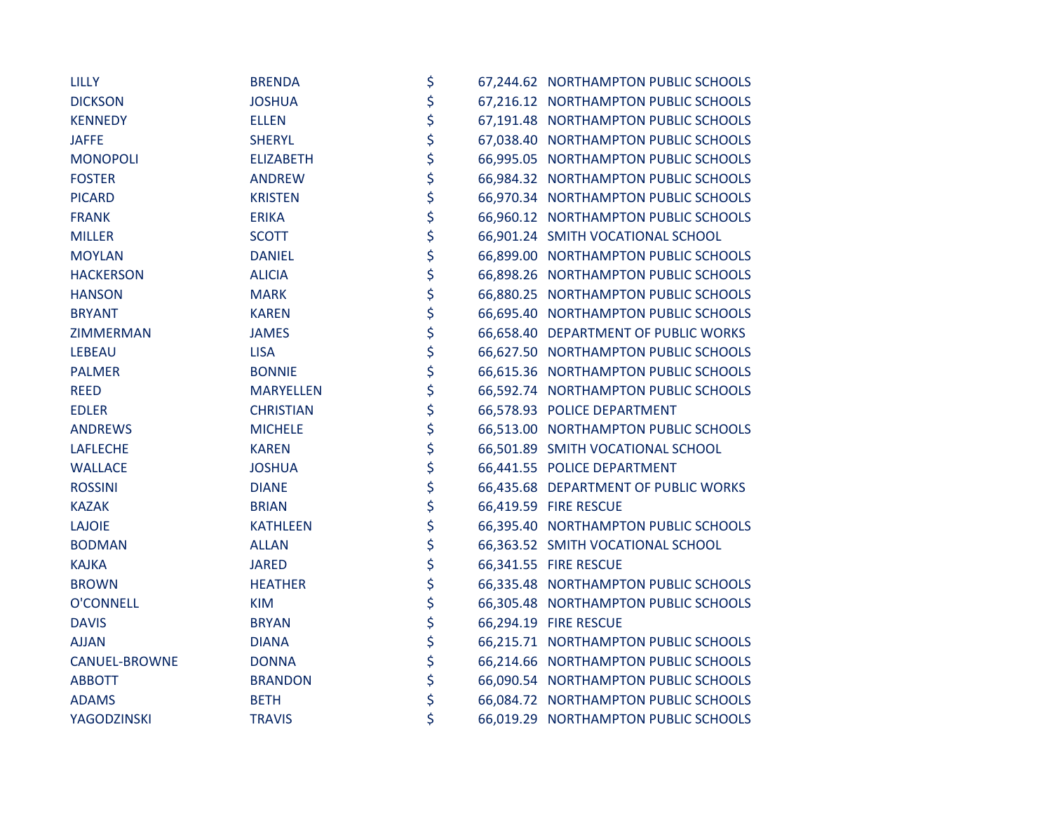| <b>LILLY</b>         | <b>BRENDA</b>    | \$ | 67,244.62 NORTHAMPTON PUBLIC SCHOOLS |
|----------------------|------------------|----|--------------------------------------|
| <b>DICKSON</b>       | <b>JOSHUA</b>    | \$ | 67,216.12 NORTHAMPTON PUBLIC SCHOOLS |
| <b>KENNEDY</b>       | <b>ELLEN</b>     | \$ | 67,191.48 NORTHAMPTON PUBLIC SCHOOLS |
| <b>JAFFE</b>         | <b>SHERYL</b>    | \$ | 67,038.40 NORTHAMPTON PUBLIC SCHOOLS |
| <b>MONOPOLI</b>      | <b>ELIZABETH</b> | \$ | 66,995.05 NORTHAMPTON PUBLIC SCHOOLS |
| <b>FOSTER</b>        | <b>ANDREW</b>    | \$ | 66,984.32 NORTHAMPTON PUBLIC SCHOOLS |
| <b>PICARD</b>        | <b>KRISTEN</b>   | \$ | 66,970.34 NORTHAMPTON PUBLIC SCHOOLS |
| <b>FRANK</b>         | <b>ERIKA</b>     | \$ | 66,960.12 NORTHAMPTON PUBLIC SCHOOLS |
| <b>MILLER</b>        | <b>SCOTT</b>     | \$ | 66,901.24 SMITH VOCATIONAL SCHOOL    |
| <b>MOYLAN</b>        | <b>DANIEL</b>    | \$ | 66,899.00 NORTHAMPTON PUBLIC SCHOOLS |
| <b>HACKERSON</b>     | <b>ALICIA</b>    | \$ | 66,898.26 NORTHAMPTON PUBLIC SCHOOLS |
| <b>HANSON</b>        | <b>MARK</b>      | \$ | 66,880.25 NORTHAMPTON PUBLIC SCHOOLS |
| <b>BRYANT</b>        | <b>KAREN</b>     | \$ | 66,695.40 NORTHAMPTON PUBLIC SCHOOLS |
| ZIMMERMAN            | <b>JAMES</b>     | \$ | 66,658.40 DEPARTMENT OF PUBLIC WORKS |
| <b>LEBEAU</b>        | <b>LISA</b>      | \$ | 66,627.50 NORTHAMPTON PUBLIC SCHOOLS |
| <b>PALMER</b>        | <b>BONNIE</b>    | \$ | 66,615.36 NORTHAMPTON PUBLIC SCHOOLS |
| <b>REED</b>          | <b>MARYELLEN</b> | \$ | 66,592.74 NORTHAMPTON PUBLIC SCHOOLS |
| <b>EDLER</b>         | <b>CHRISTIAN</b> | \$ | 66,578.93 POLICE DEPARTMENT          |
| <b>ANDREWS</b>       | <b>MICHELE</b>   | \$ | 66,513.00 NORTHAMPTON PUBLIC SCHOOLS |
| <b>LAFLECHE</b>      | <b>KAREN</b>     | \$ | 66,501.89 SMITH VOCATIONAL SCHOOL    |
| <b>WALLACE</b>       | <b>JOSHUA</b>    | \$ | 66,441.55 POLICE DEPARTMENT          |
| <b>ROSSINI</b>       | <b>DIANE</b>     | \$ | 66,435.68 DEPARTMENT OF PUBLIC WORKS |
| <b>KAZAK</b>         | <b>BRIAN</b>     | \$ | 66,419.59 FIRE RESCUE                |
| <b>LAJOIE</b>        | <b>KATHLEEN</b>  | \$ | 66,395.40 NORTHAMPTON PUBLIC SCHOOLS |
| <b>BODMAN</b>        | <b>ALLAN</b>     | \$ | 66,363.52 SMITH VOCATIONAL SCHOOL    |
| <b>KAJKA</b>         | <b>JARED</b>     | \$ | 66,341.55 FIRE RESCUE                |
| <b>BROWN</b>         | <b>HEATHER</b>   | \$ | 66,335.48 NORTHAMPTON PUBLIC SCHOOLS |
| <b>O'CONNELL</b>     | <b>KIM</b>       | \$ | 66,305.48 NORTHAMPTON PUBLIC SCHOOLS |
| <b>DAVIS</b>         | <b>BRYAN</b>     | \$ | 66,294.19 FIRE RESCUE                |
| <b>AJJAN</b>         | <b>DIANA</b>     | \$ | 66,215.71 NORTHAMPTON PUBLIC SCHOOLS |
| <b>CANUEL-BROWNE</b> | <b>DONNA</b>     | \$ | 66,214.66 NORTHAMPTON PUBLIC SCHOOLS |
| <b>ABBOTT</b>        | <b>BRANDON</b>   | \$ | 66,090.54 NORTHAMPTON PUBLIC SCHOOLS |
| <b>ADAMS</b>         | <b>BETH</b>      | \$ | 66,084.72 NORTHAMPTON PUBLIC SCHOOLS |
| <b>YAGODZINSKI</b>   | <b>TRAVIS</b>    | \$ | 66,019.29 NORTHAMPTON PUBLIC SCHOOLS |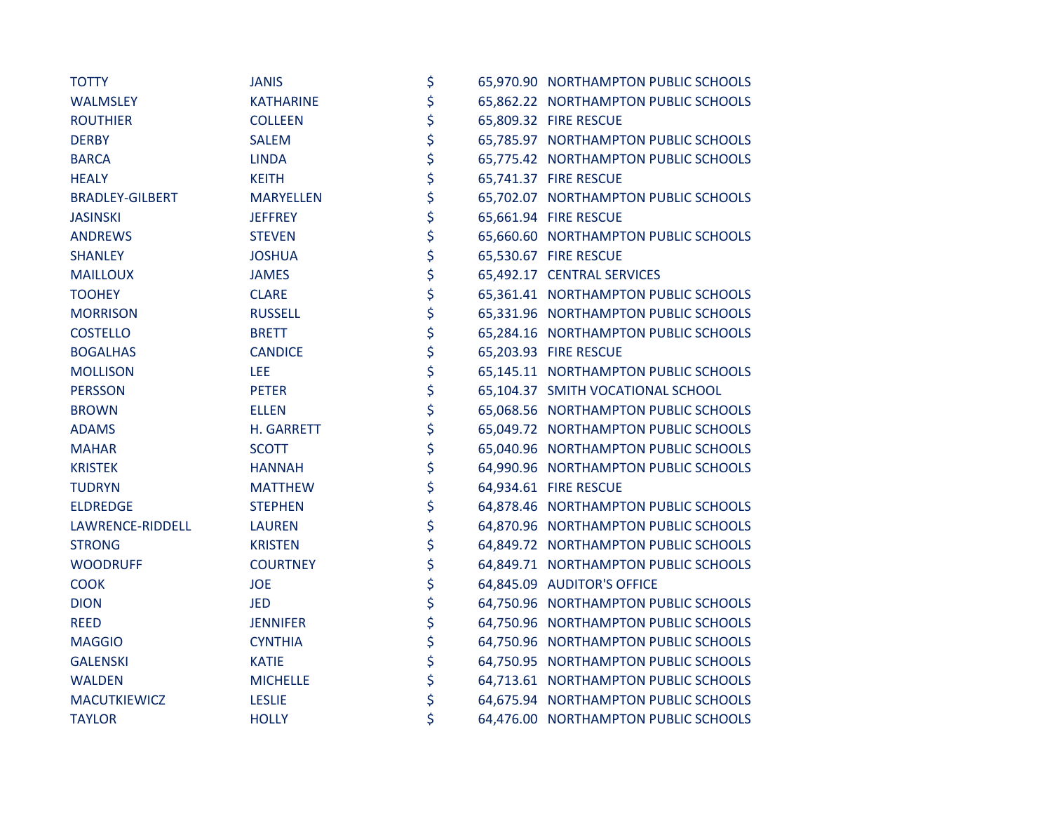| <b>TOTTY</b>           | <b>JANIS</b>     | \$ | 65,970.90 NORTHAMPTON PUBLIC SCHOOLS |
|------------------------|------------------|----|--------------------------------------|
| WALMSLEY               | <b>KATHARINE</b> | \$ | 65,862.22 NORTHAMPTON PUBLIC SCHOOLS |
| <b>ROUTHIER</b>        | <b>COLLEEN</b>   | \$ | 65,809.32 FIRE RESCUE                |
| <b>DERBY</b>           | <b>SALEM</b>     | \$ | 65,785.97 NORTHAMPTON PUBLIC SCHOOLS |
| <b>BARCA</b>           | <b>LINDA</b>     | \$ | 65,775.42 NORTHAMPTON PUBLIC SCHOOLS |
| <b>HEALY</b>           | <b>KEITH</b>     | \$ | 65,741.37 FIRE RESCUE                |
| <b>BRADLEY-GILBERT</b> | <b>MARYELLEN</b> | \$ | 65,702.07 NORTHAMPTON PUBLIC SCHOOLS |
| <b>JASINSKI</b>        | <b>JEFFREY</b>   | \$ | 65,661.94 FIRE RESCUE                |
| <b>ANDREWS</b>         | <b>STEVEN</b>    | \$ | 65,660.60 NORTHAMPTON PUBLIC SCHOOLS |
| <b>SHANLEY</b>         | <b>JOSHUA</b>    | \$ | 65,530.67 FIRE RESCUE                |
| <b>MAILLOUX</b>        | <b>JAMES</b>     | \$ | 65,492.17 CENTRAL SERVICES           |
| <b>TOOHEY</b>          | <b>CLARE</b>     | \$ | 65,361.41 NORTHAMPTON PUBLIC SCHOOLS |
| <b>MORRISON</b>        | <b>RUSSELL</b>   | \$ | 65,331.96 NORTHAMPTON PUBLIC SCHOOLS |
| <b>COSTELLO</b>        | <b>BRETT</b>     | \$ | 65,284.16 NORTHAMPTON PUBLIC SCHOOLS |
| <b>BOGALHAS</b>        | <b>CANDICE</b>   | \$ | 65,203.93 FIRE RESCUE                |
| <b>MOLLISON</b>        | LEE              | \$ | 65,145.11 NORTHAMPTON PUBLIC SCHOOLS |
| <b>PERSSON</b>         | <b>PETER</b>     | \$ | 65,104.37 SMITH VOCATIONAL SCHOOL    |
| <b>BROWN</b>           | <b>ELLEN</b>     | \$ | 65,068.56 NORTHAMPTON PUBLIC SCHOOLS |
| <b>ADAMS</b>           | H. GARRETT       | \$ | 65,049.72 NORTHAMPTON PUBLIC SCHOOLS |
| <b>MAHAR</b>           | <b>SCOTT</b>     | \$ | 65,040.96 NORTHAMPTON PUBLIC SCHOOLS |
| <b>KRISTEK</b>         | <b>HANNAH</b>    | \$ | 64,990.96 NORTHAMPTON PUBLIC SCHOOLS |
| <b>TUDRYN</b>          | <b>MATTHEW</b>   | \$ | 64,934.61 FIRE RESCUE                |
| <b>ELDREDGE</b>        | <b>STEPHEN</b>   | \$ | 64,878.46 NORTHAMPTON PUBLIC SCHOOLS |
| LAWRENCE-RIDDELL       | <b>LAUREN</b>    | \$ | 64,870.96 NORTHAMPTON PUBLIC SCHOOLS |
| <b>STRONG</b>          | <b>KRISTEN</b>   | \$ | 64,849.72 NORTHAMPTON PUBLIC SCHOOLS |
| <b>WOODRUFF</b>        | <b>COURTNEY</b>  | \$ | 64,849.71 NORTHAMPTON PUBLIC SCHOOLS |
| <b>COOK</b>            | <b>JOE</b>       | \$ | 64,845.09 AUDITOR'S OFFICE           |
| <b>DION</b>            | <b>JED</b>       | \$ | 64,750.96 NORTHAMPTON PUBLIC SCHOOLS |
| <b>REED</b>            | <b>JENNIFER</b>  | \$ | 64,750.96 NORTHAMPTON PUBLIC SCHOOLS |
| <b>MAGGIO</b>          | <b>CYNTHIA</b>   | \$ | 64,750.96 NORTHAMPTON PUBLIC SCHOOLS |
| <b>GALENSKI</b>        | <b>KATIE</b>     | \$ | 64,750.95 NORTHAMPTON PUBLIC SCHOOLS |
| <b>WALDEN</b>          | <b>MICHELLE</b>  | \$ | 64,713.61 NORTHAMPTON PUBLIC SCHOOLS |
| <b>MACUTKIEWICZ</b>    | <b>LESLIE</b>    | \$ | 64,675.94 NORTHAMPTON PUBLIC SCHOOLS |
| <b>TAYLOR</b>          | <b>HOLLY</b>     | \$ | 64,476.00 NORTHAMPTON PUBLIC SCHOOLS |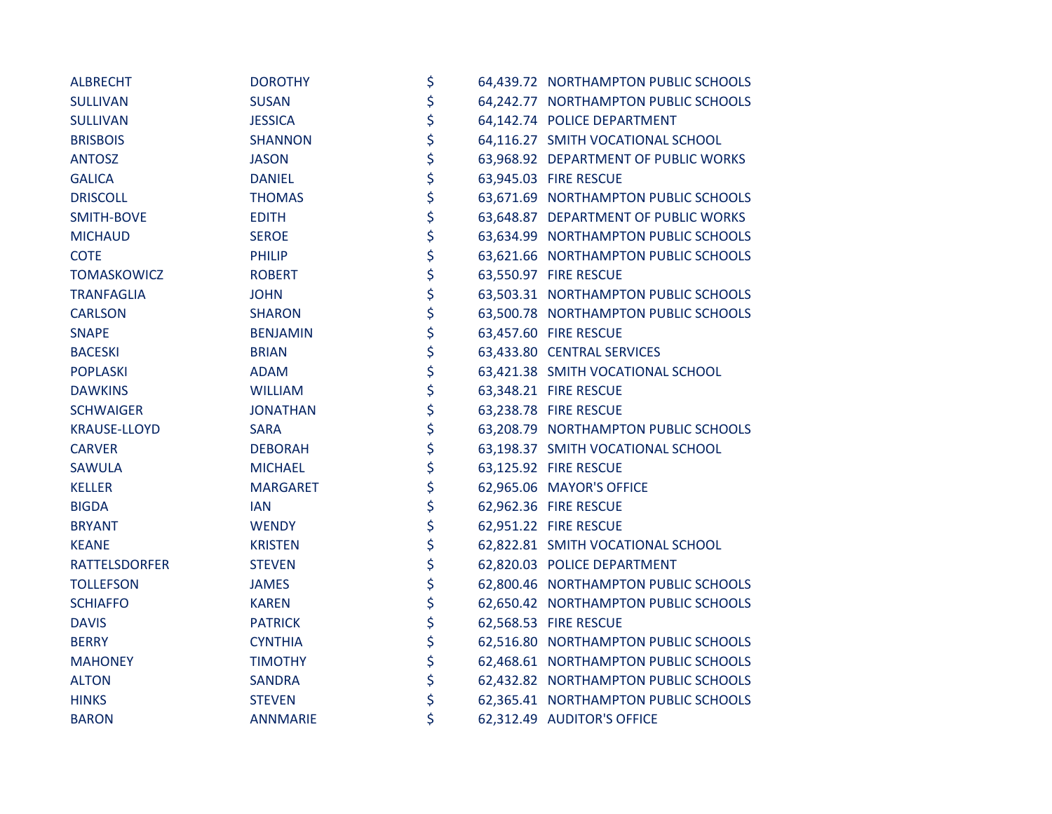| <b>ALBRECHT</b>      | <b>DOROTHY</b>  | \$ | 64,439.72 NORTHAMPTON PUBLIC SCHOOLS |
|----------------------|-----------------|----|--------------------------------------|
| <b>SULLIVAN</b>      | <b>SUSAN</b>    | \$ | 64,242.77 NORTHAMPTON PUBLIC SCHOOLS |
| <b>SULLIVAN</b>      | <b>JESSICA</b>  | \$ | 64,142.74 POLICE DEPARTMENT          |
| <b>BRISBOIS</b>      | <b>SHANNON</b>  | \$ | 64,116.27 SMITH VOCATIONAL SCHOOL    |
| <b>ANTOSZ</b>        | <b>JASON</b>    | \$ | 63,968.92 DEPARTMENT OF PUBLIC WORKS |
| <b>GALICA</b>        | <b>DANIEL</b>   | \$ | 63,945.03 FIRE RESCUE                |
| <b>DRISCOLL</b>      | <b>THOMAS</b>   | \$ | 63,671.69 NORTHAMPTON PUBLIC SCHOOLS |
| SMITH-BOVE           | <b>EDITH</b>    | \$ | 63,648.87 DEPARTMENT OF PUBLIC WORKS |
| <b>MICHAUD</b>       | <b>SEROE</b>    | \$ | 63,634.99 NORTHAMPTON PUBLIC SCHOOLS |
| <b>COTE</b>          | <b>PHILIP</b>   | \$ | 63,621.66 NORTHAMPTON PUBLIC SCHOOLS |
| TOMASKOWICZ          | <b>ROBERT</b>   | \$ | 63,550.97 FIRE RESCUE                |
| <b>TRANFAGLIA</b>    | <b>JOHN</b>     | \$ | 63,503.31 NORTHAMPTON PUBLIC SCHOOLS |
| <b>CARLSON</b>       | <b>SHARON</b>   | \$ | 63,500.78 NORTHAMPTON PUBLIC SCHOOLS |
| <b>SNAPE</b>         | <b>BENJAMIN</b> | \$ | 63,457.60 FIRE RESCUE                |
| <b>BACESKI</b>       | <b>BRIAN</b>    | \$ | 63,433.80 CENTRAL SERVICES           |
| <b>POPLASKI</b>      | <b>ADAM</b>     | \$ | 63,421.38 SMITH VOCATIONAL SCHOOL    |
| <b>DAWKINS</b>       | <b>WILLIAM</b>  | \$ | 63,348.21 FIRE RESCUE                |
| <b>SCHWAIGER</b>     | <b>JONATHAN</b> | \$ | 63,238.78 FIRE RESCUE                |
| <b>KRAUSE-LLOYD</b>  | <b>SARA</b>     | \$ | 63,208.79 NORTHAMPTON PUBLIC SCHOOLS |
| <b>CARVER</b>        | <b>DEBORAH</b>  | \$ | 63,198.37 SMITH VOCATIONAL SCHOOL    |
| <b>SAWULA</b>        | <b>MICHAEL</b>  | \$ | 63,125.92 FIRE RESCUE                |
| <b>KELLER</b>        | <b>MARGARET</b> | \$ | 62,965.06 MAYOR'S OFFICE             |
| <b>BIGDA</b>         | <b>IAN</b>      | \$ | 62,962.36 FIRE RESCUE                |
| <b>BRYANT</b>        | <b>WENDY</b>    | \$ | 62,951.22 FIRE RESCUE                |
| <b>KEANE</b>         | <b>KRISTEN</b>  | \$ | 62,822.81 SMITH VOCATIONAL SCHOOL    |
| <b>RATTELSDORFER</b> | <b>STEVEN</b>   | \$ | 62,820.03 POLICE DEPARTMENT          |
| <b>TOLLEFSON</b>     | <b>JAMES</b>    | \$ | 62,800.46 NORTHAMPTON PUBLIC SCHOOLS |
| <b>SCHIAFFO</b>      | <b>KAREN</b>    | \$ | 62,650.42 NORTHAMPTON PUBLIC SCHOOLS |
| <b>DAVIS</b>         | <b>PATRICK</b>  | \$ | 62,568.53 FIRE RESCUE                |
| <b>BERRY</b>         | <b>CYNTHIA</b>  | \$ | 62,516.80 NORTHAMPTON PUBLIC SCHOOLS |
| <b>MAHONEY</b>       | <b>TIMOTHY</b>  | \$ | 62,468.61 NORTHAMPTON PUBLIC SCHOOLS |
| <b>ALTON</b>         | <b>SANDRA</b>   | \$ | 62,432.82 NORTHAMPTON PUBLIC SCHOOLS |
| <b>HINKS</b>         | <b>STEVEN</b>   | \$ | 62,365.41 NORTHAMPTON PUBLIC SCHOOLS |
| <b>BARON</b>         | <b>ANNMARIE</b> | \$ | 62,312.49 AUDITOR'S OFFICE           |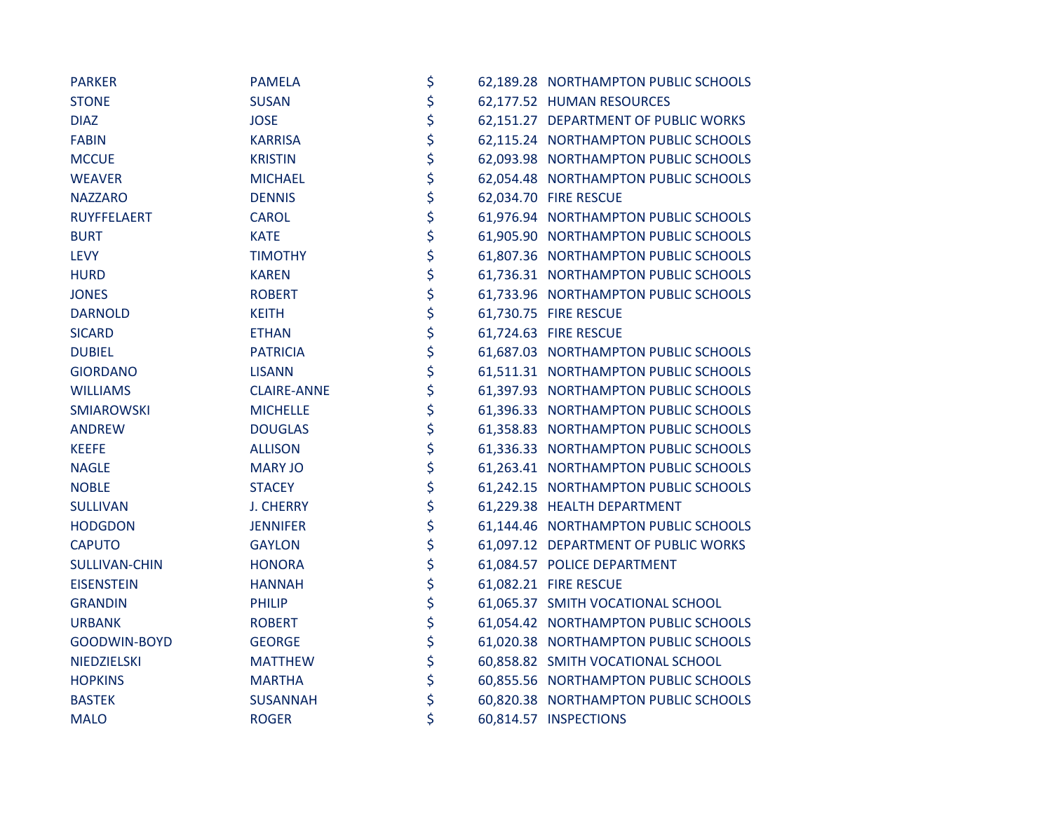| <b>PARKER</b>        | <b>PAMELA</b>      | \$ | 62,189.28 NORTHAMPTON PUBLIC SCHOOLS |
|----------------------|--------------------|----|--------------------------------------|
| <b>STONE</b>         | <b>SUSAN</b>       | \$ | 62,177.52 HUMAN RESOURCES            |
| <b>DIAZ</b>          | <b>JOSE</b>        | \$ | 62,151.27 DEPARTMENT OF PUBLIC WORKS |
| <b>FABIN</b>         | <b>KARRISA</b>     | \$ | 62,115.24 NORTHAMPTON PUBLIC SCHOOLS |
| <b>MCCUE</b>         | <b>KRISTIN</b>     | \$ | 62,093.98 NORTHAMPTON PUBLIC SCHOOLS |
| <b>WEAVER</b>        | <b>MICHAEL</b>     | \$ | 62,054.48 NORTHAMPTON PUBLIC SCHOOLS |
| <b>NAZZARO</b>       | <b>DENNIS</b>      | \$ | 62,034.70 FIRE RESCUE                |
| RUYFFELAERT          | <b>CAROL</b>       | \$ | 61,976.94 NORTHAMPTON PUBLIC SCHOOLS |
| <b>BURT</b>          | <b>KATE</b>        | \$ | 61,905.90 NORTHAMPTON PUBLIC SCHOOLS |
| <b>LEVY</b>          | <b>TIMOTHY</b>     | \$ | 61,807.36 NORTHAMPTON PUBLIC SCHOOLS |
| <b>HURD</b>          | <b>KAREN</b>       | \$ | 61,736.31 NORTHAMPTON PUBLIC SCHOOLS |
| <b>JONES</b>         | <b>ROBERT</b>      | \$ | 61,733.96 NORTHAMPTON PUBLIC SCHOOLS |
| <b>DARNOLD</b>       | <b>KEITH</b>       | \$ | 61,730.75 FIRE RESCUE                |
| <b>SICARD</b>        | <b>ETHAN</b>       | \$ | 61,724.63 FIRE RESCUE                |
| <b>DUBIEL</b>        | <b>PATRICIA</b>    | \$ | 61,687.03 NORTHAMPTON PUBLIC SCHOOLS |
| <b>GIORDANO</b>      | <b>LISANN</b>      | \$ | 61,511.31 NORTHAMPTON PUBLIC SCHOOLS |
| <b>WILLIAMS</b>      | <b>CLAIRE-ANNE</b> | \$ | 61,397.93 NORTHAMPTON PUBLIC SCHOOLS |
| <b>SMIAROWSKI</b>    | <b>MICHELLE</b>    | \$ | 61,396.33 NORTHAMPTON PUBLIC SCHOOLS |
| <b>ANDREW</b>        | <b>DOUGLAS</b>     | \$ | 61,358.83 NORTHAMPTON PUBLIC SCHOOLS |
| <b>KEEFE</b>         | <b>ALLISON</b>     | \$ | 61,336.33 NORTHAMPTON PUBLIC SCHOOLS |
| <b>NAGLE</b>         | <b>MARY JO</b>     | \$ | 61,263.41 NORTHAMPTON PUBLIC SCHOOLS |
| <b>NOBLE</b>         | <b>STACEY</b>      | \$ | 61,242.15 NORTHAMPTON PUBLIC SCHOOLS |
| <b>SULLIVAN</b>      | <b>J. CHERRY</b>   | \$ | 61,229.38 HEALTH DEPARTMENT          |
| <b>HODGDON</b>       | <b>JENNIFER</b>    | \$ | 61,144.46 NORTHAMPTON PUBLIC SCHOOLS |
| <b>CAPUTO</b>        | <b>GAYLON</b>      | \$ | 61,097.12 DEPARTMENT OF PUBLIC WORKS |
| <b>SULLIVAN-CHIN</b> | <b>HONORA</b>      | \$ | 61,084.57 POLICE DEPARTMENT          |
| <b>EISENSTEIN</b>    | <b>HANNAH</b>      | \$ | 61,082.21 FIRE RESCUE                |
| <b>GRANDIN</b>       | <b>PHILIP</b>      | \$ | 61,065.37 SMITH VOCATIONAL SCHOOL    |
| <b>URBANK</b>        | <b>ROBERT</b>      | \$ | 61,054.42 NORTHAMPTON PUBLIC SCHOOLS |
| GOODWIN-BOYD         | <b>GEORGE</b>      | \$ | 61,020.38 NORTHAMPTON PUBLIC SCHOOLS |
| NIEDZIELSKI          | <b>MATTHEW</b>     | \$ | 60,858.82 SMITH VOCATIONAL SCHOOL    |
| <b>HOPKINS</b>       | <b>MARTHA</b>      | \$ | 60,855.56 NORTHAMPTON PUBLIC SCHOOLS |
| <b>BASTEK</b>        | <b>SUSANNAH</b>    | \$ | 60,820.38 NORTHAMPTON PUBLIC SCHOOLS |
| <b>MALO</b>          | <b>ROGER</b>       | \$ | 60,814.57 INSPECTIONS                |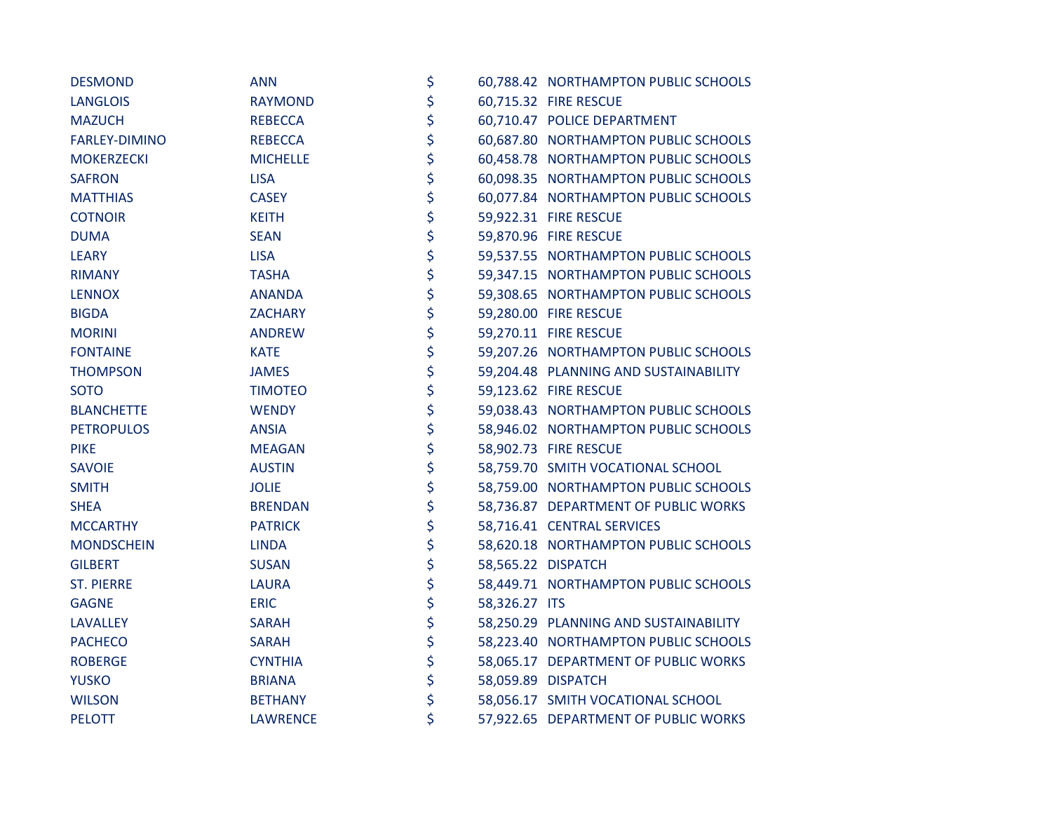| <b>DESMOND</b>    | <b>ANN</b>      | \$                  | 60,788.42 NORTHAMPTON PUBLIC SCHOOLS  |
|-------------------|-----------------|---------------------|---------------------------------------|
| <b>LANGLOIS</b>   | <b>RAYMOND</b>  | \$                  | 60,715.32 FIRE RESCUE                 |
| <b>MAZUCH</b>     | <b>REBECCA</b>  | \$                  | 60,710.47 POLICE DEPARTMENT           |
| FARLEY-DIMINO     | <b>REBECCA</b>  | \$                  | 60,687.80 NORTHAMPTON PUBLIC SCHOOLS  |
| <b>MOKERZECKI</b> | <b>MICHELLE</b> | \$                  | 60,458.78 NORTHAMPTON PUBLIC SCHOOLS  |
| <b>SAFRON</b>     | <b>LISA</b>     | \$                  | 60,098.35 NORTHAMPTON PUBLIC SCHOOLS  |
| <b>MATTHIAS</b>   | <b>CASEY</b>    | \$                  | 60,077.84 NORTHAMPTON PUBLIC SCHOOLS  |
| <b>COTNOIR</b>    | <b>KEITH</b>    | \$                  | 59,922.31 FIRE RESCUE                 |
| <b>DUMA</b>       | <b>SEAN</b>     | \$                  | 59,870.96 FIRE RESCUE                 |
| <b>LEARY</b>      | <b>LISA</b>     | \$                  | 59,537.55 NORTHAMPTON PUBLIC SCHOOLS  |
| <b>RIMANY</b>     | <b>TASHA</b>    | \$                  | 59,347.15 NORTHAMPTON PUBLIC SCHOOLS  |
| <b>LENNOX</b>     | <b>ANANDA</b>   | \$                  | 59,308.65 NORTHAMPTON PUBLIC SCHOOLS  |
| <b>BIGDA</b>      | <b>ZACHARY</b>  | \$                  | 59,280.00 FIRE RESCUE                 |
| <b>MORINI</b>     | <b>ANDREW</b>   | \$                  | 59,270.11 FIRE RESCUE                 |
| <b>FONTAINE</b>   | <b>KATE</b>     | \$                  | 59,207.26 NORTHAMPTON PUBLIC SCHOOLS  |
| <b>THOMPSON</b>   | <b>JAMES</b>    | \$                  | 59,204.48 PLANNING AND SUSTAINABILITY |
| <b>SOTO</b>       | <b>TIMOTEO</b>  | \$                  | 59,123.62 FIRE RESCUE                 |
| <b>BLANCHETTE</b> | <b>WENDY</b>    | \$                  | 59,038.43 NORTHAMPTON PUBLIC SCHOOLS  |
| <b>PETROPULOS</b> | <b>ANSIA</b>    | \$                  | 58,946.02 NORTHAMPTON PUBLIC SCHOOLS  |
| <b>PIKE</b>       | <b>MEAGAN</b>   | \$                  | 58,902.73 FIRE RESCUE                 |
| <b>SAVOIE</b>     | <b>AUSTIN</b>   | \$                  | 58,759.70 SMITH VOCATIONAL SCHOOL     |
| <b>SMITH</b>      | <b>JOLIE</b>    | \$                  | 58,759.00 NORTHAMPTON PUBLIC SCHOOLS  |
| <b>SHEA</b>       | <b>BRENDAN</b>  | \$                  | 58,736.87 DEPARTMENT OF PUBLIC WORKS  |
| <b>MCCARTHY</b>   | <b>PATRICK</b>  | \$                  | 58,716.41 CENTRAL SERVICES            |
| <b>MONDSCHEIN</b> | <b>LINDA</b>    | \$                  | 58,620.18 NORTHAMPTON PUBLIC SCHOOLS  |
| <b>GILBERT</b>    | <b>SUSAN</b>    | \$                  | 58,565.22 DISPATCH                    |
| <b>ST. PIERRE</b> | <b>LAURA</b>    | \$                  | 58,449.71 NORTHAMPTON PUBLIC SCHOOLS  |
| <b>GAGNE</b>      | <b>ERIC</b>     | \$<br>58,326.27 ITS |                                       |
| <b>LAVALLEY</b>   | <b>SARAH</b>    | \$                  | 58,250.29 PLANNING AND SUSTAINABILITY |
| <b>PACHECO</b>    | <b>SARAH</b>    | \$                  | 58,223.40 NORTHAMPTON PUBLIC SCHOOLS  |
| <b>ROBERGE</b>    | <b>CYNTHIA</b>  | \$                  | 58,065.17 DEPARTMENT OF PUBLIC WORKS  |
| <b>YUSKO</b>      | <b>BRIANA</b>   | \$                  | 58,059.89 DISPATCH                    |
| <b>WILSON</b>     | <b>BETHANY</b>  | \$                  | 58,056.17 SMITH VOCATIONAL SCHOOL     |
| <b>PELOTT</b>     | <b>LAWRENCE</b> | \$                  | 57,922.65 DEPARTMENT OF PUBLIC WORKS  |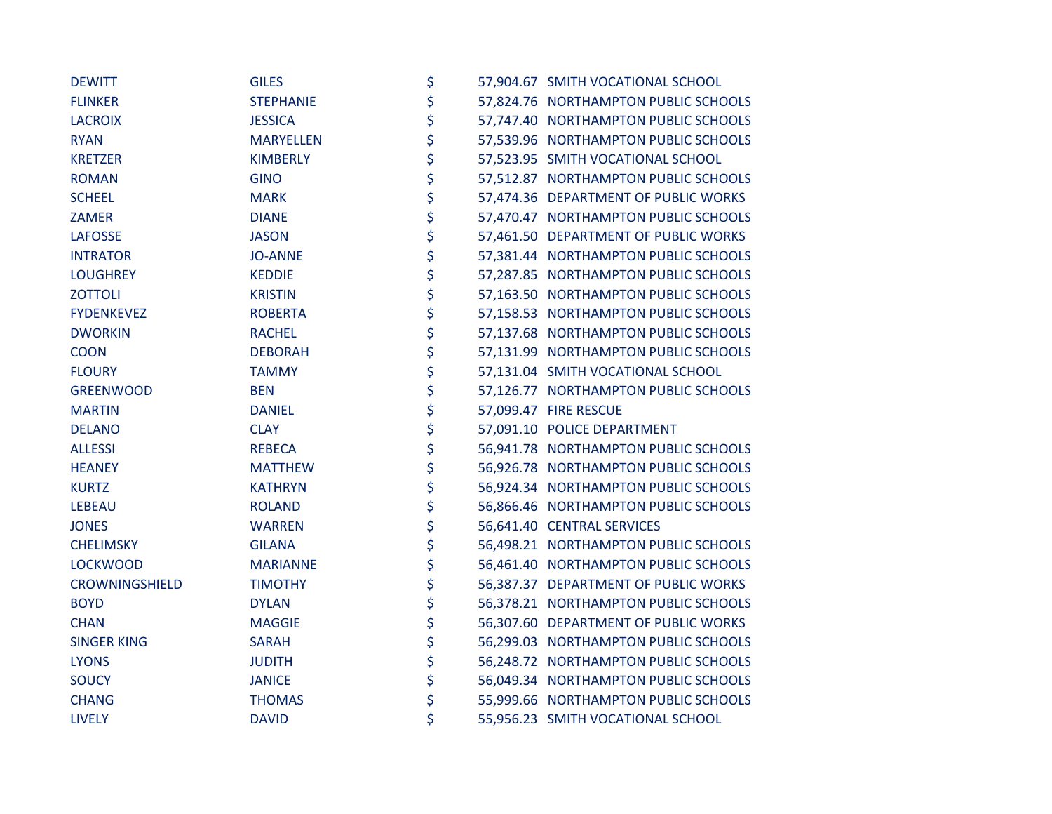| <b>DEWITT</b>      | <b>GILES</b>     | \$ | 57,904.67 SMITH VOCATIONAL SCHOOL    |
|--------------------|------------------|----|--------------------------------------|
| <b>FLINKER</b>     | <b>STEPHANIE</b> | \$ | 57,824.76 NORTHAMPTON PUBLIC SCHOOLS |
| <b>LACROIX</b>     | <b>JESSICA</b>   | \$ | 57,747.40 NORTHAMPTON PUBLIC SCHOOLS |
| <b>RYAN</b>        | <b>MARYELLEN</b> | \$ | 57,539.96 NORTHAMPTON PUBLIC SCHOOLS |
| <b>KRETZER</b>     | <b>KIMBERLY</b>  | \$ | 57,523.95 SMITH VOCATIONAL SCHOOL    |
| <b>ROMAN</b>       | <b>GINO</b>      | \$ | 57,512.87 NORTHAMPTON PUBLIC SCHOOLS |
| <b>SCHEEL</b>      | <b>MARK</b>      | \$ | 57,474.36 DEPARTMENT OF PUBLIC WORKS |
| <b>ZAMER</b>       | <b>DIANE</b>     | \$ | 57,470.47 NORTHAMPTON PUBLIC SCHOOLS |
| <b>LAFOSSE</b>     | <b>JASON</b>     | \$ | 57,461.50 DEPARTMENT OF PUBLIC WORKS |
| <b>INTRATOR</b>    | <b>JO-ANNE</b>   | \$ | 57,381.44 NORTHAMPTON PUBLIC SCHOOLS |
| <b>LOUGHREY</b>    | <b>KEDDIE</b>    | \$ | 57,287.85 NORTHAMPTON PUBLIC SCHOOLS |
| <b>ZOTTOLI</b>     | <b>KRISTIN</b>   | \$ | 57,163.50 NORTHAMPTON PUBLIC SCHOOLS |
| <b>FYDENKEVEZ</b>  | <b>ROBERTA</b>   | \$ | 57,158.53 NORTHAMPTON PUBLIC SCHOOLS |
| <b>DWORKIN</b>     | <b>RACHEL</b>    | \$ | 57,137.68 NORTHAMPTON PUBLIC SCHOOLS |
| <b>COON</b>        | <b>DEBORAH</b>   | \$ | 57,131.99 NORTHAMPTON PUBLIC SCHOOLS |
| <b>FLOURY</b>      | <b>TAMMY</b>     | \$ | 57,131.04 SMITH VOCATIONAL SCHOOL    |
| <b>GREENWOOD</b>   | <b>BEN</b>       | \$ | 57,126.77 NORTHAMPTON PUBLIC SCHOOLS |
| <b>MARTIN</b>      | <b>DANIEL</b>    | \$ | 57,099.47 FIRE RESCUE                |
| <b>DELANO</b>      | <b>CLAY</b>      | \$ | 57,091.10 POLICE DEPARTMENT          |
| <b>ALLESSI</b>     | <b>REBECA</b>    | \$ | 56,941.78 NORTHAMPTON PUBLIC SCHOOLS |
| <b>HEANEY</b>      | <b>MATTHEW</b>   | \$ | 56,926.78 NORTHAMPTON PUBLIC SCHOOLS |
| <b>KURTZ</b>       | <b>KATHRYN</b>   | \$ | 56,924.34 NORTHAMPTON PUBLIC SCHOOLS |
| <b>LEBEAU</b>      | <b>ROLAND</b>    | \$ | 56,866.46 NORTHAMPTON PUBLIC SCHOOLS |
| <b>JONES</b>       | <b>WARREN</b>    | \$ | 56,641.40 CENTRAL SERVICES           |
| <b>CHELIMSKY</b>   | <b>GILANA</b>    | \$ | 56,498.21 NORTHAMPTON PUBLIC SCHOOLS |
| <b>LOCKWOOD</b>    | <b>MARIANNE</b>  | \$ | 56,461.40 NORTHAMPTON PUBLIC SCHOOLS |
| CROWNINGSHIELD     | <b>TIMOTHY</b>   | \$ | 56,387.37 DEPARTMENT OF PUBLIC WORKS |
| <b>BOYD</b>        | <b>DYLAN</b>     | \$ | 56,378.21 NORTHAMPTON PUBLIC SCHOOLS |
| <b>CHAN</b>        | <b>MAGGIE</b>    | \$ | 56,307.60 DEPARTMENT OF PUBLIC WORKS |
| <b>SINGER KING</b> | <b>SARAH</b>     | \$ | 56,299.03 NORTHAMPTON PUBLIC SCHOOLS |
| <b>LYONS</b>       | <b>JUDITH</b>    | \$ | 56,248.72 NORTHAMPTON PUBLIC SCHOOLS |
| <b>SOUCY</b>       | <b>JANICE</b>    | \$ | 56,049.34 NORTHAMPTON PUBLIC SCHOOLS |
| <b>CHANG</b>       | <b>THOMAS</b>    | \$ | 55,999.66 NORTHAMPTON PUBLIC SCHOOLS |
| <b>LIVELY</b>      | <b>DAVID</b>     | \$ | 55,956.23 SMITH VOCATIONAL SCHOOL    |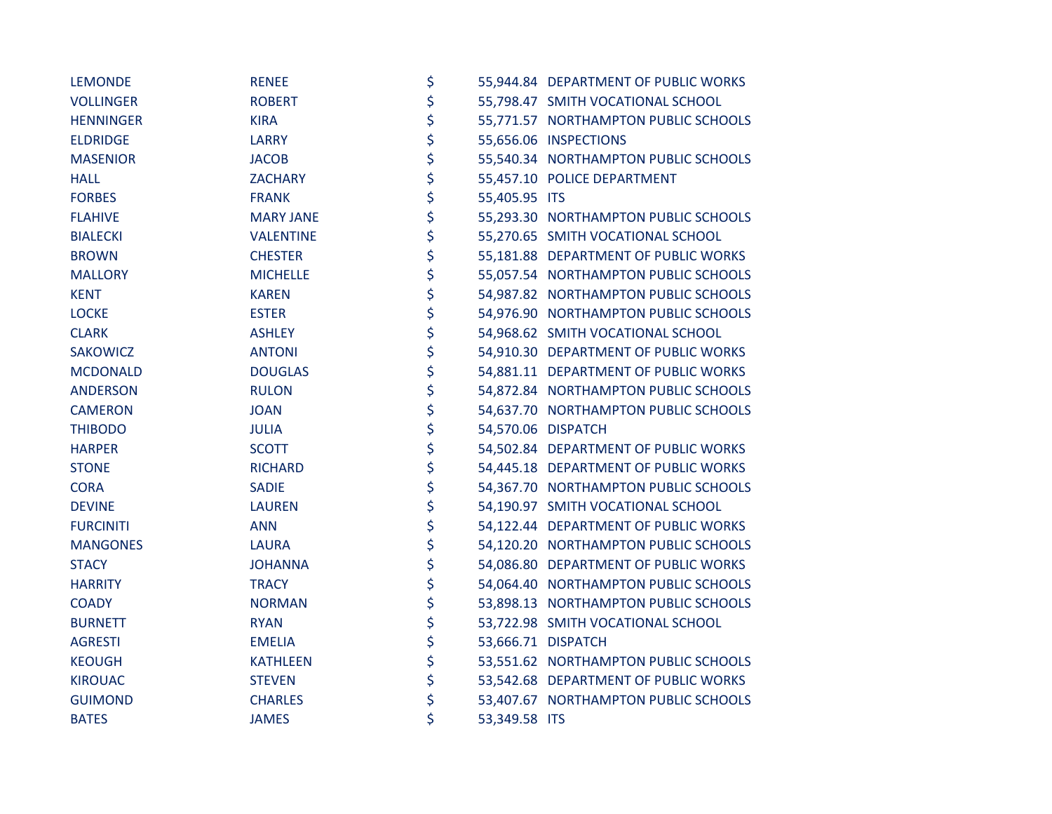| <b>LEMONDE</b>   | <b>RENEE</b>     | \$                  | 55,944.84 DEPARTMENT OF PUBLIC WORKS |
|------------------|------------------|---------------------|--------------------------------------|
| <b>VOLLINGER</b> | <b>ROBERT</b>    | \$                  | 55,798.47 SMITH VOCATIONAL SCHOOL    |
| <b>HENNINGER</b> | <b>KIRA</b>      | \$                  | 55,771.57 NORTHAMPTON PUBLIC SCHOOLS |
| <b>ELDRIDGE</b>  | <b>LARRY</b>     | \$                  | 55,656.06 INSPECTIONS                |
| <b>MASENIOR</b>  | <b>JACOB</b>     | \$                  | 55,540.34 NORTHAMPTON PUBLIC SCHOOLS |
| <b>HALL</b>      | <b>ZACHARY</b>   | \$                  | 55,457.10 POLICE DEPARTMENT          |
| <b>FORBES</b>    | <b>FRANK</b>     | \$<br>55,405.95 ITS |                                      |
| <b>FLAHIVE</b>   | <b>MARY JANE</b> | \$                  | 55,293.30 NORTHAMPTON PUBLIC SCHOOLS |
| <b>BIALECKI</b>  | <b>VALENTINE</b> | \$                  | 55,270.65 SMITH VOCATIONAL SCHOOL    |
| <b>BROWN</b>     | <b>CHESTER</b>   | \$                  | 55,181.88 DEPARTMENT OF PUBLIC WORKS |
| <b>MALLORY</b>   | <b>MICHELLE</b>  | \$                  | 55,057.54 NORTHAMPTON PUBLIC SCHOOLS |
| <b>KENT</b>      | <b>KAREN</b>     | \$                  | 54,987.82 NORTHAMPTON PUBLIC SCHOOLS |
| <b>LOCKE</b>     | <b>ESTER</b>     | \$                  | 54,976.90 NORTHAMPTON PUBLIC SCHOOLS |
| <b>CLARK</b>     | <b>ASHLEY</b>    | \$                  | 54,968.62 SMITH VOCATIONAL SCHOOL    |
| <b>SAKOWICZ</b>  | <b>ANTONI</b>    | \$                  | 54,910.30 DEPARTMENT OF PUBLIC WORKS |
| <b>MCDONALD</b>  | <b>DOUGLAS</b>   | \$                  | 54,881.11 DEPARTMENT OF PUBLIC WORKS |
| <b>ANDERSON</b>  | <b>RULON</b>     | \$                  | 54,872.84 NORTHAMPTON PUBLIC SCHOOLS |
| <b>CAMERON</b>   | <b>JOAN</b>      | \$                  | 54,637.70 NORTHAMPTON PUBLIC SCHOOLS |
| <b>THIBODO</b>   | <b>JULIA</b>     | \$                  | 54,570.06 DISPATCH                   |
| <b>HARPER</b>    | <b>SCOTT</b>     | \$                  | 54,502.84 DEPARTMENT OF PUBLIC WORKS |
| <b>STONE</b>     | <b>RICHARD</b>   | \$                  | 54,445.18 DEPARTMENT OF PUBLIC WORKS |
| <b>CORA</b>      | <b>SADIE</b>     | \$                  | 54,367.70 NORTHAMPTON PUBLIC SCHOOLS |
| <b>DEVINE</b>    | <b>LAUREN</b>    | \$                  | 54,190.97 SMITH VOCATIONAL SCHOOL    |
| <b>FURCINITI</b> | <b>ANN</b>       | \$                  | 54,122.44 DEPARTMENT OF PUBLIC WORKS |
| <b>MANGONES</b>  | <b>LAURA</b>     | \$                  | 54,120.20 NORTHAMPTON PUBLIC SCHOOLS |
| <b>STACY</b>     | <b>JOHANNA</b>   | \$                  | 54,086.80 DEPARTMENT OF PUBLIC WORKS |
| <b>HARRITY</b>   | <b>TRACY</b>     | \$                  | 54,064.40 NORTHAMPTON PUBLIC SCHOOLS |
| <b>COADY</b>     | <b>NORMAN</b>    | \$                  | 53,898.13 NORTHAMPTON PUBLIC SCHOOLS |
| <b>BURNETT</b>   | <b>RYAN</b>      | \$                  | 53,722.98 SMITH VOCATIONAL SCHOOL    |
| <b>AGRESTI</b>   | <b>EMELIA</b>    | \$                  | 53,666.71 DISPATCH                   |
| <b>KEOUGH</b>    | <b>KATHLEEN</b>  | \$                  | 53,551.62 NORTHAMPTON PUBLIC SCHOOLS |
| <b>KIROUAC</b>   | <b>STEVEN</b>    | \$                  | 53,542.68 DEPARTMENT OF PUBLIC WORKS |
| <b>GUIMOND</b>   | <b>CHARLES</b>   | \$                  | 53,407.67 NORTHAMPTON PUBLIC SCHOOLS |
| <b>BATES</b>     | <b>JAMES</b>     | \$<br>53,349.58 ITS |                                      |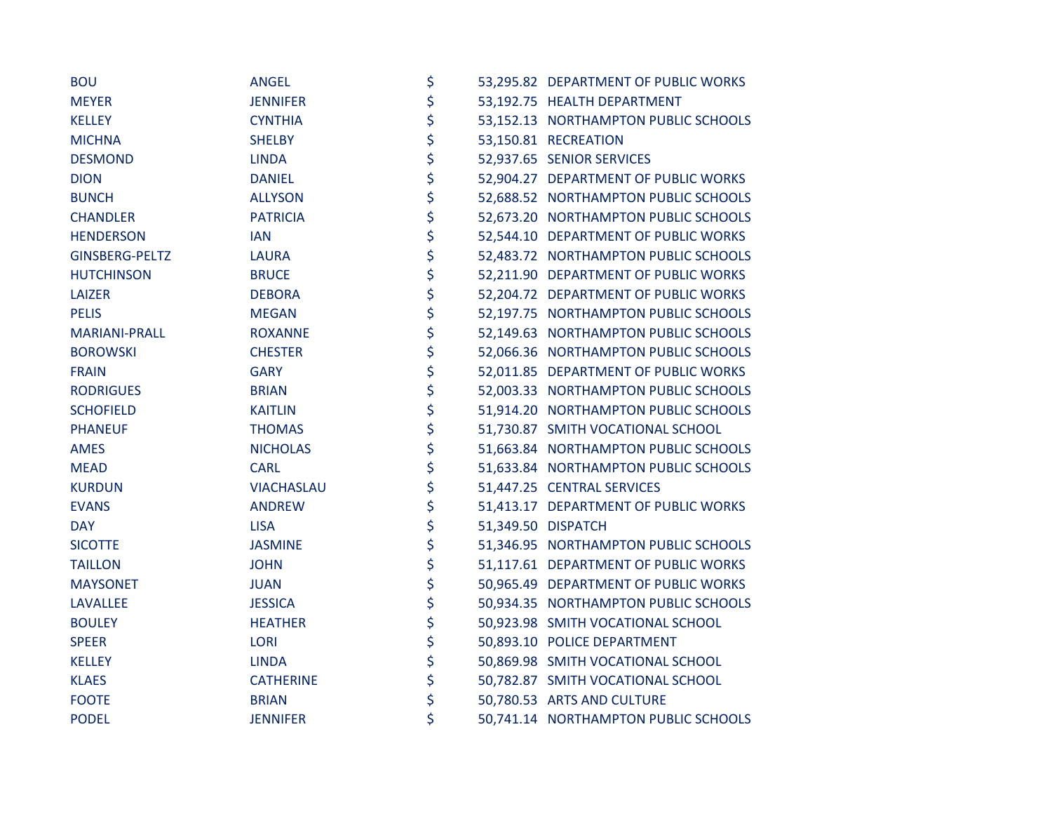| <b>BOU</b>           | <b>ANGEL</b>      | \$ | 53,295.82 DEPARTMENT OF PUBLIC WORKS |
|----------------------|-------------------|----|--------------------------------------|
| <b>MEYER</b>         | <b>JENNIFER</b>   | \$ | 53,192.75 HEALTH DEPARTMENT          |
| <b>KELLEY</b>        | <b>CYNTHIA</b>    | \$ | 53,152.13 NORTHAMPTON PUBLIC SCHOOLS |
| <b>MICHNA</b>        | <b>SHELBY</b>     | \$ | 53,150.81 RECREATION                 |
| <b>DESMOND</b>       | <b>LINDA</b>      | \$ | 52,937.65 SENIOR SERVICES            |
| <b>DION</b>          | <b>DANIEL</b>     | \$ | 52,904.27 DEPARTMENT OF PUBLIC WORKS |
| <b>BUNCH</b>         | <b>ALLYSON</b>    | \$ | 52,688.52 NORTHAMPTON PUBLIC SCHOOLS |
| <b>CHANDLER</b>      | <b>PATRICIA</b>   | \$ | 52,673.20 NORTHAMPTON PUBLIC SCHOOLS |
| <b>HENDERSON</b>     | <b>IAN</b>        | \$ | 52,544.10 DEPARTMENT OF PUBLIC WORKS |
| GINSBERG-PELTZ       | <b>LAURA</b>      | \$ | 52,483.72 NORTHAMPTON PUBLIC SCHOOLS |
| <b>HUTCHINSON</b>    | <b>BRUCE</b>      | \$ | 52,211.90 DEPARTMENT OF PUBLIC WORKS |
| LAIZER               | <b>DEBORA</b>     | \$ | 52,204.72 DEPARTMENT OF PUBLIC WORKS |
| <b>PELIS</b>         | <b>MEGAN</b>      | \$ | 52,197.75 NORTHAMPTON PUBLIC SCHOOLS |
| <b>MARIANI-PRALL</b> | <b>ROXANNE</b>    | \$ | 52,149.63 NORTHAMPTON PUBLIC SCHOOLS |
| <b>BOROWSKI</b>      | <b>CHESTER</b>    | \$ | 52,066.36 NORTHAMPTON PUBLIC SCHOOLS |
| <b>FRAIN</b>         | <b>GARY</b>       | \$ | 52,011.85 DEPARTMENT OF PUBLIC WORKS |
| <b>RODRIGUES</b>     | <b>BRIAN</b>      | \$ | 52,003.33 NORTHAMPTON PUBLIC SCHOOLS |
| <b>SCHOFIELD</b>     | <b>KAITLIN</b>    | \$ | 51,914.20 NORTHAMPTON PUBLIC SCHOOLS |
| <b>PHANEUF</b>       | <b>THOMAS</b>     | \$ | 51,730.87 SMITH VOCATIONAL SCHOOL    |
| <b>AMES</b>          | <b>NICHOLAS</b>   | \$ | 51,663.84 NORTHAMPTON PUBLIC SCHOOLS |
| <b>MEAD</b>          | <b>CARL</b>       | \$ | 51,633.84 NORTHAMPTON PUBLIC SCHOOLS |
| <b>KURDUN</b>        | <b>VIACHASLAU</b> | \$ | 51,447.25 CENTRAL SERVICES           |
| <b>EVANS</b>         | <b>ANDREW</b>     | \$ | 51,413.17 DEPARTMENT OF PUBLIC WORKS |
| <b>DAY</b>           | <b>LISA</b>       | \$ | 51,349.50 DISPATCH                   |
| <b>SICOTTE</b>       | <b>JASMINE</b>    | \$ | 51,346.95 NORTHAMPTON PUBLIC SCHOOLS |
| <b>TAILLON</b>       | <b>JOHN</b>       | \$ | 51,117.61 DEPARTMENT OF PUBLIC WORKS |
| <b>MAYSONET</b>      | <b>JUAN</b>       | \$ | 50,965.49 DEPARTMENT OF PUBLIC WORKS |
| <b>LAVALLEE</b>      | <b>JESSICA</b>    | \$ | 50,934.35 NORTHAMPTON PUBLIC SCHOOLS |
| <b>BOULEY</b>        | <b>HEATHER</b>    | \$ | 50,923.98 SMITH VOCATIONAL SCHOOL    |
| <b>SPEER</b>         | <b>LORI</b>       | \$ | 50,893.10 POLICE DEPARTMENT          |
| <b>KELLEY</b>        | <b>LINDA</b>      | \$ | 50,869.98 SMITH VOCATIONAL SCHOOL    |
| <b>KLAES</b>         | <b>CATHERINE</b>  | \$ | 50,782.87 SMITH VOCATIONAL SCHOOL    |
| <b>FOOTE</b>         | <b>BRIAN</b>      | \$ | 50,780.53 ARTS AND CULTURE           |
| <b>PODEL</b>         | <b>JENNIFER</b>   | \$ | 50,741.14 NORTHAMPTON PUBLIC SCHOOLS |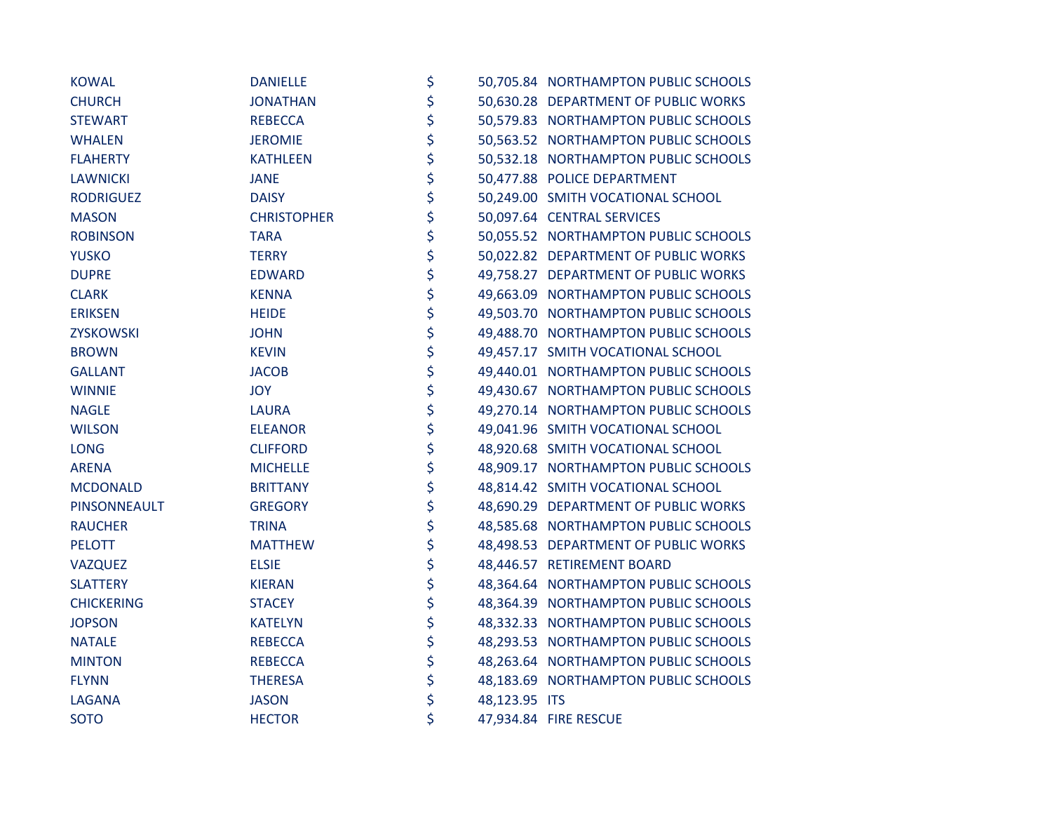| <b>KOWAL</b>        | <b>DANIELLE</b>    | \$                  | 50,705.84 NORTHAMPTON PUBLIC SCHOOLS |
|---------------------|--------------------|---------------------|--------------------------------------|
| <b>CHURCH</b>       | <b>JONATHAN</b>    | \$                  | 50,630.28 DEPARTMENT OF PUBLIC WORKS |
| <b>STEWART</b>      | <b>REBECCA</b>     | \$                  | 50,579.83 NORTHAMPTON PUBLIC SCHOOLS |
| <b>WHALEN</b>       | <b>JEROMIE</b>     | \$                  | 50,563.52 NORTHAMPTON PUBLIC SCHOOLS |
| <b>FLAHERTY</b>     | <b>KATHLEEN</b>    | \$                  | 50,532.18 NORTHAMPTON PUBLIC SCHOOLS |
| <b>LAWNICKI</b>     | <b>JANE</b>        | \$                  | 50,477.88 POLICE DEPARTMENT          |
| <b>RODRIGUEZ</b>    | <b>DAISY</b>       | \$                  | 50,249.00 SMITH VOCATIONAL SCHOOL    |
| <b>MASON</b>        | <b>CHRISTOPHER</b> | \$                  | 50,097.64 CENTRAL SERVICES           |
| <b>ROBINSON</b>     | <b>TARA</b>        | \$                  | 50,055.52 NORTHAMPTON PUBLIC SCHOOLS |
| <b>YUSKO</b>        | <b>TERRY</b>       | \$                  | 50,022.82 DEPARTMENT OF PUBLIC WORKS |
| <b>DUPRE</b>        | <b>EDWARD</b>      | \$                  | 49,758.27 DEPARTMENT OF PUBLIC WORKS |
| <b>CLARK</b>        | <b>KENNA</b>       | \$                  | 49,663.09 NORTHAMPTON PUBLIC SCHOOLS |
| <b>ERIKSEN</b>      | <b>HEIDE</b>       | \$                  | 49,503.70 NORTHAMPTON PUBLIC SCHOOLS |
| <b>ZYSKOWSKI</b>    | <b>JOHN</b>        | \$                  | 49,488.70 NORTHAMPTON PUBLIC SCHOOLS |
| <b>BROWN</b>        | <b>KEVIN</b>       | \$                  | 49,457.17 SMITH VOCATIONAL SCHOOL    |
| <b>GALLANT</b>      | <b>JACOB</b>       | \$                  | 49,440.01 NORTHAMPTON PUBLIC SCHOOLS |
| <b>WINNIE</b>       | <b>JOY</b>         | \$                  | 49,430.67 NORTHAMPTON PUBLIC SCHOOLS |
| <b>NAGLE</b>        | <b>LAURA</b>       | \$                  | 49,270.14 NORTHAMPTON PUBLIC SCHOOLS |
| <b>WILSON</b>       | <b>ELEANOR</b>     | \$                  | 49,041.96 SMITH VOCATIONAL SCHOOL    |
| <b>LONG</b>         | <b>CLIFFORD</b>    | \$                  | 48,920.68 SMITH VOCATIONAL SCHOOL    |
| <b>ARENA</b>        | <b>MICHELLE</b>    | \$                  | 48,909.17 NORTHAMPTON PUBLIC SCHOOLS |
| <b>MCDONALD</b>     | <b>BRITTANY</b>    | \$                  | 48,814.42 SMITH VOCATIONAL SCHOOL    |
| <b>PINSONNEAULT</b> | <b>GREGORY</b>     | \$                  | 48,690.29 DEPARTMENT OF PUBLIC WORKS |
| <b>RAUCHER</b>      | <b>TRINA</b>       | \$                  | 48,585.68 NORTHAMPTON PUBLIC SCHOOLS |
| <b>PELOTT</b>       | <b>MATTHEW</b>     | \$                  | 48,498.53 DEPARTMENT OF PUBLIC WORKS |
| <b>VAZQUEZ</b>      | <b>ELSIE</b>       | \$                  | 48,446.57 RETIREMENT BOARD           |
| <b>SLATTERY</b>     | <b>KIERAN</b>      | \$                  | 48,364.64 NORTHAMPTON PUBLIC SCHOOLS |
| <b>CHICKERING</b>   | <b>STACEY</b>      | \$                  | 48,364.39 NORTHAMPTON PUBLIC SCHOOLS |
| <b>JOPSON</b>       | <b>KATELYN</b>     | \$                  | 48,332.33 NORTHAMPTON PUBLIC SCHOOLS |
| <b>NATALE</b>       | <b>REBECCA</b>     | \$                  | 48,293.53 NORTHAMPTON PUBLIC SCHOOLS |
| <b>MINTON</b>       | <b>REBECCA</b>     | \$                  | 48,263.64 NORTHAMPTON PUBLIC SCHOOLS |
| <b>FLYNN</b>        | <b>THERESA</b>     | \$                  | 48,183.69 NORTHAMPTON PUBLIC SCHOOLS |
| <b>LAGANA</b>       | <b>JASON</b>       | \$<br>48,123.95 ITS |                                      |
| <b>SOTO</b>         | <b>HECTOR</b>      | \$                  | 47,934.84 FIRE RESCUE                |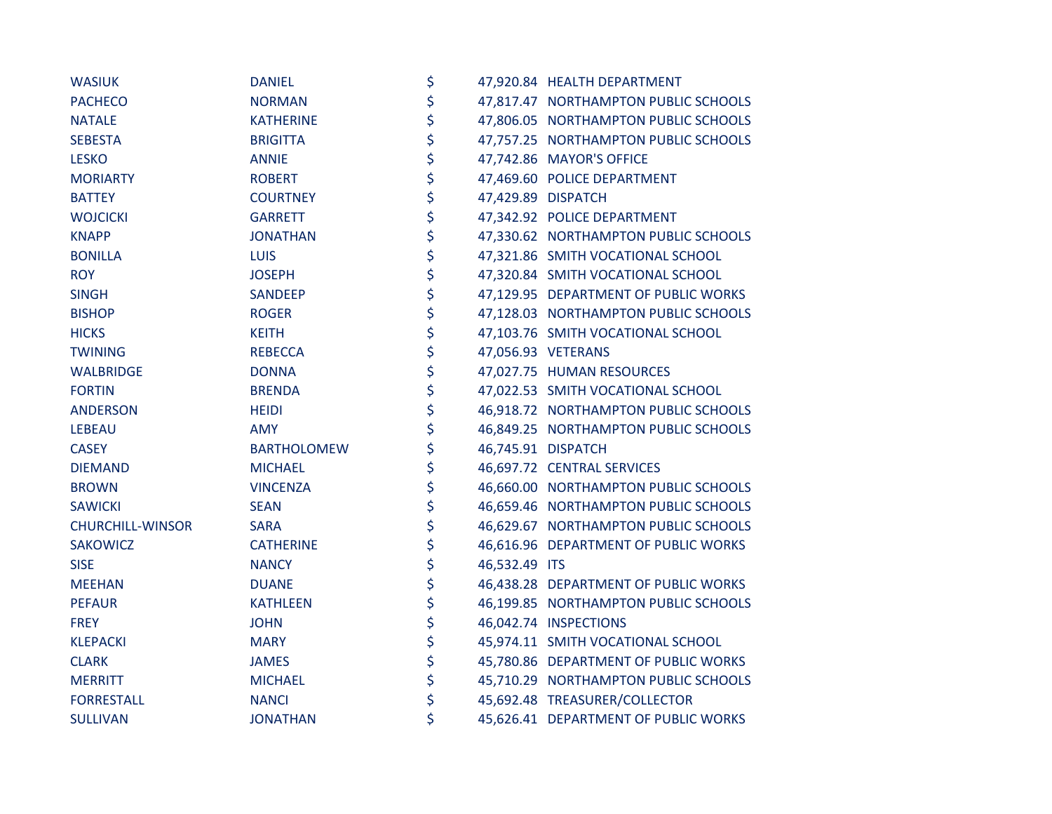| <b>WASIUK</b>           | <b>DANIEL</b>      | \$                  | 47,920.84 HEALTH DEPARTMENT          |
|-------------------------|--------------------|---------------------|--------------------------------------|
| <b>PACHECO</b>          | <b>NORMAN</b>      | \$                  | 47,817.47 NORTHAMPTON PUBLIC SCHOOLS |
| <b>NATALE</b>           | <b>KATHERINE</b>   | \$                  | 47,806.05 NORTHAMPTON PUBLIC SCHOOLS |
| <b>SEBESTA</b>          | <b>BRIGITTA</b>    | \$                  | 47,757.25 NORTHAMPTON PUBLIC SCHOOLS |
| <b>LESKO</b>            | <b>ANNIE</b>       | \$                  | 47,742.86 MAYOR'S OFFICE             |
| <b>MORIARTY</b>         | <b>ROBERT</b>      | \$                  | 47,469.60 POLICE DEPARTMENT          |
| <b>BATTEY</b>           | <b>COURTNEY</b>    | \$                  | 47,429.89 DISPATCH                   |
| <b>WOJCICKI</b>         | <b>GARRETT</b>     | \$                  | 47,342.92 POLICE DEPARTMENT          |
| <b>KNAPP</b>            | <b>JONATHAN</b>    | \$                  | 47,330.62 NORTHAMPTON PUBLIC SCHOOLS |
| <b>BONILLA</b>          | <b>LUIS</b>        | \$                  | 47,321.86 SMITH VOCATIONAL SCHOOL    |
| <b>ROY</b>              | <b>JOSEPH</b>      | \$                  | 47,320.84 SMITH VOCATIONAL SCHOOL    |
| <b>SINGH</b>            | SANDEEP            | \$                  | 47,129.95 DEPARTMENT OF PUBLIC WORKS |
| <b>BISHOP</b>           | <b>ROGER</b>       | \$                  | 47,128.03 NORTHAMPTON PUBLIC SCHOOLS |
| <b>HICKS</b>            | <b>KEITH</b>       | \$                  | 47,103.76 SMITH VOCATIONAL SCHOOL    |
| <b>TWINING</b>          | <b>REBECCA</b>     | \$                  | 47,056.93 VETERANS                   |
| <b>WALBRIDGE</b>        | <b>DONNA</b>       | \$                  | 47,027.75 HUMAN RESOURCES            |
| <b>FORTIN</b>           | <b>BRENDA</b>      | \$                  | 47,022.53 SMITH VOCATIONAL SCHOOL    |
| <b>ANDERSON</b>         | <b>HEIDI</b>       | \$                  | 46,918.72 NORTHAMPTON PUBLIC SCHOOLS |
| <b>LEBEAU</b>           | <b>AMY</b>         | \$                  | 46,849.25 NORTHAMPTON PUBLIC SCHOOLS |
| <b>CASEY</b>            | <b>BARTHOLOMEW</b> | \$                  | 46,745.91 DISPATCH                   |
| <b>DIEMAND</b>          | <b>MICHAEL</b>     | \$                  | 46,697.72 CENTRAL SERVICES           |
| <b>BROWN</b>            | <b>VINCENZA</b>    | \$                  | 46,660.00 NORTHAMPTON PUBLIC SCHOOLS |
| <b>SAWICKI</b>          | <b>SEAN</b>        | \$                  | 46,659.46 NORTHAMPTON PUBLIC SCHOOLS |
| <b>CHURCHILL-WINSOR</b> | <b>SARA</b>        | \$                  | 46,629.67 NORTHAMPTON PUBLIC SCHOOLS |
| <b>SAKOWICZ</b>         | <b>CATHERINE</b>   | \$                  | 46,616.96 DEPARTMENT OF PUBLIC WORKS |
| <b>SISE</b>             | <b>NANCY</b>       | \$<br>46,532.49 ITS |                                      |
| <b>MEEHAN</b>           | <b>DUANE</b>       | \$                  | 46,438.28 DEPARTMENT OF PUBLIC WORKS |
| <b>PEFAUR</b>           | <b>KATHLEEN</b>    | \$                  | 46,199.85 NORTHAMPTON PUBLIC SCHOOLS |
| <b>FREY</b>             | <b>JOHN</b>        | \$                  | 46,042.74 INSPECTIONS                |
| <b>KLEPACKI</b>         | <b>MARY</b>        | \$                  | 45,974.11 SMITH VOCATIONAL SCHOOL    |
| <b>CLARK</b>            | <b>JAMES</b>       | \$                  | 45,780.86 DEPARTMENT OF PUBLIC WORKS |
| <b>MERRITT</b>          | <b>MICHAEL</b>     | \$                  | 45,710.29 NORTHAMPTON PUBLIC SCHOOLS |
| <b>FORRESTALL</b>       | <b>NANCI</b>       | \$                  | 45,692.48 TREASURER/COLLECTOR        |
| <b>SULLIVAN</b>         | <b>JONATHAN</b>    | \$                  | 45,626.41 DEPARTMENT OF PUBLIC WORKS |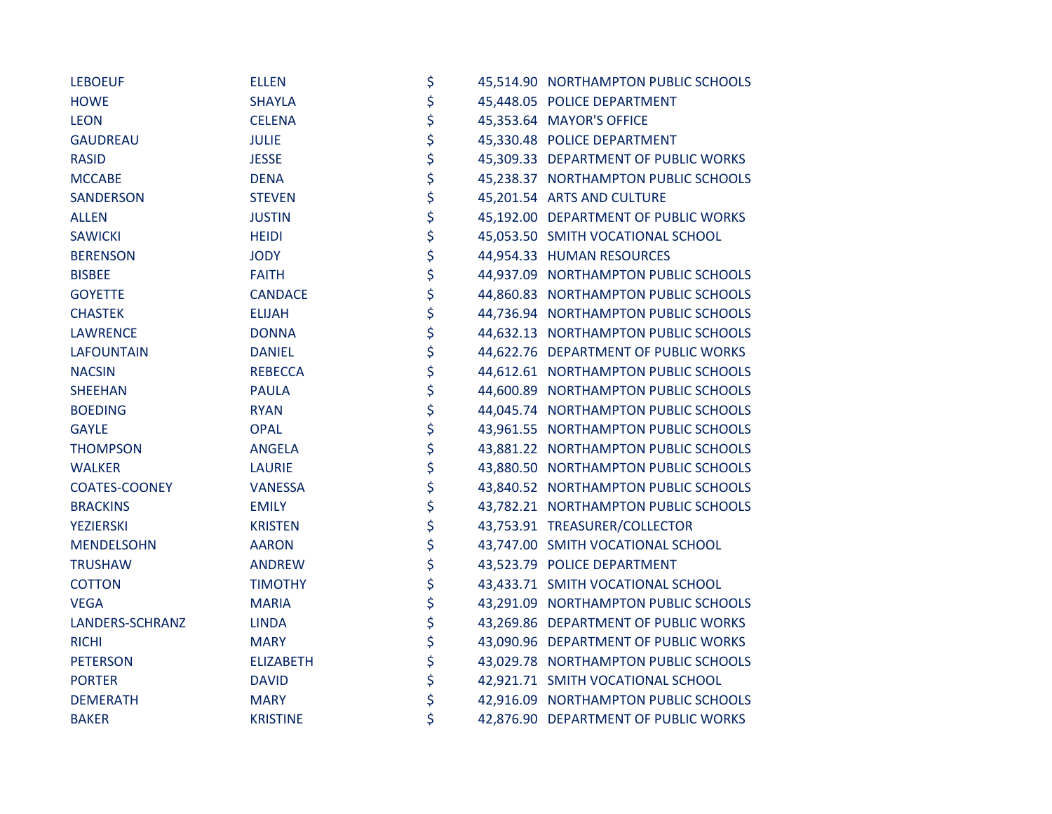| <b>LEBOEUF</b>       | <b>ELLEN</b>     | \$       | 45,514.90 NORTHAMPTON PUBLIC SCHOOLS |
|----------------------|------------------|----------|--------------------------------------|
| <b>HOWE</b>          | <b>SHAYLA</b>    | \$       | 45,448.05 POLICE DEPARTMENT          |
| <b>LEON</b>          | <b>CELENA</b>    | \$       | 45,353.64 MAYOR'S OFFICE             |
| <b>GAUDREAU</b>      | <b>JULIE</b>     | \$       | 45,330.48 POLICE DEPARTMENT          |
| <b>RASID</b>         | <b>JESSE</b>     | \$       | 45,309.33 DEPARTMENT OF PUBLIC WORKS |
| <b>MCCABE</b>        | <b>DENA</b>      | \$       | 45,238.37 NORTHAMPTON PUBLIC SCHOOLS |
| <b>SANDERSON</b>     | <b>STEVEN</b>    | \$       | 45,201.54 ARTS AND CULTURE           |
| <b>ALLEN</b>         | <b>JUSTIN</b>    | \$       | 45,192.00 DEPARTMENT OF PUBLIC WORKS |
| <b>SAWICKI</b>       | <b>HEIDI</b>     | \$       | 45,053.50 SMITH VOCATIONAL SCHOOL    |
| <b>BERENSON</b>      | <b>JODY</b>      | \$       | 44,954.33 HUMAN RESOURCES            |
| <b>BISBEE</b>        | <b>FAITH</b>     | \$       | 44,937.09 NORTHAMPTON PUBLIC SCHOOLS |
| <b>GOYETTE</b>       | <b>CANDACE</b>   |          | 44,860.83 NORTHAMPTON PUBLIC SCHOOLS |
| <b>CHASTEK</b>       | <b>ELIJAH</b>    | \$<br>\$ | 44,736.94 NORTHAMPTON PUBLIC SCHOOLS |
| <b>LAWRENCE</b>      | <b>DONNA</b>     | \$       | 44,632.13 NORTHAMPTON PUBLIC SCHOOLS |
| <b>LAFOUNTAIN</b>    | <b>DANIEL</b>    | \$       | 44,622.76 DEPARTMENT OF PUBLIC WORKS |
| <b>NACSIN</b>        | <b>REBECCA</b>   | \$       | 44,612.61 NORTHAMPTON PUBLIC SCHOOLS |
| <b>SHEEHAN</b>       | <b>PAULA</b>     | \$       | 44,600.89 NORTHAMPTON PUBLIC SCHOOLS |
| <b>BOEDING</b>       | <b>RYAN</b>      | \$       | 44,045.74 NORTHAMPTON PUBLIC SCHOOLS |
| <b>GAYLE</b>         | <b>OPAL</b>      | \$       | 43,961.55 NORTHAMPTON PUBLIC SCHOOLS |
| <b>THOMPSON</b>      | <b>ANGELA</b>    | \$       | 43,881.22 NORTHAMPTON PUBLIC SCHOOLS |
| <b>WALKER</b>        | <b>LAURIE</b>    | \$       | 43,880.50 NORTHAMPTON PUBLIC SCHOOLS |
| <b>COATES-COONEY</b> | <b>VANESSA</b>   | \$       | 43,840.52 NORTHAMPTON PUBLIC SCHOOLS |
| <b>BRACKINS</b>      | <b>EMILY</b>     | \$       | 43,782.21 NORTHAMPTON PUBLIC SCHOOLS |
| <b>YEZIERSKI</b>     | <b>KRISTEN</b>   | \$       | 43,753.91 TREASURER/COLLECTOR        |
| <b>MENDELSOHN</b>    | <b>AARON</b>     | \$       | 43,747.00 SMITH VOCATIONAL SCHOOL    |
| <b>TRUSHAW</b>       | <b>ANDREW</b>    | \$       | 43,523.79 POLICE DEPARTMENT          |
| <b>COTTON</b>        | <b>TIMOTHY</b>   | \$       | 43,433.71 SMITH VOCATIONAL SCHOOL    |
| <b>VEGA</b>          | <b>MARIA</b>     | \$       | 43,291.09 NORTHAMPTON PUBLIC SCHOOLS |
| LANDERS-SCHRANZ      | <b>LINDA</b>     | \$       | 43,269.86 DEPARTMENT OF PUBLIC WORKS |
| <b>RICHI</b>         | <b>MARY</b>      | \$       | 43,090.96 DEPARTMENT OF PUBLIC WORKS |
| <b>PETERSON</b>      | <b>ELIZABETH</b> | \$       | 43,029.78 NORTHAMPTON PUBLIC SCHOOLS |
| <b>PORTER</b>        | <b>DAVID</b>     | \$       | 42,921.71 SMITH VOCATIONAL SCHOOL    |
| <b>DEMERATH</b>      | <b>MARY</b>      | \$       | 42,916.09 NORTHAMPTON PUBLIC SCHOOLS |
| <b>BAKER</b>         | <b>KRISTINE</b>  | \$       | 42,876.90 DEPARTMENT OF PUBLIC WORKS |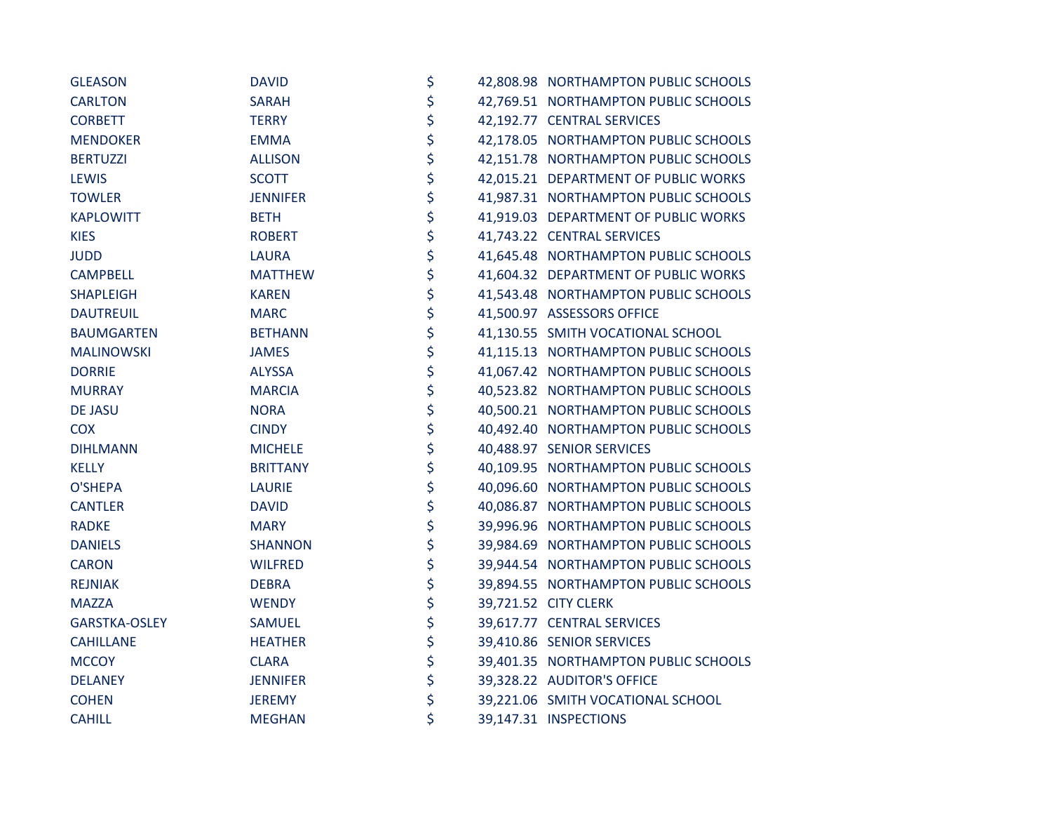| <b>GLEASON</b>       | <b>DAVID</b>    | \$ | 42,808.98 NORTHAMPTON PUBLIC SCHOOLS |
|----------------------|-----------------|----|--------------------------------------|
| <b>CARLTON</b>       | <b>SARAH</b>    | \$ | 42,769.51 NORTHAMPTON PUBLIC SCHOOLS |
| <b>CORBETT</b>       | <b>TERRY</b>    | \$ | 42,192.77 CENTRAL SERVICES           |
| <b>MENDOKER</b>      | <b>EMMA</b>     | \$ | 42,178.05 NORTHAMPTON PUBLIC SCHOOLS |
| <b>BERTUZZI</b>      | <b>ALLISON</b>  | \$ | 42,151.78 NORTHAMPTON PUBLIC SCHOOLS |
| <b>LEWIS</b>         | <b>SCOTT</b>    | \$ | 42,015.21 DEPARTMENT OF PUBLIC WORKS |
| <b>TOWLER</b>        | <b>JENNIFER</b> | \$ | 41,987.31 NORTHAMPTON PUBLIC SCHOOLS |
| <b>KAPLOWITT</b>     | <b>BETH</b>     | \$ | 41,919.03 DEPARTMENT OF PUBLIC WORKS |
| <b>KIES</b>          | <b>ROBERT</b>   | \$ | 41,743.22 CENTRAL SERVICES           |
| <b>JUDD</b>          | <b>LAURA</b>    | \$ | 41,645.48 NORTHAMPTON PUBLIC SCHOOLS |
| <b>CAMPBELL</b>      | <b>MATTHEW</b>  | \$ | 41,604.32 DEPARTMENT OF PUBLIC WORKS |
| <b>SHAPLEIGH</b>     | <b>KAREN</b>    | \$ | 41,543.48 NORTHAMPTON PUBLIC SCHOOLS |
| <b>DAUTREUIL</b>     | <b>MARC</b>     | \$ | 41,500.97 ASSESSORS OFFICE           |
| <b>BAUMGARTEN</b>    | <b>BETHANN</b>  | \$ | 41,130.55 SMITH VOCATIONAL SCHOOL    |
| <b>MALINOWSKI</b>    | <b>JAMES</b>    | \$ | 41,115.13 NORTHAMPTON PUBLIC SCHOOLS |
| <b>DORRIE</b>        | <b>ALYSSA</b>   | \$ | 41,067.42 NORTHAMPTON PUBLIC SCHOOLS |
| <b>MURRAY</b>        | <b>MARCIA</b>   | \$ | 40,523.82 NORTHAMPTON PUBLIC SCHOOLS |
| <b>DE JASU</b>       | <b>NORA</b>     | \$ | 40,500.21 NORTHAMPTON PUBLIC SCHOOLS |
| <b>COX</b>           | <b>CINDY</b>    | \$ | 40,492.40 NORTHAMPTON PUBLIC SCHOOLS |
| <b>DIHLMANN</b>      | <b>MICHELE</b>  | \$ | 40,488.97 SENIOR SERVICES            |
| <b>KELLY</b>         | <b>BRITTANY</b> | \$ | 40,109.95 NORTHAMPTON PUBLIC SCHOOLS |
| <b>O'SHEPA</b>       | <b>LAURIE</b>   | \$ | 40,096.60 NORTHAMPTON PUBLIC SCHOOLS |
| <b>CANTLER</b>       | <b>DAVID</b>    | \$ | 40,086.87 NORTHAMPTON PUBLIC SCHOOLS |
| <b>RADKE</b>         | <b>MARY</b>     | \$ | 39,996.96 NORTHAMPTON PUBLIC SCHOOLS |
| <b>DANIELS</b>       | <b>SHANNON</b>  | \$ | 39,984.69 NORTHAMPTON PUBLIC SCHOOLS |
| <b>CARON</b>         | <b>WILFRED</b>  | \$ | 39,944.54 NORTHAMPTON PUBLIC SCHOOLS |
| <b>REJNIAK</b>       | <b>DEBRA</b>    | \$ | 39,894.55 NORTHAMPTON PUBLIC SCHOOLS |
| <b>MAZZA</b>         | <b>WENDY</b>    | \$ | 39,721.52 CITY CLERK                 |
| <b>GARSTKA-OSLEY</b> | <b>SAMUEL</b>   | \$ | 39,617.77 CENTRAL SERVICES           |
| <b>CAHILLANE</b>     | <b>HEATHER</b>  | \$ | 39,410.86 SENIOR SERVICES            |
| <b>MCCOY</b>         | <b>CLARA</b>    | \$ | 39,401.35 NORTHAMPTON PUBLIC SCHOOLS |
| <b>DELANEY</b>       | <b>JENNIFER</b> | \$ | 39,328.22 AUDITOR'S OFFICE           |
| <b>COHEN</b>         | <b>JEREMY</b>   | \$ | 39,221.06 SMITH VOCATIONAL SCHOOL    |
| <b>CAHILL</b>        | <b>MEGHAN</b>   | \$ | 39,147.31 INSPECTIONS                |
|                      |                 |    |                                      |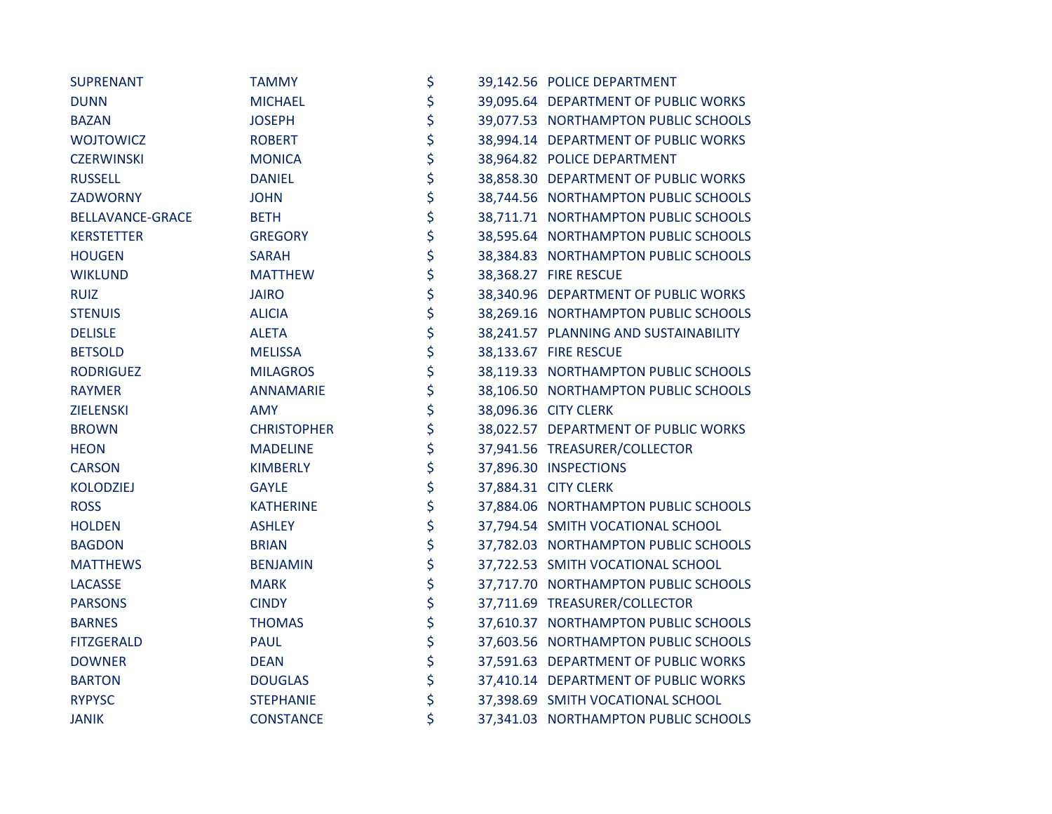| <b>SUPRENANT</b>  | <b>TAMMY</b>       | \$ | 39,142.56 POLICE DEPARTMENT           |
|-------------------|--------------------|----|---------------------------------------|
| <b>DUNN</b>       | <b>MICHAEL</b>     | \$ | 39,095.64 DEPARTMENT OF PUBLIC WORKS  |
| <b>BAZAN</b>      | <b>JOSEPH</b>      | \$ | 39,077.53 NORTHAMPTON PUBLIC SCHOOLS  |
| <b>WOJTOWICZ</b>  | <b>ROBERT</b>      | \$ | 38,994.14 DEPARTMENT OF PUBLIC WORKS  |
| <b>CZERWINSKI</b> | <b>MONICA</b>      | \$ | 38,964.82 POLICE DEPARTMENT           |
| <b>RUSSELL</b>    | <b>DANIEL</b>      | \$ | 38,858.30 DEPARTMENT OF PUBLIC WORKS  |
| ZADWORNY          | <b>JOHN</b>        | \$ | 38,744.56 NORTHAMPTON PUBLIC SCHOOLS  |
| BELLAVANCE-GRACE  | <b>BETH</b>        | \$ | 38,711.71 NORTHAMPTON PUBLIC SCHOOLS  |
| <b>KERSTETTER</b> | <b>GREGORY</b>     | \$ | 38,595.64 NORTHAMPTON PUBLIC SCHOOLS  |
| <b>HOUGEN</b>     | <b>SARAH</b>       | \$ | 38,384.83 NORTHAMPTON PUBLIC SCHOOLS  |
| <b>WIKLUND</b>    | <b>MATTHEW</b>     | \$ | 38,368.27 FIRE RESCUE                 |
| <b>RUIZ</b>       | <b>JAIRO</b>       | \$ | 38,340.96 DEPARTMENT OF PUBLIC WORKS  |
| <b>STENUIS</b>    | <b>ALICIA</b>      | \$ | 38,269.16 NORTHAMPTON PUBLIC SCHOOLS  |
| <b>DELISLE</b>    | <b>ALETA</b>       | \$ | 38,241.57 PLANNING AND SUSTAINABILITY |
| <b>BETSOLD</b>    | <b>MELISSA</b>     | \$ | 38,133.67 FIRE RESCUE                 |
| <b>RODRIGUEZ</b>  | <b>MILAGROS</b>    | \$ | 38,119.33 NORTHAMPTON PUBLIC SCHOOLS  |
| <b>RAYMER</b>     | <b>ANNAMARIE</b>   | \$ | 38,106.50 NORTHAMPTON PUBLIC SCHOOLS  |
| <b>ZIELENSKI</b>  | <b>AMY</b>         | \$ | 38,096.36 CITY CLERK                  |
| <b>BROWN</b>      | <b>CHRISTOPHER</b> | \$ | 38,022.57 DEPARTMENT OF PUBLIC WORKS  |
| <b>HEON</b>       | <b>MADELINE</b>    | \$ | 37,941.56 TREASURER/COLLECTOR         |
| <b>CARSON</b>     | <b>KIMBERLY</b>    | \$ | 37,896.30 INSPECTIONS                 |
| <b>KOLODZIEJ</b>  | <b>GAYLE</b>       | \$ | 37,884.31 CITY CLERK                  |
| <b>ROSS</b>       | <b>KATHERINE</b>   | \$ | 37,884.06 NORTHAMPTON PUBLIC SCHOOLS  |
| <b>HOLDEN</b>     | <b>ASHLEY</b>      | \$ | 37,794.54 SMITH VOCATIONAL SCHOOL     |
| <b>BAGDON</b>     | <b>BRIAN</b>       | \$ | 37,782.03 NORTHAMPTON PUBLIC SCHOOLS  |
| <b>MATTHEWS</b>   | <b>BENJAMIN</b>    | \$ | 37,722.53 SMITH VOCATIONAL SCHOOL     |
| <b>LACASSE</b>    | <b>MARK</b>        | \$ | 37,717.70 NORTHAMPTON PUBLIC SCHOOLS  |
| <b>PARSONS</b>    | <b>CINDY</b>       | \$ | 37,711.69 TREASURER/COLLECTOR         |
| <b>BARNES</b>     | <b>THOMAS</b>      | \$ | 37,610.37 NORTHAMPTON PUBLIC SCHOOLS  |
| <b>FITZGERALD</b> | <b>PAUL</b>        | \$ | 37,603.56 NORTHAMPTON PUBLIC SCHOOLS  |
| <b>DOWNER</b>     | <b>DEAN</b>        | \$ | 37,591.63 DEPARTMENT OF PUBLIC WORKS  |
| <b>BARTON</b>     | <b>DOUGLAS</b>     | \$ | 37,410.14 DEPARTMENT OF PUBLIC WORKS  |
| <b>RYPYSC</b>     | <b>STEPHANIE</b>   | \$ | 37,398.69 SMITH VOCATIONAL SCHOOL     |
| <b>JANIK</b>      | <b>CONSTANCE</b>   | \$ | 37,341.03 NORTHAMPTON PUBLIC SCHOOLS  |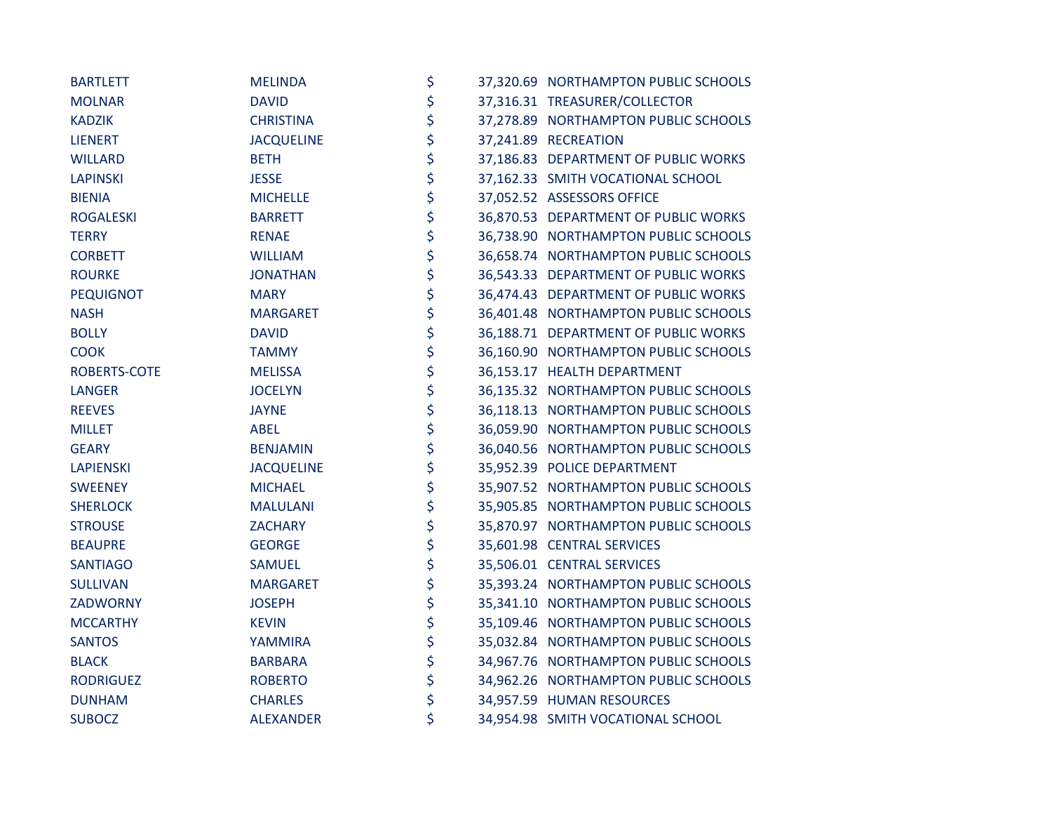| <b>BARTLETT</b>  | <b>MELINDA</b>    | \$ | 37,320.69 NORTHAMPTON PUBLIC SCHOOLS |
|------------------|-------------------|----|--------------------------------------|
| <b>MOLNAR</b>    | <b>DAVID</b>      | \$ | 37,316.31 TREASURER/COLLECTOR        |
| <b>KADZIK</b>    | <b>CHRISTINA</b>  | \$ | 37,278.89 NORTHAMPTON PUBLIC SCHOOLS |
| <b>LIENERT</b>   | <b>JACQUELINE</b> | \$ | 37,241.89 RECREATION                 |
| <b>WILLARD</b>   | <b>BETH</b>       | \$ | 37,186.83 DEPARTMENT OF PUBLIC WORKS |
| <b>LAPINSKI</b>  | <b>JESSE</b>      | \$ | 37,162.33 SMITH VOCATIONAL SCHOOL    |
| <b>BIENIA</b>    | <b>MICHELLE</b>   | \$ | 37,052.52 ASSESSORS OFFICE           |
| <b>ROGALESKI</b> | <b>BARRETT</b>    | \$ | 36,870.53 DEPARTMENT OF PUBLIC WORKS |
| <b>TERRY</b>     | <b>RENAE</b>      | \$ | 36,738.90 NORTHAMPTON PUBLIC SCHOOLS |
| <b>CORBETT</b>   | <b>WILLIAM</b>    | \$ | 36,658.74 NORTHAMPTON PUBLIC SCHOOLS |
| <b>ROURKE</b>    | <b>JONATHAN</b>   | \$ | 36,543.33 DEPARTMENT OF PUBLIC WORKS |
| <b>PEQUIGNOT</b> | <b>MARY</b>       | \$ | 36,474.43 DEPARTMENT OF PUBLIC WORKS |
| <b>NASH</b>      | <b>MARGARET</b>   | \$ | 36,401.48 NORTHAMPTON PUBLIC SCHOOLS |
| <b>BOLLY</b>     | <b>DAVID</b>      | \$ | 36,188.71 DEPARTMENT OF PUBLIC WORKS |
| <b>COOK</b>      | <b>TAMMY</b>      | \$ | 36,160.90 NORTHAMPTON PUBLIC SCHOOLS |
| ROBERTS-COTE     | <b>MELISSA</b>    | \$ | 36,153.17 HEALTH DEPARTMENT          |
| <b>LANGER</b>    | <b>JOCELYN</b>    | \$ | 36,135.32 NORTHAMPTON PUBLIC SCHOOLS |
| <b>REEVES</b>    | <b>JAYNE</b>      | \$ | 36,118.13 NORTHAMPTON PUBLIC SCHOOLS |
| <b>MILLET</b>    | <b>ABEL</b>       | \$ | 36,059.90 NORTHAMPTON PUBLIC SCHOOLS |
| <b>GEARY</b>     | <b>BENJAMIN</b>   | \$ | 36,040.56 NORTHAMPTON PUBLIC SCHOOLS |
| <b>LAPIENSKI</b> | <b>JACQUELINE</b> | \$ | 35,952.39 POLICE DEPARTMENT          |
| <b>SWEENEY</b>   | <b>MICHAEL</b>    | \$ | 35,907.52 NORTHAMPTON PUBLIC SCHOOLS |
| <b>SHERLOCK</b>  | <b>MALULANI</b>   | \$ | 35,905.85 NORTHAMPTON PUBLIC SCHOOLS |
| <b>STROUSE</b>   | <b>ZACHARY</b>    | \$ | 35,870.97 NORTHAMPTON PUBLIC SCHOOLS |
| <b>BEAUPRE</b>   | <b>GEORGE</b>     | \$ | 35,601.98 CENTRAL SERVICES           |
| <b>SANTIAGO</b>  | <b>SAMUEL</b>     | \$ | 35,506.01 CENTRAL SERVICES           |
| <b>SULLIVAN</b>  | <b>MARGARET</b>   | \$ | 35,393.24 NORTHAMPTON PUBLIC SCHOOLS |
| ZADWORNY         | <b>JOSEPH</b>     | \$ | 35,341.10 NORTHAMPTON PUBLIC SCHOOLS |
| <b>MCCARTHY</b>  | <b>KEVIN</b>      | \$ | 35,109.46 NORTHAMPTON PUBLIC SCHOOLS |
| <b>SANTOS</b>    | YAMMIRA           | \$ | 35,032.84 NORTHAMPTON PUBLIC SCHOOLS |
| <b>BLACK</b>     | <b>BARBARA</b>    | \$ | 34,967.76 NORTHAMPTON PUBLIC SCHOOLS |
| <b>RODRIGUEZ</b> | <b>ROBERTO</b>    | \$ | 34,962.26 NORTHAMPTON PUBLIC SCHOOLS |
| <b>DUNHAM</b>    | <b>CHARLES</b>    | \$ | 34,957.59 HUMAN RESOURCES            |
| <b>SUBOCZ</b>    | <b>ALEXANDER</b>  | \$ | 34,954.98 SMITH VOCATIONAL SCHOOL    |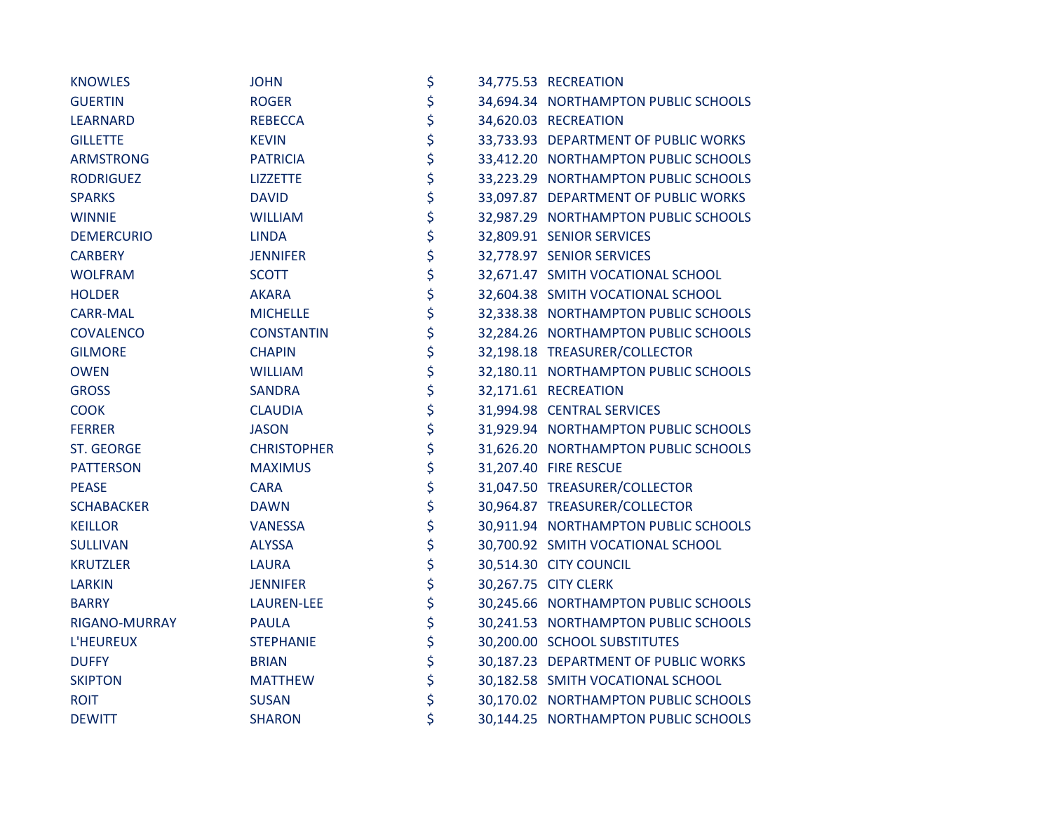| <b>KNOWLES</b>    | <b>JOHN</b>        | \$       | 34,775.53 RECREATION                 |
|-------------------|--------------------|----------|--------------------------------------|
| <b>GUERTIN</b>    | <b>ROGER</b>       | \$       | 34,694.34 NORTHAMPTON PUBLIC SCHOOLS |
| <b>LEARNARD</b>   | <b>REBECCA</b>     | \$       | 34,620.03 RECREATION                 |
| <b>GILLETTE</b>   | <b>KEVIN</b>       | \$       | 33,733.93 DEPARTMENT OF PUBLIC WORKS |
| <b>ARMSTRONG</b>  | <b>PATRICIA</b>    | \$       | 33,412.20 NORTHAMPTON PUBLIC SCHOOLS |
| <b>RODRIGUEZ</b>  | <b>LIZZETTE</b>    | \$       | 33,223.29 NORTHAMPTON PUBLIC SCHOOLS |
| <b>SPARKS</b>     | <b>DAVID</b>       |          | 33,097.87 DEPARTMENT OF PUBLIC WORKS |
| <b>WINNIE</b>     | <b>WILLIAM</b>     | \$<br>\$ | 32,987.29 NORTHAMPTON PUBLIC SCHOOLS |
| <b>DEMERCURIO</b> | <b>LINDA</b>       | \$       | 32,809.91 SENIOR SERVICES            |
| <b>CARBERY</b>    | <b>JENNIFER</b>    | \$       | 32,778.97 SENIOR SERVICES            |
| <b>WOLFRAM</b>    | <b>SCOTT</b>       |          | 32,671.47 SMITH VOCATIONAL SCHOOL    |
| <b>HOLDER</b>     | <b>AKARA</b>       | \$<br>\$ | 32,604.38 SMITH VOCATIONAL SCHOOL    |
| <b>CARR-MAL</b>   | <b>MICHELLE</b>    | \$       | 32,338.38 NORTHAMPTON PUBLIC SCHOOLS |
| <b>COVALENCO</b>  | <b>CONSTANTIN</b>  | \$       | 32,284.26 NORTHAMPTON PUBLIC SCHOOLS |
| <b>GILMORE</b>    | <b>CHAPIN</b>      | \$       | 32,198.18 TREASURER/COLLECTOR        |
| <b>OWEN</b>       | <b>WILLIAM</b>     | \$       | 32,180.11 NORTHAMPTON PUBLIC SCHOOLS |
| <b>GROSS</b>      | <b>SANDRA</b>      | \$       | 32,171.61 RECREATION                 |
| <b>COOK</b>       | <b>CLAUDIA</b>     | \$       | 31,994.98 CENTRAL SERVICES           |
| <b>FERRER</b>     | <b>JASON</b>       | \$       | 31,929.94 NORTHAMPTON PUBLIC SCHOOLS |
| ST. GEORGE        | <b>CHRISTOPHER</b> | \$       | 31,626.20 NORTHAMPTON PUBLIC SCHOOLS |
| <b>PATTERSON</b>  | <b>MAXIMUS</b>     | \$       | 31,207.40 FIRE RESCUE                |
| <b>PEASE</b>      | <b>CARA</b>        | \$<br>\$ | 31,047.50 TREASURER/COLLECTOR        |
| <b>SCHABACKER</b> | <b>DAWN</b>        |          | 30,964.87 TREASURER/COLLECTOR        |
| <b>KEILLOR</b>    | VANESSA            | \$       | 30,911.94 NORTHAMPTON PUBLIC SCHOOLS |
| <b>SULLIVAN</b>   | <b>ALYSSA</b>      | \$       | 30,700.92 SMITH VOCATIONAL SCHOOL    |
| <b>KRUTZLER</b>   | <b>LAURA</b>       | \$       | 30,514.30 CITY COUNCIL               |
| <b>LARKIN</b>     | <b>JENNIFER</b>    | \$       | 30,267.75 CITY CLERK                 |
| <b>BARRY</b>      | <b>LAUREN-LEE</b>  | \$       | 30,245.66 NORTHAMPTON PUBLIC SCHOOLS |
| RIGANO-MURRAY     | <b>PAULA</b>       | \$       | 30,241.53 NORTHAMPTON PUBLIC SCHOOLS |
| L'HEUREUX         | <b>STEPHANIE</b>   | \$       | 30,200.00 SCHOOL SUBSTITUTES         |
| <b>DUFFY</b>      | <b>BRIAN</b>       | \$       | 30,187.23 DEPARTMENT OF PUBLIC WORKS |
| <b>SKIPTON</b>    | <b>MATTHEW</b>     | \$       | 30,182.58 SMITH VOCATIONAL SCHOOL    |
| <b>ROIT</b>       | <b>SUSAN</b>       | \$       | 30,170.02 NORTHAMPTON PUBLIC SCHOOLS |
| <b>DEWITT</b>     | <b>SHARON</b>      | \$       | 30,144.25 NORTHAMPTON PUBLIC SCHOOLS |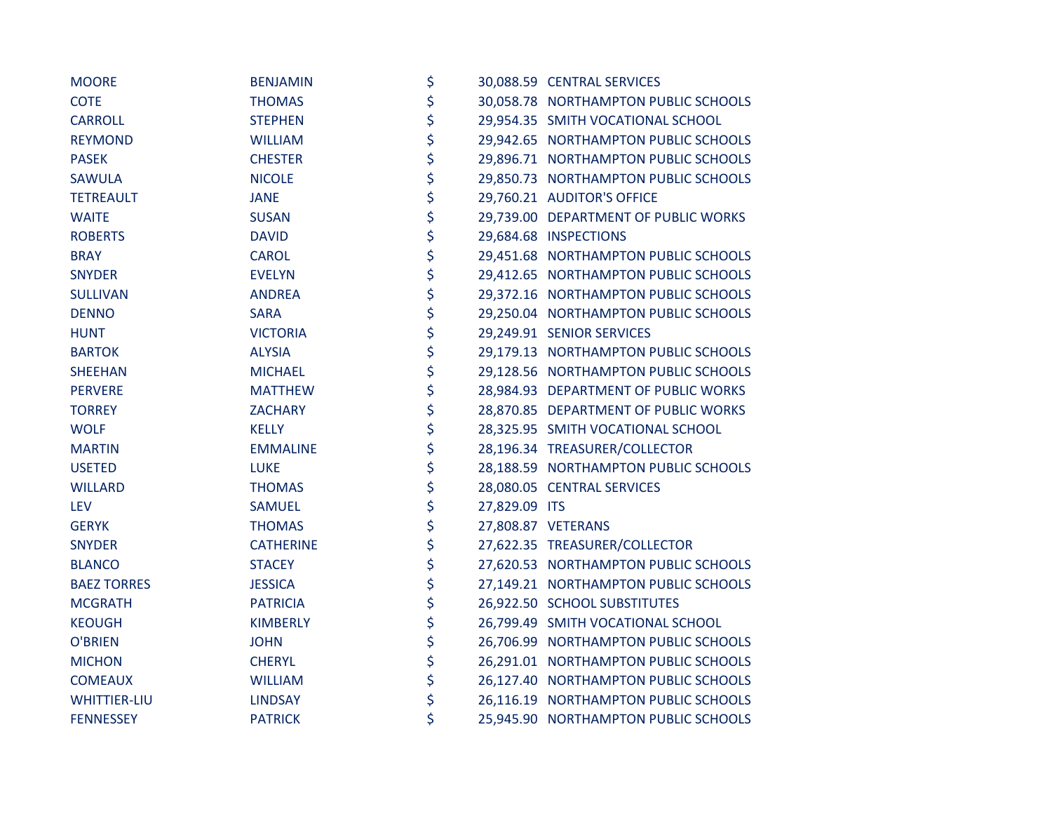| <b>MOORE</b>        | <b>BENJAMIN</b>  | \$                  | 30,088.59 CENTRAL SERVICES           |
|---------------------|------------------|---------------------|--------------------------------------|
| <b>COTE</b>         | <b>THOMAS</b>    | \$                  | 30,058.78 NORTHAMPTON PUBLIC SCHOOLS |
| <b>CARROLL</b>      | <b>STEPHEN</b>   | \$                  | 29,954.35 SMITH VOCATIONAL SCHOOL    |
| <b>REYMOND</b>      | <b>WILLIAM</b>   | \$                  | 29,942.65 NORTHAMPTON PUBLIC SCHOOLS |
| <b>PASEK</b>        | <b>CHESTER</b>   | \$                  | 29,896.71 NORTHAMPTON PUBLIC SCHOOLS |
| <b>SAWULA</b>       | <b>NICOLE</b>    | \$                  | 29,850.73 NORTHAMPTON PUBLIC SCHOOLS |
| <b>TETREAULT</b>    | <b>JANE</b>      | \$                  | 29,760.21 AUDITOR'S OFFICE           |
| <b>WAITE</b>        | <b>SUSAN</b>     | \$                  | 29,739.00 DEPARTMENT OF PUBLIC WORKS |
| <b>ROBERTS</b>      | <b>DAVID</b>     | \$                  | 29,684.68 INSPECTIONS                |
| <b>BRAY</b>         | <b>CAROL</b>     | \$                  | 29,451.68 NORTHAMPTON PUBLIC SCHOOLS |
| <b>SNYDER</b>       | <b>EVELYN</b>    | \$                  | 29,412.65 NORTHAMPTON PUBLIC SCHOOLS |
| <b>SULLIVAN</b>     | <b>ANDREA</b>    | \$                  | 29,372.16 NORTHAMPTON PUBLIC SCHOOLS |
| <b>DENNO</b>        | <b>SARA</b>      | \$                  | 29,250.04 NORTHAMPTON PUBLIC SCHOOLS |
| <b>HUNT</b>         | <b>VICTORIA</b>  | \$                  | 29,249.91 SENIOR SERVICES            |
| <b>BARTOK</b>       | <b>ALYSIA</b>    | \$                  | 29,179.13 NORTHAMPTON PUBLIC SCHOOLS |
| <b>SHEEHAN</b>      | <b>MICHAEL</b>   | \$                  | 29,128.56 NORTHAMPTON PUBLIC SCHOOLS |
| <b>PERVERE</b>      | <b>MATTHEW</b>   | \$                  | 28,984.93 DEPARTMENT OF PUBLIC WORKS |
| <b>TORREY</b>       | <b>ZACHARY</b>   | \$                  | 28,870.85 DEPARTMENT OF PUBLIC WORKS |
| <b>WOLF</b>         | <b>KELLY</b>     | \$                  | 28,325.95 SMITH VOCATIONAL SCHOOL    |
| <b>MARTIN</b>       | <b>EMMALINE</b>  | \$                  | 28,196.34 TREASURER/COLLECTOR        |
| <b>USETED</b>       | <b>LUKE</b>      | \$                  | 28,188.59 NORTHAMPTON PUBLIC SCHOOLS |
| <b>WILLARD</b>      | <b>THOMAS</b>    | \$                  | 28,080.05 CENTRAL SERVICES           |
| <b>LEV</b>          | <b>SAMUEL</b>    | \$<br>27,829.09 ITS |                                      |
| <b>GERYK</b>        | <b>THOMAS</b>    | \$                  | 27,808.87 VETERANS                   |
| <b>SNYDER</b>       | <b>CATHERINE</b> | \$                  | 27,622.35 TREASURER/COLLECTOR        |
| <b>BLANCO</b>       | <b>STACEY</b>    | \$                  | 27,620.53 NORTHAMPTON PUBLIC SCHOOLS |
| <b>BAEZ TORRES</b>  | <b>JESSICA</b>   | \$                  | 27,149.21 NORTHAMPTON PUBLIC SCHOOLS |
| <b>MCGRATH</b>      | <b>PATRICIA</b>  | \$                  | 26,922.50 SCHOOL SUBSTITUTES         |
| <b>KEOUGH</b>       | <b>KIMBERLY</b>  | \$                  | 26,799.49 SMITH VOCATIONAL SCHOOL    |
| <b>O'BRIEN</b>      | <b>JOHN</b>      | \$                  | 26,706.99 NORTHAMPTON PUBLIC SCHOOLS |
| <b>MICHON</b>       | <b>CHERYL</b>    | \$                  | 26,291.01 NORTHAMPTON PUBLIC SCHOOLS |
| <b>COMEAUX</b>      | <b>WILLIAM</b>   | \$                  | 26,127.40 NORTHAMPTON PUBLIC SCHOOLS |
| <b>WHITTIER-LIU</b> | <b>LINDSAY</b>   | \$                  | 26,116.19 NORTHAMPTON PUBLIC SCHOOLS |
| <b>FENNESSEY</b>    | <b>PATRICK</b>   | \$                  | 25,945.90 NORTHAMPTON PUBLIC SCHOOLS |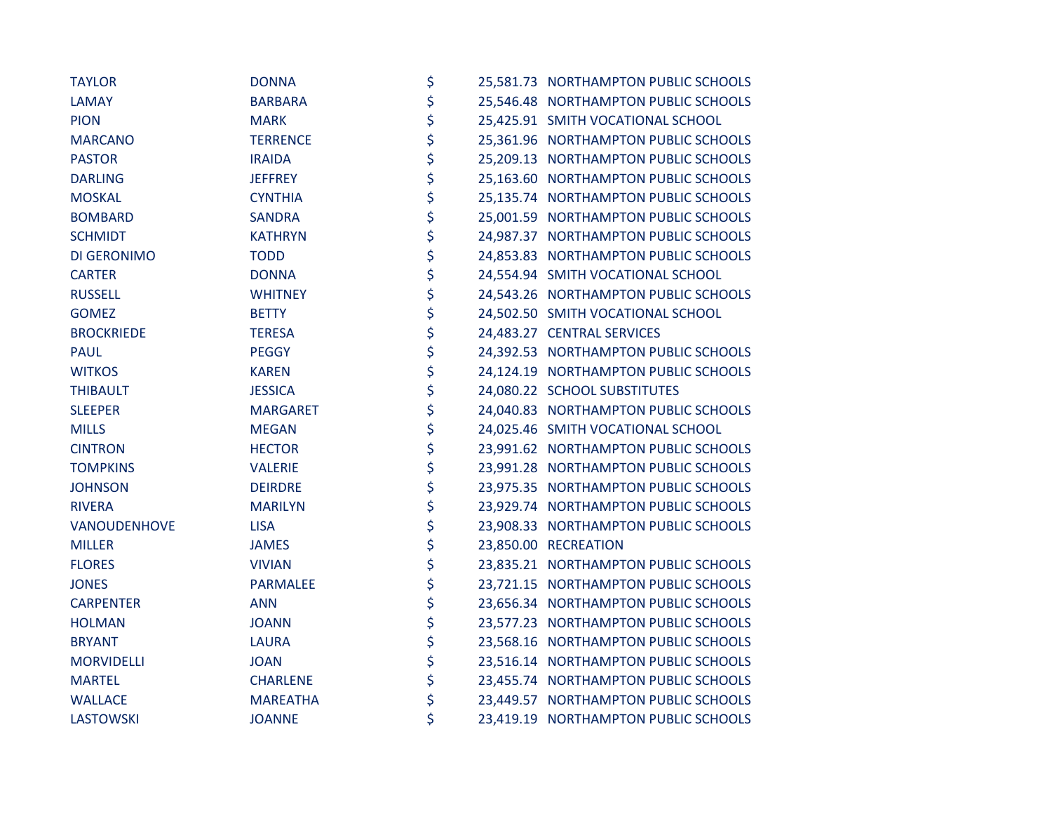| <b>TAYLOR</b>     | <b>DONNA</b>    | \$ | 25,581.73 NORTHAMPTON PUBLIC SCHOOLS |
|-------------------|-----------------|----|--------------------------------------|
| <b>LAMAY</b>      | <b>BARBARA</b>  | \$ | 25,546.48 NORTHAMPTON PUBLIC SCHOOLS |
| <b>PION</b>       | <b>MARK</b>     | \$ | 25,425.91 SMITH VOCATIONAL SCHOOL    |
| <b>MARCANO</b>    | <b>TERRENCE</b> | \$ | 25,361.96 NORTHAMPTON PUBLIC SCHOOLS |
| <b>PASTOR</b>     | <b>IRAIDA</b>   | \$ | 25,209.13 NORTHAMPTON PUBLIC SCHOOLS |
| <b>DARLING</b>    | <b>JEFFREY</b>  | \$ | 25,163.60 NORTHAMPTON PUBLIC SCHOOLS |
| <b>MOSKAL</b>     | <b>CYNTHIA</b>  | \$ | 25,135.74 NORTHAMPTON PUBLIC SCHOOLS |
| <b>BOMBARD</b>    | <b>SANDRA</b>   | \$ | 25,001.59 NORTHAMPTON PUBLIC SCHOOLS |
| <b>SCHMIDT</b>    | <b>KATHRYN</b>  | \$ | 24,987.37 NORTHAMPTON PUBLIC SCHOOLS |
| DI GERONIMO       | <b>TODD</b>     | \$ | 24,853.83 NORTHAMPTON PUBLIC SCHOOLS |
| <b>CARTER</b>     | <b>DONNA</b>    | \$ | 24,554.94 SMITH VOCATIONAL SCHOOL    |
| <b>RUSSELL</b>    | <b>WHITNEY</b>  | \$ | 24,543.26 NORTHAMPTON PUBLIC SCHOOLS |
| <b>GOMEZ</b>      | <b>BETTY</b>    | \$ | 24,502.50 SMITH VOCATIONAL SCHOOL    |
| <b>BROCKRIEDE</b> | <b>TERESA</b>   | \$ | 24,483.27 CENTRAL SERVICES           |
| <b>PAUL</b>       | <b>PEGGY</b>    | \$ | 24,392.53 NORTHAMPTON PUBLIC SCHOOLS |
| <b>WITKOS</b>     | <b>KAREN</b>    | \$ | 24,124.19 NORTHAMPTON PUBLIC SCHOOLS |
| <b>THIBAULT</b>   | <b>JESSICA</b>  | \$ | 24,080.22 SCHOOL SUBSTITUTES         |
| <b>SLEEPER</b>    | <b>MARGARET</b> | \$ | 24,040.83 NORTHAMPTON PUBLIC SCHOOLS |
| <b>MILLS</b>      | <b>MEGAN</b>    | \$ | 24,025.46 SMITH VOCATIONAL SCHOOL    |
| <b>CINTRON</b>    | <b>HECTOR</b>   | \$ | 23,991.62 NORTHAMPTON PUBLIC SCHOOLS |
| <b>TOMPKINS</b>   | <b>VALERIE</b>  | \$ | 23,991.28 NORTHAMPTON PUBLIC SCHOOLS |
| <b>JOHNSON</b>    | <b>DEIRDRE</b>  | \$ | 23,975.35 NORTHAMPTON PUBLIC SCHOOLS |
| <b>RIVERA</b>     | <b>MARILYN</b>  | \$ | 23,929.74 NORTHAMPTON PUBLIC SCHOOLS |
| VANOUDENHOVE      | <b>LISA</b>     | \$ | 23,908.33 NORTHAMPTON PUBLIC SCHOOLS |
| <b>MILLER</b>     | <b>JAMES</b>    | \$ | 23,850.00 RECREATION                 |
| <b>FLORES</b>     | <b>VIVIAN</b>   | \$ | 23,835.21 NORTHAMPTON PUBLIC SCHOOLS |
| <b>JONES</b>      | <b>PARMALEE</b> | \$ | 23,721.15 NORTHAMPTON PUBLIC SCHOOLS |
| <b>CARPENTER</b>  | <b>ANN</b>      | \$ | 23,656.34 NORTHAMPTON PUBLIC SCHOOLS |
| <b>HOLMAN</b>     | <b>JOANN</b>    | \$ | 23,577.23 NORTHAMPTON PUBLIC SCHOOLS |
| <b>BRYANT</b>     | <b>LAURA</b>    | \$ | 23,568.16 NORTHAMPTON PUBLIC SCHOOLS |
| <b>MORVIDELLI</b> | <b>JOAN</b>     | \$ | 23,516.14 NORTHAMPTON PUBLIC SCHOOLS |
| <b>MARTEL</b>     | <b>CHARLENE</b> | \$ | 23,455.74 NORTHAMPTON PUBLIC SCHOOLS |
| <b>WALLACE</b>    | <b>MAREATHA</b> | \$ | 23,449.57 NORTHAMPTON PUBLIC SCHOOLS |
| <b>LASTOWSKI</b>  | <b>JOANNE</b>   | \$ | 23,419.19 NORTHAMPTON PUBLIC SCHOOLS |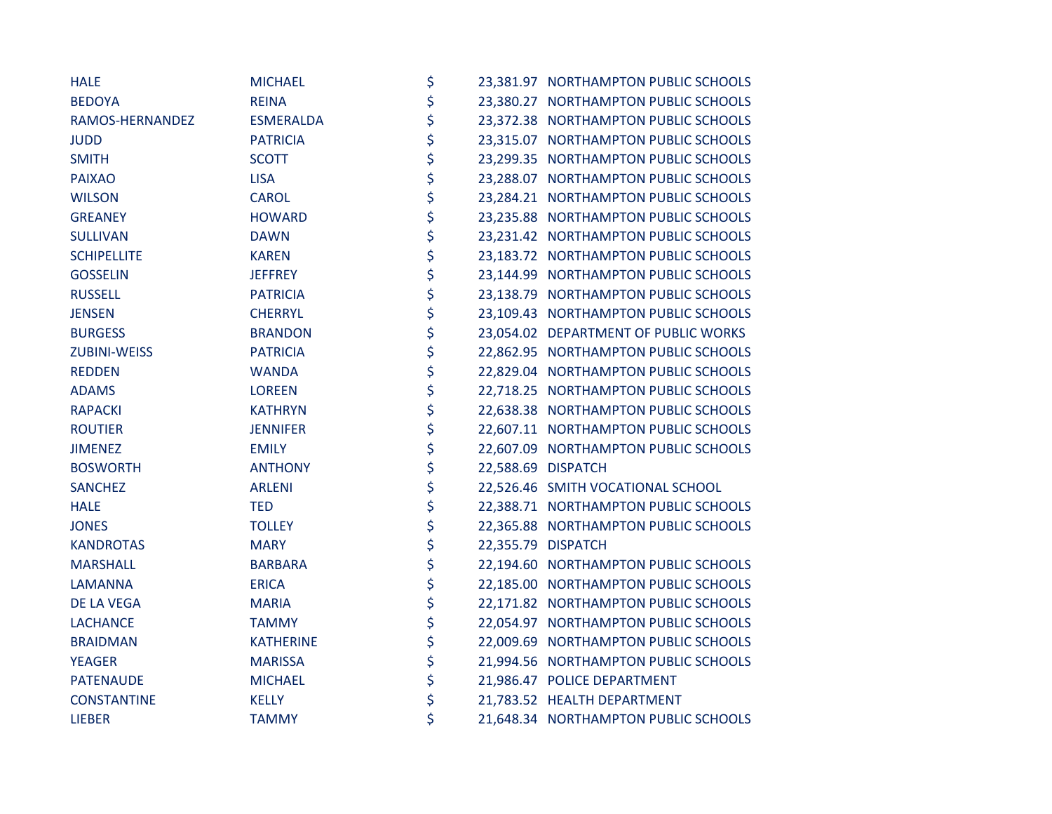| <b>HALE</b>         | <b>MICHAEL</b>   | \$ | 23,381.97 NORTHAMPTON PUBLIC SCHOOLS |
|---------------------|------------------|----|--------------------------------------|
| <b>BEDOYA</b>       | <b>REINA</b>     | \$ | 23,380.27 NORTHAMPTON PUBLIC SCHOOLS |
| RAMOS-HERNANDEZ     | <b>ESMERALDA</b> | \$ | 23,372.38 NORTHAMPTON PUBLIC SCHOOLS |
| <b>JUDD</b>         | <b>PATRICIA</b>  | \$ | 23,315.07 NORTHAMPTON PUBLIC SCHOOLS |
| <b>SMITH</b>        | <b>SCOTT</b>     | \$ | 23,299.35 NORTHAMPTON PUBLIC SCHOOLS |
| <b>PAIXAO</b>       | <b>LISA</b>      | \$ | 23,288.07 NORTHAMPTON PUBLIC SCHOOLS |
| <b>WILSON</b>       | <b>CAROL</b>     | \$ | 23,284.21 NORTHAMPTON PUBLIC SCHOOLS |
| <b>GREANEY</b>      | <b>HOWARD</b>    | \$ | 23,235.88 NORTHAMPTON PUBLIC SCHOOLS |
| <b>SULLIVAN</b>     | <b>DAWN</b>      | \$ | 23,231.42 NORTHAMPTON PUBLIC SCHOOLS |
| <b>SCHIPELLITE</b>  | <b>KAREN</b>     | \$ | 23,183.72 NORTHAMPTON PUBLIC SCHOOLS |
| <b>GOSSELIN</b>     | <b>JEFFREY</b>   | \$ | 23,144.99 NORTHAMPTON PUBLIC SCHOOLS |
| <b>RUSSELL</b>      | <b>PATRICIA</b>  | \$ | 23,138.79 NORTHAMPTON PUBLIC SCHOOLS |
| <b>JENSEN</b>       | <b>CHERRYL</b>   | \$ | 23,109.43 NORTHAMPTON PUBLIC SCHOOLS |
| <b>BURGESS</b>      | <b>BRANDON</b>   | \$ | 23,054.02 DEPARTMENT OF PUBLIC WORKS |
| <b>ZUBINI-WEISS</b> | <b>PATRICIA</b>  | \$ | 22,862.95 NORTHAMPTON PUBLIC SCHOOLS |
| <b>REDDEN</b>       | <b>WANDA</b>     | \$ | 22,829.04 NORTHAMPTON PUBLIC SCHOOLS |
| <b>ADAMS</b>        | <b>LOREEN</b>    | \$ | 22,718.25 NORTHAMPTON PUBLIC SCHOOLS |
| <b>RAPACKI</b>      | <b>KATHRYN</b>   | \$ | 22,638.38 NORTHAMPTON PUBLIC SCHOOLS |
| <b>ROUTIER</b>      | <b>JENNIFER</b>  | \$ | 22,607.11 NORTHAMPTON PUBLIC SCHOOLS |
| <b>JIMENEZ</b>      | <b>EMILY</b>     | \$ | 22,607.09 NORTHAMPTON PUBLIC SCHOOLS |
| <b>BOSWORTH</b>     | <b>ANTHONY</b>   | \$ | 22,588.69 DISPATCH                   |
| <b>SANCHEZ</b>      | <b>ARLENI</b>    | \$ | 22,526.46 SMITH VOCATIONAL SCHOOL    |
| <b>HALE</b>         | <b>TED</b>       | \$ | 22,388.71 NORTHAMPTON PUBLIC SCHOOLS |
| <b>JONES</b>        | <b>TOLLEY</b>    | \$ | 22,365.88 NORTHAMPTON PUBLIC SCHOOLS |
| <b>KANDROTAS</b>    | <b>MARY</b>      | \$ | 22,355.79 DISPATCH                   |
| <b>MARSHALL</b>     | <b>BARBARA</b>   | \$ | 22,194.60 NORTHAMPTON PUBLIC SCHOOLS |
| <b>LAMANNA</b>      | <b>ERICA</b>     | \$ | 22,185.00 NORTHAMPTON PUBLIC SCHOOLS |
| DE LA VEGA          | <b>MARIA</b>     | \$ | 22,171.82 NORTHAMPTON PUBLIC SCHOOLS |
| <b>LACHANCE</b>     | <b>TAMMY</b>     | \$ | 22,054.97 NORTHAMPTON PUBLIC SCHOOLS |
| <b>BRAIDMAN</b>     | <b>KATHERINE</b> | \$ | 22,009.69 NORTHAMPTON PUBLIC SCHOOLS |
| <b>YEAGER</b>       | <b>MARISSA</b>   | \$ | 21,994.56 NORTHAMPTON PUBLIC SCHOOLS |
| <b>PATENAUDE</b>    | <b>MICHAEL</b>   | \$ | 21,986.47 POLICE DEPARTMENT          |
| <b>CONSTANTINE</b>  | <b>KELLY</b>     | \$ | 21,783.52 HEALTH DEPARTMENT          |
| <b>LIEBER</b>       | <b>TAMMY</b>     | \$ | 21,648.34 NORTHAMPTON PUBLIC SCHOOLS |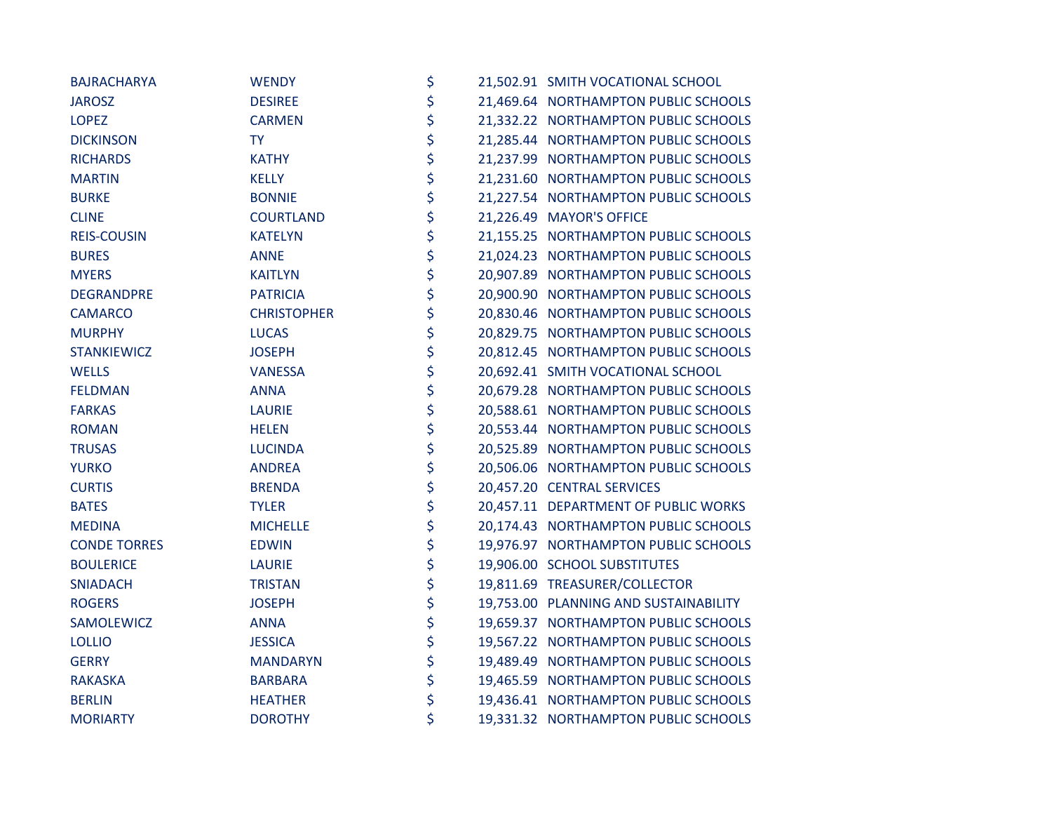| <b>BAJRACHARYA</b>  | <b>WENDY</b>       | \$ | 21,502.91 SMITH VOCATIONAL SCHOOL     |
|---------------------|--------------------|----|---------------------------------------|
| <b>JAROSZ</b>       | <b>DESIREE</b>     | \$ | 21,469.64 NORTHAMPTON PUBLIC SCHOOLS  |
| <b>LOPEZ</b>        | <b>CARMEN</b>      | \$ | 21,332.22 NORTHAMPTON PUBLIC SCHOOLS  |
| <b>DICKINSON</b>    | <b>TY</b>          | \$ | 21,285.44 NORTHAMPTON PUBLIC SCHOOLS  |
| <b>RICHARDS</b>     | <b>KATHY</b>       | \$ | 21,237.99 NORTHAMPTON PUBLIC SCHOOLS  |
| <b>MARTIN</b>       | <b>KELLY</b>       | \$ | 21,231.60 NORTHAMPTON PUBLIC SCHOOLS  |
| <b>BURKE</b>        | <b>BONNIE</b>      | \$ | 21,227.54 NORTHAMPTON PUBLIC SCHOOLS  |
| <b>CLINE</b>        | <b>COURTLAND</b>   | \$ | 21,226.49 MAYOR'S OFFICE              |
| <b>REIS-COUSIN</b>  | <b>KATELYN</b>     | \$ | 21,155.25 NORTHAMPTON PUBLIC SCHOOLS  |
| <b>BURES</b>        | <b>ANNE</b>        | \$ | 21,024.23 NORTHAMPTON PUBLIC SCHOOLS  |
| <b>MYERS</b>        | <b>KAITLYN</b>     | \$ | 20,907.89 NORTHAMPTON PUBLIC SCHOOLS  |
| DEGRANDPRE          | <b>PATRICIA</b>    | \$ | 20,900.90 NORTHAMPTON PUBLIC SCHOOLS  |
| <b>CAMARCO</b>      | <b>CHRISTOPHER</b> | \$ | 20,830.46 NORTHAMPTON PUBLIC SCHOOLS  |
| <b>MURPHY</b>       | <b>LUCAS</b>       | \$ | 20,829.75 NORTHAMPTON PUBLIC SCHOOLS  |
| <b>STANKIEWICZ</b>  | <b>JOSEPH</b>      | \$ | 20,812.45 NORTHAMPTON PUBLIC SCHOOLS  |
| <b>WELLS</b>        | <b>VANESSA</b>     | \$ | 20,692.41 SMITH VOCATIONAL SCHOOL     |
| <b>FELDMAN</b>      | <b>ANNA</b>        | \$ | 20,679.28 NORTHAMPTON PUBLIC SCHOOLS  |
| <b>FARKAS</b>       | <b>LAURIE</b>      | \$ | 20,588.61 NORTHAMPTON PUBLIC SCHOOLS  |
| <b>ROMAN</b>        | <b>HELEN</b>       | \$ | 20,553.44 NORTHAMPTON PUBLIC SCHOOLS  |
| <b>TRUSAS</b>       | <b>LUCINDA</b>     | \$ | 20,525.89 NORTHAMPTON PUBLIC SCHOOLS  |
| <b>YURKO</b>        | <b>ANDREA</b>      | \$ | 20,506.06 NORTHAMPTON PUBLIC SCHOOLS  |
| <b>CURTIS</b>       | <b>BRENDA</b>      | \$ | 20,457.20 CENTRAL SERVICES            |
| <b>BATES</b>        | <b>TYLER</b>       | \$ | 20,457.11 DEPARTMENT OF PUBLIC WORKS  |
| <b>MEDINA</b>       | <b>MICHELLE</b>    | \$ | 20,174.43 NORTHAMPTON PUBLIC SCHOOLS  |
| <b>CONDE TORRES</b> | <b>EDWIN</b>       | \$ | 19,976.97 NORTHAMPTON PUBLIC SCHOOLS  |
| <b>BOULERICE</b>    | <b>LAURIE</b>      | \$ | 19,906.00 SCHOOL SUBSTITUTES          |
| <b>SNIADACH</b>     | <b>TRISTAN</b>     | \$ | 19,811.69 TREASURER/COLLECTOR         |
| <b>ROGERS</b>       | <b>JOSEPH</b>      | \$ | 19,753.00 PLANNING AND SUSTAINABILITY |
| SAMOLEWICZ          | <b>ANNA</b>        | \$ | 19,659.37 NORTHAMPTON PUBLIC SCHOOLS  |
| <b>LOLLIO</b>       | <b>JESSICA</b>     | \$ | 19,567.22 NORTHAMPTON PUBLIC SCHOOLS  |
| <b>GERRY</b>        | <b>MANDARYN</b>    | \$ | 19,489.49 NORTHAMPTON PUBLIC SCHOOLS  |
| <b>RAKASKA</b>      | <b>BARBARA</b>     | \$ | 19,465.59 NORTHAMPTON PUBLIC SCHOOLS  |
| <b>BERLIN</b>       | <b>HEATHER</b>     | \$ | 19,436.41 NORTHAMPTON PUBLIC SCHOOLS  |
| <b>MORIARTY</b>     | <b>DOROTHY</b>     | \$ | 19,331.32 NORTHAMPTON PUBLIC SCHOOLS  |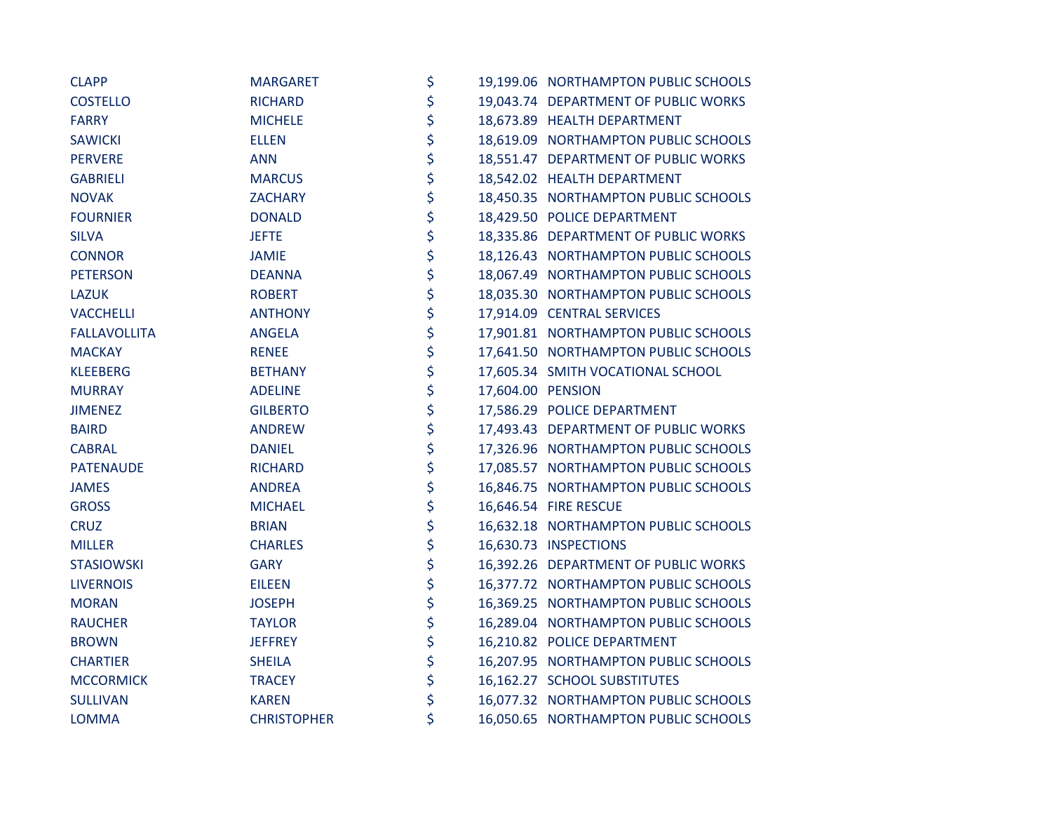| <b>CLAPP</b>        | <b>MARGARET</b>    | \$                      | 19,199.06 NORTHAMPTON PUBLIC SCHOOLS |
|---------------------|--------------------|-------------------------|--------------------------------------|
| <b>COSTELLO</b>     | <b>RICHARD</b>     | \$                      | 19,043.74 DEPARTMENT OF PUBLIC WORKS |
| <b>FARRY</b>        | <b>MICHELE</b>     | \$                      | 18,673.89 HEALTH DEPARTMENT          |
| <b>SAWICKI</b>      | <b>ELLEN</b>       | \$                      | 18,619.09 NORTHAMPTON PUBLIC SCHOOLS |
| <b>PERVERE</b>      | <b>ANN</b>         | \$                      | 18,551.47 DEPARTMENT OF PUBLIC WORKS |
| <b>GABRIELI</b>     | <b>MARCUS</b>      | \$                      | 18,542.02 HEALTH DEPARTMENT          |
| <b>NOVAK</b>        | <b>ZACHARY</b>     | \$                      | 18,450.35 NORTHAMPTON PUBLIC SCHOOLS |
| <b>FOURNIER</b>     | <b>DONALD</b>      | \$                      | 18,429.50 POLICE DEPARTMENT          |
| <b>SILVA</b>        | <b>JEFTE</b>       | \$                      | 18,335.86 DEPARTMENT OF PUBLIC WORKS |
| <b>CONNOR</b>       | <b>JAMIE</b>       | \$                      | 18,126.43 NORTHAMPTON PUBLIC SCHOOLS |
| <b>PETERSON</b>     | <b>DEANNA</b>      | \$                      | 18,067.49 NORTHAMPTON PUBLIC SCHOOLS |
| <b>LAZUK</b>        | <b>ROBERT</b>      | \$                      | 18,035.30 NORTHAMPTON PUBLIC SCHOOLS |
| <b>VACCHELLI</b>    | <b>ANTHONY</b>     | \$                      | 17,914.09 CENTRAL SERVICES           |
| <b>FALLAVOLLITA</b> | ANGELA             | \$                      | 17,901.81 NORTHAMPTON PUBLIC SCHOOLS |
| <b>MACKAY</b>       | <b>RENEE</b>       | \$                      | 17,641.50 NORTHAMPTON PUBLIC SCHOOLS |
| <b>KLEEBERG</b>     | <b>BETHANY</b>     | \$                      | 17,605.34 SMITH VOCATIONAL SCHOOL    |
| <b>MURRAY</b>       | <b>ADELINE</b>     | \$<br>17,604.00 PENSION |                                      |
| <b>JIMENEZ</b>      | <b>GILBERTO</b>    | \$                      | 17,586.29 POLICE DEPARTMENT          |
| <b>BAIRD</b>        | <b>ANDREW</b>      | \$                      | 17,493.43 DEPARTMENT OF PUBLIC WORKS |
| <b>CABRAL</b>       | <b>DANIEL</b>      | \$                      | 17,326.96 NORTHAMPTON PUBLIC SCHOOLS |
| <b>PATENAUDE</b>    | <b>RICHARD</b>     | \$                      | 17,085.57 NORTHAMPTON PUBLIC SCHOOLS |
| <b>JAMES</b>        | <b>ANDREA</b>      | \$                      | 16,846.75 NORTHAMPTON PUBLIC SCHOOLS |
| <b>GROSS</b>        | <b>MICHAEL</b>     | \$                      | 16,646.54 FIRE RESCUE                |
| <b>CRUZ</b>         | <b>BRIAN</b>       | \$                      | 16,632.18 NORTHAMPTON PUBLIC SCHOOLS |
| <b>MILLER</b>       | <b>CHARLES</b>     | \$                      | 16,630.73 INSPECTIONS                |
| <b>STASIOWSKI</b>   | <b>GARY</b>        | \$                      | 16,392.26 DEPARTMENT OF PUBLIC WORKS |
| <b>LIVERNOIS</b>    | <b>EILEEN</b>      | \$                      | 16,377.72 NORTHAMPTON PUBLIC SCHOOLS |
| <b>MORAN</b>        | <b>JOSEPH</b>      | \$                      | 16,369.25 NORTHAMPTON PUBLIC SCHOOLS |
| <b>RAUCHER</b>      | <b>TAYLOR</b>      | \$                      | 16,289.04 NORTHAMPTON PUBLIC SCHOOLS |
| <b>BROWN</b>        | <b>JEFFREY</b>     | \$                      | 16,210.82 POLICE DEPARTMENT          |
| <b>CHARTIER</b>     | <b>SHEILA</b>      | \$                      | 16,207.95 NORTHAMPTON PUBLIC SCHOOLS |
| <b>MCCORMICK</b>    | <b>TRACEY</b>      | \$                      | 16,162.27 SCHOOL SUBSTITUTES         |
| <b>SULLIVAN</b>     | <b>KAREN</b>       | \$                      | 16,077.32 NORTHAMPTON PUBLIC SCHOOLS |
| <b>LOMMA</b>        | <b>CHRISTOPHER</b> | \$                      | 16,050.65 NORTHAMPTON PUBLIC SCHOOLS |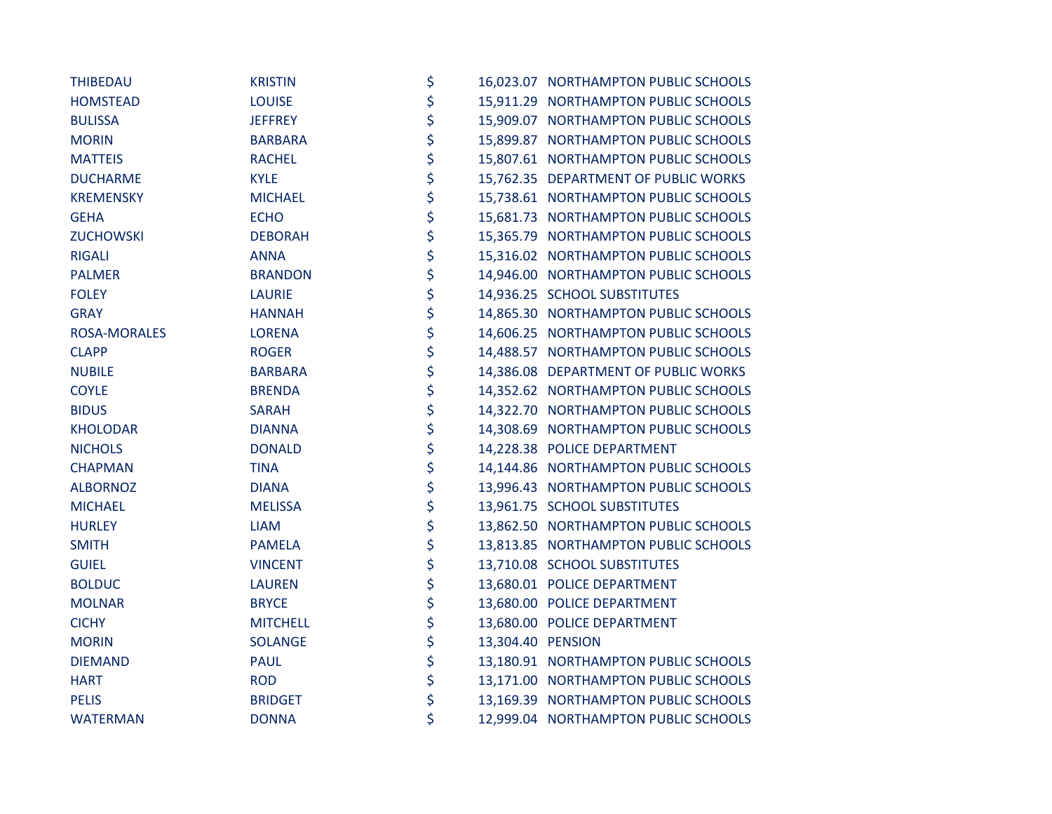| <b>THIBEDAU</b>     | <b>KRISTIN</b>  | \$                      | 16,023.07 NORTHAMPTON PUBLIC SCHOOLS |
|---------------------|-----------------|-------------------------|--------------------------------------|
| <b>HOMSTEAD</b>     | <b>LOUISE</b>   | \$                      | 15,911.29 NORTHAMPTON PUBLIC SCHOOLS |
| <b>BULISSA</b>      | <b>JEFFREY</b>  | \$                      | 15,909.07 NORTHAMPTON PUBLIC SCHOOLS |
| <b>MORIN</b>        | <b>BARBARA</b>  | \$                      | 15,899.87 NORTHAMPTON PUBLIC SCHOOLS |
| <b>MATTEIS</b>      | <b>RACHEL</b>   | \$                      | 15,807.61 NORTHAMPTON PUBLIC SCHOOLS |
| <b>DUCHARME</b>     | <b>KYLE</b>     | \$                      | 15,762.35 DEPARTMENT OF PUBLIC WORKS |
| <b>KREMENSKY</b>    | <b>MICHAEL</b>  | \$                      | 15,738.61 NORTHAMPTON PUBLIC SCHOOLS |
| <b>GEHA</b>         | <b>ECHO</b>     | \$                      | 15,681.73 NORTHAMPTON PUBLIC SCHOOLS |
| <b>ZUCHOWSKI</b>    | <b>DEBORAH</b>  | \$                      | 15,365.79 NORTHAMPTON PUBLIC SCHOOLS |
| <b>RIGALI</b>       | <b>ANNA</b>     | \$                      | 15,316.02 NORTHAMPTON PUBLIC SCHOOLS |
| <b>PALMER</b>       | <b>BRANDON</b>  | \$                      | 14,946.00 NORTHAMPTON PUBLIC SCHOOLS |
| <b>FOLEY</b>        | <b>LAURIE</b>   | \$                      | 14,936.25 SCHOOL SUBSTITUTES         |
| <b>GRAY</b>         | <b>HANNAH</b>   | \$                      | 14,865.30 NORTHAMPTON PUBLIC SCHOOLS |
| <b>ROSA-MORALES</b> | <b>LORENA</b>   | \$                      | 14,606.25 NORTHAMPTON PUBLIC SCHOOLS |
| <b>CLAPP</b>        | <b>ROGER</b>    | \$                      | 14,488.57 NORTHAMPTON PUBLIC SCHOOLS |
| <b>NUBILE</b>       | <b>BARBARA</b>  | \$                      | 14,386.08 DEPARTMENT OF PUBLIC WORKS |
| <b>COYLE</b>        | <b>BRENDA</b>   | \$                      | 14,352.62 NORTHAMPTON PUBLIC SCHOOLS |
| <b>BIDUS</b>        | <b>SARAH</b>    | \$                      | 14,322.70 NORTHAMPTON PUBLIC SCHOOLS |
| <b>KHOLODAR</b>     | <b>DIANNA</b>   | \$                      | 14,308.69 NORTHAMPTON PUBLIC SCHOOLS |
| <b>NICHOLS</b>      | <b>DONALD</b>   | \$                      | 14,228.38 POLICE DEPARTMENT          |
| <b>CHAPMAN</b>      | <b>TINA</b>     | \$                      | 14,144.86 NORTHAMPTON PUBLIC SCHOOLS |
| <b>ALBORNOZ</b>     | <b>DIANA</b>    | \$                      | 13,996.43 NORTHAMPTON PUBLIC SCHOOLS |
| <b>MICHAEL</b>      | <b>MELISSA</b>  | \$                      | 13,961.75 SCHOOL SUBSTITUTES         |
| <b>HURLEY</b>       | <b>LIAM</b>     | \$                      | 13,862.50 NORTHAMPTON PUBLIC SCHOOLS |
| <b>SMITH</b>        | <b>PAMELA</b>   | \$                      | 13,813.85 NORTHAMPTON PUBLIC SCHOOLS |
| <b>GUIEL</b>        | <b>VINCENT</b>  | \$                      | 13,710.08 SCHOOL SUBSTITUTES         |
| <b>BOLDUC</b>       | <b>LAUREN</b>   | \$                      | 13,680.01 POLICE DEPARTMENT          |
| <b>MOLNAR</b>       | <b>BRYCE</b>    | \$                      | 13,680.00 POLICE DEPARTMENT          |
| <b>CICHY</b>        | <b>MITCHELL</b> | \$                      | 13,680.00 POLICE DEPARTMENT          |
| <b>MORIN</b>        | <b>SOLANGE</b>  | \$<br>13,304.40 PENSION |                                      |
| <b>DIEMAND</b>      | <b>PAUL</b>     | \$                      | 13,180.91 NORTHAMPTON PUBLIC SCHOOLS |
| <b>HART</b>         | <b>ROD</b>      | \$                      | 13,171.00 NORTHAMPTON PUBLIC SCHOOLS |
| <b>PELIS</b>        | <b>BRIDGET</b>  | \$                      | 13,169.39 NORTHAMPTON PUBLIC SCHOOLS |
| <b>WATERMAN</b>     | <b>DONNA</b>    | \$                      | 12,999.04 NORTHAMPTON PUBLIC SCHOOLS |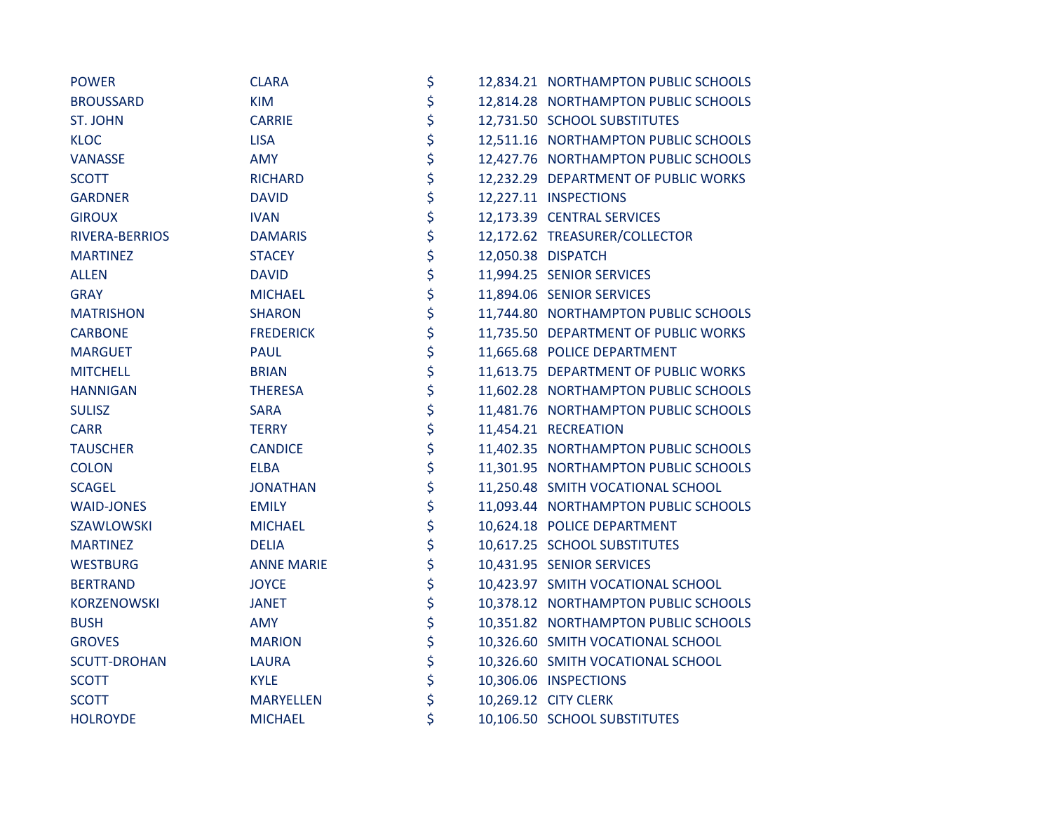| <b>POWER</b>        | <b>CLARA</b>      | \$ | 12,834.21 NORTHAMPTON PUBLIC SCHOOLS |
|---------------------|-------------------|----|--------------------------------------|
| <b>BROUSSARD</b>    | <b>KIM</b>        | \$ | 12,814.28 NORTHAMPTON PUBLIC SCHOOLS |
| <b>ST. JOHN</b>     | <b>CARRIE</b>     | \$ | 12,731.50 SCHOOL SUBSTITUTES         |
| <b>KLOC</b>         | <b>LISA</b>       | \$ | 12,511.16 NORTHAMPTON PUBLIC SCHOOLS |
| <b>VANASSE</b>      | <b>AMY</b>        | \$ | 12,427.76 NORTHAMPTON PUBLIC SCHOOLS |
| <b>SCOTT</b>        | <b>RICHARD</b>    | \$ | 12,232.29 DEPARTMENT OF PUBLIC WORKS |
| <b>GARDNER</b>      | <b>DAVID</b>      | \$ | 12,227.11 INSPECTIONS                |
| <b>GIROUX</b>       | <b>IVAN</b>       | \$ | 12,173.39 CENTRAL SERVICES           |
| RIVERA-BERRIOS      | <b>DAMARIS</b>    | \$ | 12,172.62 TREASURER/COLLECTOR        |
| <b>MARTINEZ</b>     | <b>STACEY</b>     | \$ | 12,050.38 DISPATCH                   |
| <b>ALLEN</b>        | <b>DAVID</b>      | \$ | 11,994.25 SENIOR SERVICES            |
| <b>GRAY</b>         | <b>MICHAEL</b>    | \$ | 11,894.06 SENIOR SERVICES            |
| <b>MATRISHON</b>    | <b>SHARON</b>     | \$ | 11,744.80 NORTHAMPTON PUBLIC SCHOOLS |
| <b>CARBONE</b>      | <b>FREDERICK</b>  | \$ | 11,735.50 DEPARTMENT OF PUBLIC WORKS |
| <b>MARGUET</b>      | <b>PAUL</b>       | \$ | 11,665.68 POLICE DEPARTMENT          |
| <b>MITCHELL</b>     | <b>BRIAN</b>      | \$ | 11,613.75 DEPARTMENT OF PUBLIC WORKS |
| <b>HANNIGAN</b>     | <b>THERESA</b>    | \$ | 11,602.28 NORTHAMPTON PUBLIC SCHOOLS |
| <b>SULISZ</b>       | <b>SARA</b>       | \$ | 11,481.76 NORTHAMPTON PUBLIC SCHOOLS |
| <b>CARR</b>         | <b>TERRY</b>      | \$ | 11,454.21 RECREATION                 |
| <b>TAUSCHER</b>     | <b>CANDICE</b>    | \$ | 11,402.35 NORTHAMPTON PUBLIC SCHOOLS |
| <b>COLON</b>        | <b>ELBA</b>       | \$ | 11,301.95 NORTHAMPTON PUBLIC SCHOOLS |
| <b>SCAGEL</b>       | <b>JONATHAN</b>   | \$ | 11,250.48 SMITH VOCATIONAL SCHOOL    |
| <b>WAID-JONES</b>   | <b>EMILY</b>      | \$ | 11,093.44 NORTHAMPTON PUBLIC SCHOOLS |
| SZAWLOWSKI          | <b>MICHAEL</b>    | \$ | 10,624.18 POLICE DEPARTMENT          |
| <b>MARTINEZ</b>     | <b>DELIA</b>      | \$ | 10,617.25 SCHOOL SUBSTITUTES         |
| <b>WESTBURG</b>     | <b>ANNE MARIE</b> | \$ | 10,431.95 SENIOR SERVICES            |
| <b>BERTRAND</b>     | <b>JOYCE</b>      | \$ | 10,423.97 SMITH VOCATIONAL SCHOOL    |
| KORZENOWSKI         | <b>JANET</b>      | \$ | 10,378.12 NORTHAMPTON PUBLIC SCHOOLS |
| <b>BUSH</b>         | <b>AMY</b>        | \$ | 10,351.82 NORTHAMPTON PUBLIC SCHOOLS |
| <b>GROVES</b>       | <b>MARION</b>     | \$ | 10,326.60 SMITH VOCATIONAL SCHOOL    |
| <b>SCUTT-DROHAN</b> | <b>LAURA</b>      | \$ | 10,326.60 SMITH VOCATIONAL SCHOOL    |
| <b>SCOTT</b>        | <b>KYLE</b>       | \$ | 10,306.06 INSPECTIONS                |
| <b>SCOTT</b>        | <b>MARYELLEN</b>  | \$ | 10,269.12 CITY CLERK                 |
| <b>HOLROYDE</b>     | <b>MICHAEL</b>    | \$ | 10,106.50 SCHOOL SUBSTITUTES         |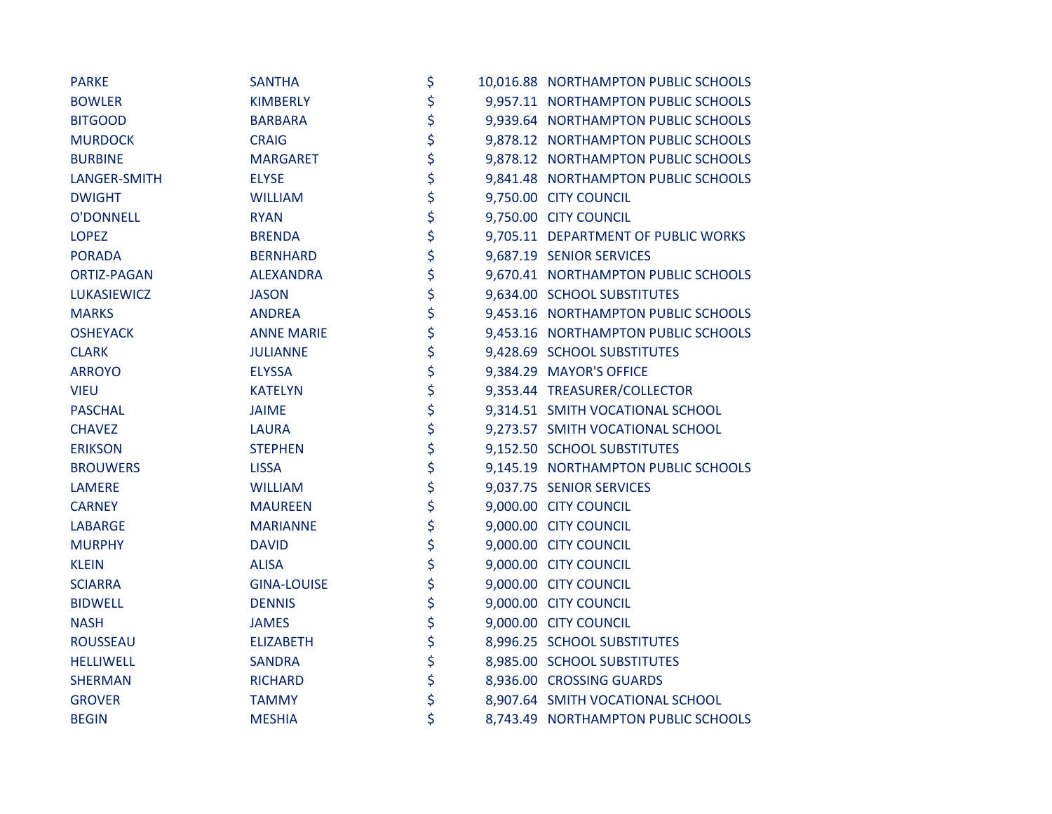| <b>PARKE</b>       | <b>SANTHA</b>      | \$ | 10,016.88 NORTHAMPTON PUBLIC SCHOOLS |
|--------------------|--------------------|----|--------------------------------------|
| <b>BOWLER</b>      | <b>KIMBERLY</b>    | \$ | 9,957.11 NORTHAMPTON PUBLIC SCHOOLS  |
| <b>BITGOOD</b>     | <b>BARBARA</b>     | \$ | 9,939.64 NORTHAMPTON PUBLIC SCHOOLS  |
| <b>MURDOCK</b>     | <b>CRAIG</b>       | \$ | 9,878.12 NORTHAMPTON PUBLIC SCHOOLS  |
| <b>BURBINE</b>     | <b>MARGARET</b>    | \$ | 9,878.12 NORTHAMPTON PUBLIC SCHOOLS  |
| LANGER-SMITH       | <b>ELYSE</b>       | \$ | 9,841.48 NORTHAMPTON PUBLIC SCHOOLS  |
| <b>DWIGHT</b>      | <b>WILLIAM</b>     | \$ | 9,750.00 CITY COUNCIL                |
| <b>O'DONNELL</b>   | <b>RYAN</b>        | \$ | 9,750.00 CITY COUNCIL                |
| <b>LOPEZ</b>       | <b>BRENDA</b>      | \$ | 9,705.11 DEPARTMENT OF PUBLIC WORKS  |
| <b>PORADA</b>      | <b>BERNHARD</b>    | \$ | 9,687.19 SENIOR SERVICES             |
| <b>ORTIZ-PAGAN</b> | <b>ALEXANDRA</b>   | \$ | 9,670.41 NORTHAMPTON PUBLIC SCHOOLS  |
| <b>LUKASIEWICZ</b> | <b>JASON</b>       | \$ | 9,634.00 SCHOOL SUBSTITUTES          |
| <b>MARKS</b>       | <b>ANDREA</b>      | \$ | 9,453.16 NORTHAMPTON PUBLIC SCHOOLS  |
| <b>OSHEYACK</b>    | <b>ANNE MARIE</b>  | \$ | 9,453.16 NORTHAMPTON PUBLIC SCHOOLS  |
| <b>CLARK</b>       | <b>JULIANNE</b>    | \$ | 9,428.69 SCHOOL SUBSTITUTES          |
| <b>ARROYO</b>      | <b>ELYSSA</b>      | \$ | 9,384.29 MAYOR'S OFFICE              |
| <b>VIEU</b>        | <b>KATELYN</b>     | \$ | 9,353.44 TREASURER/COLLECTOR         |
| <b>PASCHAL</b>     | <b>JAIME</b>       | \$ | 9,314.51 SMITH VOCATIONAL SCHOOL     |
| <b>CHAVEZ</b>      | <b>LAURA</b>       | \$ | 9,273.57 SMITH VOCATIONAL SCHOOL     |
| <b>ERIKSON</b>     | <b>STEPHEN</b>     | \$ | 9,152.50 SCHOOL SUBSTITUTES          |
| <b>BROUWERS</b>    | <b>LISSA</b>       | \$ | 9,145.19 NORTHAMPTON PUBLIC SCHOOLS  |
| <b>LAMERE</b>      | <b>WILLIAM</b>     | \$ | 9,037.75 SENIOR SERVICES             |
| <b>CARNEY</b>      | <b>MAUREEN</b>     | \$ | 9,000.00 CITY COUNCIL                |
| <b>LABARGE</b>     | <b>MARIANNE</b>    | \$ | 9,000.00 CITY COUNCIL                |
| <b>MURPHY</b>      | <b>DAVID</b>       | \$ | 9,000.00 CITY COUNCIL                |
| <b>KLEIN</b>       | <b>ALISA</b>       | \$ | 9,000.00 CITY COUNCIL                |
| <b>SCIARRA</b>     | <b>GINA-LOUISE</b> | \$ | 9,000.00 CITY COUNCIL                |
| <b>BIDWELL</b>     | <b>DENNIS</b>      | \$ | 9,000.00 CITY COUNCIL                |
| <b>NASH</b>        | <b>JAMES</b>       | \$ | 9,000.00 CITY COUNCIL                |
| <b>ROUSSEAU</b>    | <b>ELIZABETH</b>   | \$ | 8,996.25 SCHOOL SUBSTITUTES          |
| <b>HELLIWELL</b>   | <b>SANDRA</b>      | \$ | 8,985.00 SCHOOL SUBSTITUTES          |
| <b>SHERMAN</b>     | <b>RICHARD</b>     | \$ | 8,936.00 CROSSING GUARDS             |
| <b>GROVER</b>      | <b>TAMMY</b>       | \$ | 8,907.64 SMITH VOCATIONAL SCHOOL     |
| <b>BEGIN</b>       | <b>MESHIA</b>      | \$ | 8,743.49 NORTHAMPTON PUBLIC SCHOOLS  |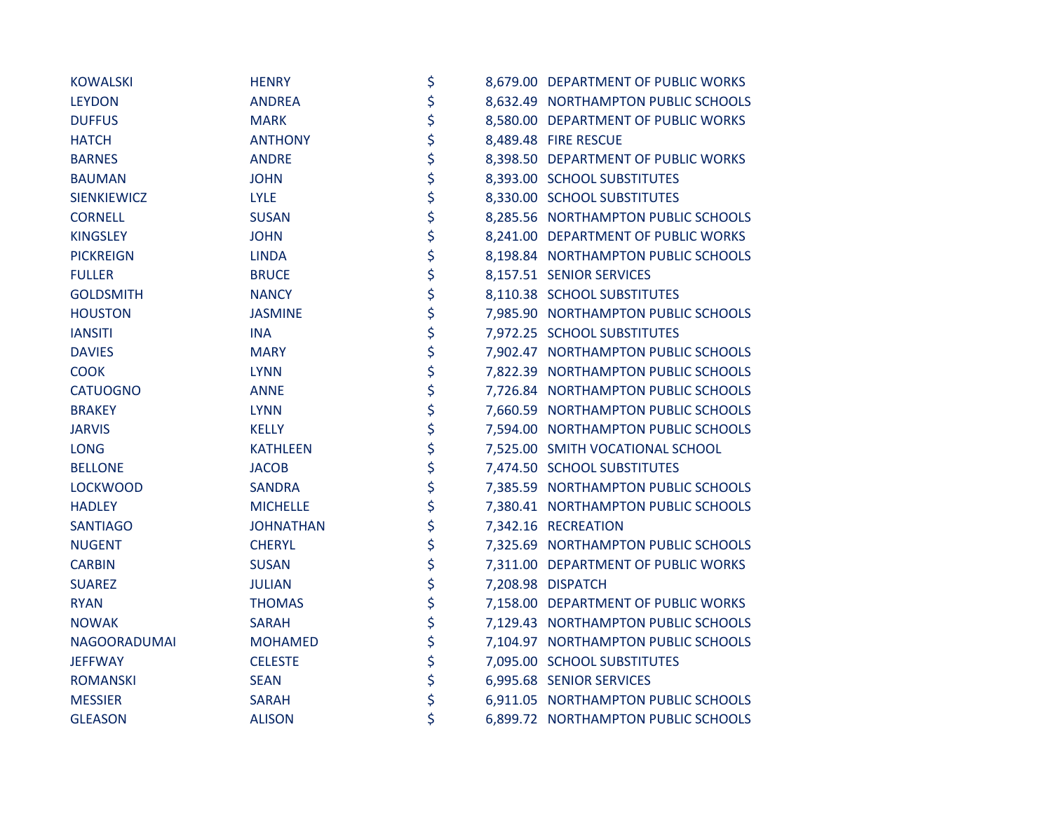| <b>KOWALSKI</b>    | <b>HENRY</b>     | \$ | 8,679.00 DEPARTMENT OF PUBLIC WORKS |
|--------------------|------------------|----|-------------------------------------|
| <b>LEYDON</b>      | <b>ANDREA</b>    | \$ | 8,632.49 NORTHAMPTON PUBLIC SCHOOLS |
| <b>DUFFUS</b>      | <b>MARK</b>      | \$ | 8,580.00 DEPARTMENT OF PUBLIC WORKS |
| <b>HATCH</b>       | <b>ANTHONY</b>   | \$ | 8,489.48 FIRE RESCUE                |
| <b>BARNES</b>      | <b>ANDRE</b>     | \$ | 8,398.50 DEPARTMENT OF PUBLIC WORKS |
| <b>BAUMAN</b>      | <b>JOHN</b>      | \$ | 8,393.00 SCHOOL SUBSTITUTES         |
| <b>SIENKIEWICZ</b> | <b>LYLE</b>      | \$ | 8,330.00 SCHOOL SUBSTITUTES         |
| <b>CORNELL</b>     | <b>SUSAN</b>     | \$ | 8,285.56 NORTHAMPTON PUBLIC SCHOOLS |
| <b>KINGSLEY</b>    | <b>JOHN</b>      | \$ | 8,241.00 DEPARTMENT OF PUBLIC WORKS |
| <b>PICKREIGN</b>   | <b>LINDA</b>     | \$ | 8,198.84 NORTHAMPTON PUBLIC SCHOOLS |
| <b>FULLER</b>      | <b>BRUCE</b>     | \$ | 8,157.51 SENIOR SERVICES            |
| <b>GOLDSMITH</b>   | <b>NANCY</b>     | \$ | 8,110.38 SCHOOL SUBSTITUTES         |
| <b>HOUSTON</b>     | <b>JASMINE</b>   | \$ | 7,985.90 NORTHAMPTON PUBLIC SCHOOLS |
| <b>IANSITI</b>     | <b>INA</b>       | \$ | 7,972.25 SCHOOL SUBSTITUTES         |
| <b>DAVIES</b>      | <b>MARY</b>      | \$ | 7,902.47 NORTHAMPTON PUBLIC SCHOOLS |
| <b>COOK</b>        | <b>LYNN</b>      | \$ | 7,822.39 NORTHAMPTON PUBLIC SCHOOLS |
| <b>CATUOGNO</b>    | <b>ANNE</b>      | \$ | 7,726.84 NORTHAMPTON PUBLIC SCHOOLS |
| <b>BRAKEY</b>      | <b>LYNN</b>      | \$ | 7,660.59 NORTHAMPTON PUBLIC SCHOOLS |
| <b>JARVIS</b>      | <b>KELLY</b>     | \$ | 7,594.00 NORTHAMPTON PUBLIC SCHOOLS |
| <b>LONG</b>        | <b>KATHLEEN</b>  | \$ | 7,525.00 SMITH VOCATIONAL SCHOOL    |
| <b>BELLONE</b>     | <b>JACOB</b>     | \$ | 7,474.50 SCHOOL SUBSTITUTES         |
| <b>LOCKWOOD</b>    | <b>SANDRA</b>    | \$ | 7,385.59 NORTHAMPTON PUBLIC SCHOOLS |
| <b>HADLEY</b>      | <b>MICHELLE</b>  | \$ | 7,380.41 NORTHAMPTON PUBLIC SCHOOLS |
| <b>SANTIAGO</b>    | <b>JOHNATHAN</b> | \$ | 7,342.16 RECREATION                 |
| <b>NUGENT</b>      | <b>CHERYL</b>    | \$ | 7,325.69 NORTHAMPTON PUBLIC SCHOOLS |
| <b>CARBIN</b>      | <b>SUSAN</b>     | \$ | 7,311.00 DEPARTMENT OF PUBLIC WORKS |
| <b>SUAREZ</b>      | <b>JULIAN</b>    | \$ | 7,208.98 DISPATCH                   |
| <b>RYAN</b>        | <b>THOMAS</b>    | \$ | 7,158.00 DEPARTMENT OF PUBLIC WORKS |
| <b>NOWAK</b>       | <b>SARAH</b>     | \$ | 7,129.43 NORTHAMPTON PUBLIC SCHOOLS |
| NAGOORADUMAI       | <b>MOHAMED</b>   | \$ | 7,104.97 NORTHAMPTON PUBLIC SCHOOLS |
| <b>JEFFWAY</b>     | <b>CELESTE</b>   | \$ | 7,095.00 SCHOOL SUBSTITUTES         |
| <b>ROMANSKI</b>    | <b>SEAN</b>      | \$ | 6,995.68 SENIOR SERVICES            |
| <b>MESSIER</b>     | <b>SARAH</b>     | \$ | 6,911.05 NORTHAMPTON PUBLIC SCHOOLS |
| <b>GLEASON</b>     | <b>ALISON</b>    | \$ | 6,899.72 NORTHAMPTON PUBLIC SCHOOLS |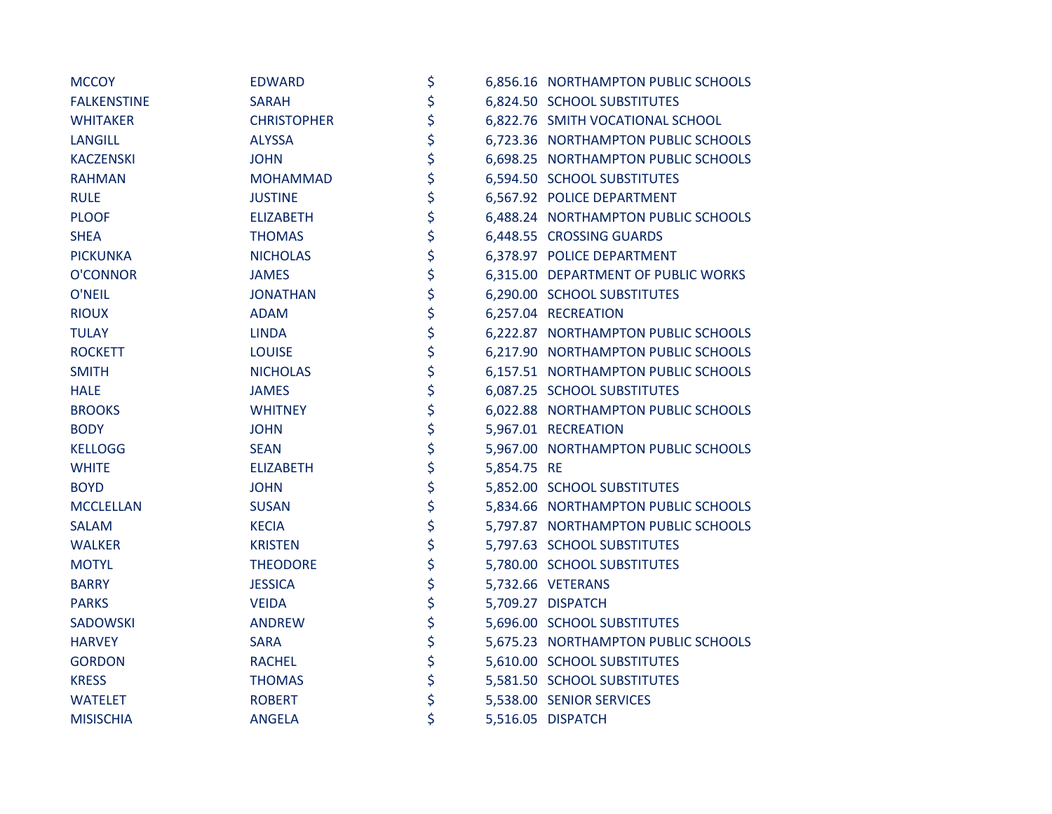| <b>MCCOY</b>       | EDWARD             | \$                | 6,856.16 NORTHAMPTON PUBLIC SCHOOLS |
|--------------------|--------------------|-------------------|-------------------------------------|
| <b>FALKENSTINE</b> | <b>SARAH</b>       | \$                | 6,824.50 SCHOOL SUBSTITUTES         |
| <b>WHITAKER</b>    | <b>CHRISTOPHER</b> | \$                | 6,822.76 SMITH VOCATIONAL SCHOOL    |
| <b>LANGILL</b>     | <b>ALYSSA</b>      | \$                | 6,723.36 NORTHAMPTON PUBLIC SCHOOLS |
| <b>KACZENSKI</b>   | <b>JOHN</b>        | \$                | 6,698.25 NORTHAMPTON PUBLIC SCHOOLS |
| <b>RAHMAN</b>      | <b>MOHAMMAD</b>    | \$                | 6,594.50 SCHOOL SUBSTITUTES         |
| <b>RULE</b>        | <b>JUSTINE</b>     | \$                | 6,567.92 POLICE DEPARTMENT          |
| <b>PLOOF</b>       | <b>ELIZABETH</b>   | \$                | 6,488.24 NORTHAMPTON PUBLIC SCHOOLS |
| <b>SHEA</b>        | <b>THOMAS</b>      | \$                | 6,448.55 CROSSING GUARDS            |
| <b>PICKUNKA</b>    | <b>NICHOLAS</b>    | \$                | 6,378.97 POLICE DEPARTMENT          |
| <b>O'CONNOR</b>    | <b>JAMES</b>       | \$                | 6,315.00 DEPARTMENT OF PUBLIC WORKS |
| O'NEIL             | <b>JONATHAN</b>    | \$                | 6,290.00 SCHOOL SUBSTITUTES         |
| <b>RIOUX</b>       | <b>ADAM</b>        | \$                | 6,257.04 RECREATION                 |
| <b>TULAY</b>       | <b>LINDA</b>       | \$                | 6,222.87 NORTHAMPTON PUBLIC SCHOOLS |
| <b>ROCKETT</b>     | <b>LOUISE</b>      | \$                | 6,217.90 NORTHAMPTON PUBLIC SCHOOLS |
| <b>SMITH</b>       | <b>NICHOLAS</b>    | \$                | 6,157.51 NORTHAMPTON PUBLIC SCHOOLS |
| <b>HALE</b>        | <b>JAMES</b>       | \$                | 6,087.25 SCHOOL SUBSTITUTES         |
| <b>BROOKS</b>      | <b>WHITNEY</b>     | \$                | 6,022.88 NORTHAMPTON PUBLIC SCHOOLS |
| <b>BODY</b>        | <b>JOHN</b>        | \$                | 5,967.01 RECREATION                 |
| <b>KELLOGG</b>     | <b>SEAN</b>        | \$                | 5,967.00 NORTHAMPTON PUBLIC SCHOOLS |
| <b>WHITE</b>       | <b>ELIZABETH</b>   | \$<br>5,854.75 RE |                                     |
| <b>BOYD</b>        | <b>JOHN</b>        | \$                | 5,852.00 SCHOOL SUBSTITUTES         |
| <b>MCCLELLAN</b>   | <b>SUSAN</b>       | \$                | 5,834.66 NORTHAMPTON PUBLIC SCHOOLS |
| <b>SALAM</b>       | <b>KECIA</b>       | \$                | 5,797.87 NORTHAMPTON PUBLIC SCHOOLS |
| <b>WALKER</b>      | <b>KRISTEN</b>     | \$                | 5,797.63 SCHOOL SUBSTITUTES         |
| <b>MOTYL</b>       | <b>THEODORE</b>    | \$                | 5,780.00 SCHOOL SUBSTITUTES         |
| <b>BARRY</b>       | <b>JESSICA</b>     | \$                | 5,732.66 VETERANS                   |
| <b>PARKS</b>       | <b>VEIDA</b>       | \$                | 5,709.27 DISPATCH                   |
| <b>SADOWSKI</b>    | <b>ANDREW</b>      | \$                | 5,696.00 SCHOOL SUBSTITUTES         |
| <b>HARVEY</b>      | <b>SARA</b>        | \$                | 5,675.23 NORTHAMPTON PUBLIC SCHOOLS |
| <b>GORDON</b>      | <b>RACHEL</b>      | \$                | 5,610.00 SCHOOL SUBSTITUTES         |
| <b>KRESS</b>       | <b>THOMAS</b>      | \$                | 5,581.50 SCHOOL SUBSTITUTES         |
| <b>WATELET</b>     | <b>ROBERT</b>      | \$                | 5,538.00 SENIOR SERVICES            |
| <b>MISISCHIA</b>   | <b>ANGELA</b>      | \$                | 5,516.05 DISPATCH                   |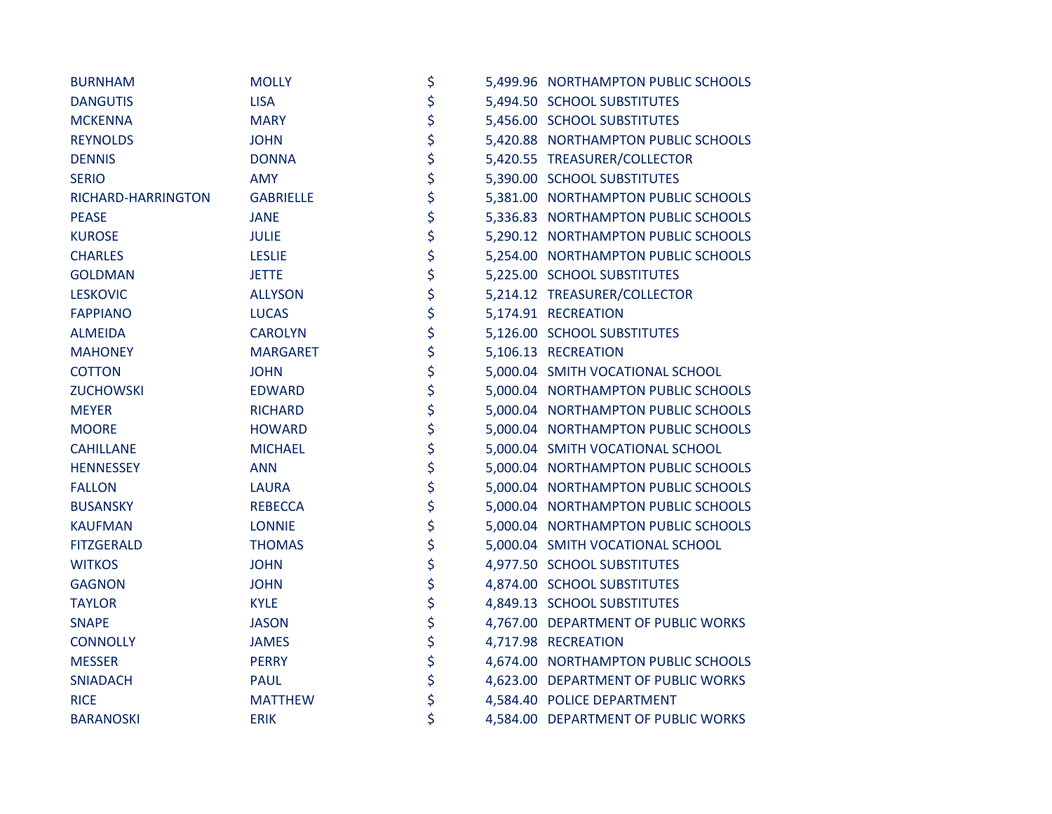| <b>BURNHAM</b>     | <b>MOLLY</b>     | \$ | 5,499.96 NORTHAMPTON PUBLIC SCHOOLS |
|--------------------|------------------|----|-------------------------------------|
| <b>DANGUTIS</b>    | <b>LISA</b>      | \$ | 5,494.50 SCHOOL SUBSTITUTES         |
| <b>MCKENNA</b>     | <b>MARY</b>      | \$ | 5,456.00 SCHOOL SUBSTITUTES         |
| <b>REYNOLDS</b>    | <b>JOHN</b>      | \$ | 5,420.88 NORTHAMPTON PUBLIC SCHOOLS |
| <b>DENNIS</b>      | <b>DONNA</b>     | \$ | 5,420.55 TREASURER/COLLECTOR        |
| <b>SERIO</b>       | <b>AMY</b>       | \$ | 5,390.00 SCHOOL SUBSTITUTES         |
| RICHARD-HARRINGTON | <b>GABRIELLE</b> | \$ | 5,381.00 NORTHAMPTON PUBLIC SCHOOLS |
| <b>PEASE</b>       | <b>JANE</b>      | \$ | 5,336.83 NORTHAMPTON PUBLIC SCHOOLS |
| <b>KUROSE</b>      | <b>JULIE</b>     | \$ | 5,290.12 NORTHAMPTON PUBLIC SCHOOLS |
| <b>CHARLES</b>     | <b>LESLIE</b>    | \$ | 5,254.00 NORTHAMPTON PUBLIC SCHOOLS |
| <b>GOLDMAN</b>     | <b>JETTE</b>     | \$ | 5,225.00 SCHOOL SUBSTITUTES         |
| <b>LESKOVIC</b>    | <b>ALLYSON</b>   | \$ | 5,214.12 TREASURER/COLLECTOR        |
| <b>FAPPIANO</b>    | <b>LUCAS</b>     | \$ | 5,174.91 RECREATION                 |
| <b>ALMEIDA</b>     | <b>CAROLYN</b>   | \$ | 5,126.00 SCHOOL SUBSTITUTES         |
| <b>MAHONEY</b>     | <b>MARGARET</b>  | \$ | 5,106.13 RECREATION                 |
| <b>COTTON</b>      | <b>JOHN</b>      | \$ | 5,000.04 SMITH VOCATIONAL SCHOOL    |
| <b>ZUCHOWSKI</b>   | <b>EDWARD</b>    | \$ | 5,000.04 NORTHAMPTON PUBLIC SCHOOLS |
| <b>MEYER</b>       | <b>RICHARD</b>   | \$ | 5,000.04 NORTHAMPTON PUBLIC SCHOOLS |
| <b>MOORE</b>       | <b>HOWARD</b>    | \$ | 5,000.04 NORTHAMPTON PUBLIC SCHOOLS |
| <b>CAHILLANE</b>   | <b>MICHAEL</b>   | \$ | 5,000.04 SMITH VOCATIONAL SCHOOL    |
| <b>HENNESSEY</b>   | <b>ANN</b>       | \$ | 5,000.04 NORTHAMPTON PUBLIC SCHOOLS |
| <b>FALLON</b>      | <b>LAURA</b>     | \$ | 5,000.04 NORTHAMPTON PUBLIC SCHOOLS |
| <b>BUSANSKY</b>    | <b>REBECCA</b>   | \$ | 5,000.04 NORTHAMPTON PUBLIC SCHOOLS |
| <b>KAUFMAN</b>     | <b>LONNIE</b>    | \$ | 5,000.04 NORTHAMPTON PUBLIC SCHOOLS |
| <b>FITZGERALD</b>  | <b>THOMAS</b>    | \$ | 5,000.04 SMITH VOCATIONAL SCHOOL    |
| <b>WITKOS</b>      | <b>JOHN</b>      | \$ | 4,977.50 SCHOOL SUBSTITUTES         |
| <b>GAGNON</b>      | <b>JOHN</b>      | \$ | 4,874.00 SCHOOL SUBSTITUTES         |
| <b>TAYLOR</b>      | <b>KYLE</b>      | \$ | 4,849.13 SCHOOL SUBSTITUTES         |
| <b>SNAPE</b>       | <b>JASON</b>     | \$ | 4,767.00 DEPARTMENT OF PUBLIC WORKS |
| <b>CONNOLLY</b>    | <b>JAMES</b>     | \$ | 4,717.98 RECREATION                 |
| <b>MESSER</b>      | <b>PERRY</b>     | \$ | 4,674.00 NORTHAMPTON PUBLIC SCHOOLS |
| <b>SNIADACH</b>    | <b>PAUL</b>      | \$ | 4,623.00 DEPARTMENT OF PUBLIC WORKS |
| <b>RICE</b>        | <b>MATTHEW</b>   | \$ | 4,584.40 POLICE DEPARTMENT          |
| <b>BARANOSKI</b>   | <b>ERIK</b>      | \$ | 4,584.00 DEPARTMENT OF PUBLIC WORKS |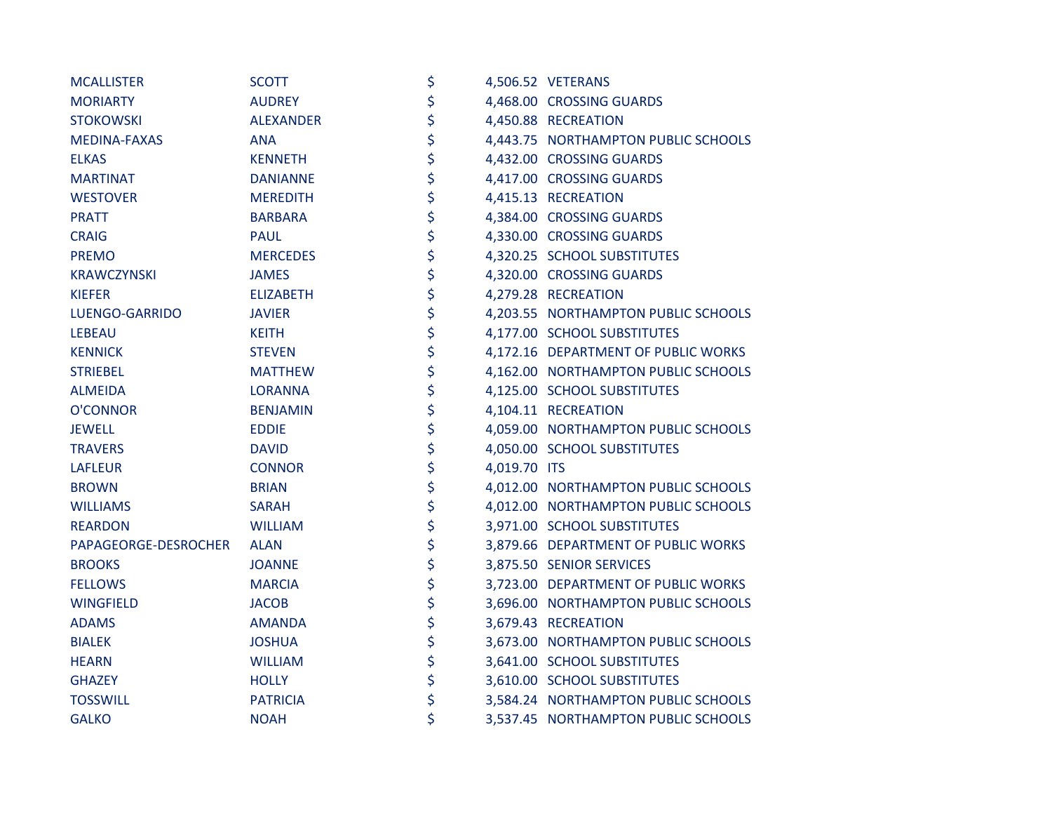| <b>MCALLISTER</b>    | <b>SCOTT</b>     | \$                 | 4,506.52 VETERANS                   |
|----------------------|------------------|--------------------|-------------------------------------|
| <b>MORIARTY</b>      | <b>AUDREY</b>    | \$                 | 4,468.00 CROSSING GUARDS            |
| <b>STOKOWSKI</b>     | <b>ALEXANDER</b> | \$                 | 4,450.88 RECREATION                 |
| MEDINA-FAXAS         | <b>ANA</b>       | \$                 | 4,443.75 NORTHAMPTON PUBLIC SCHOOLS |
| <b>ELKAS</b>         | <b>KENNETH</b>   | \$                 | 4,432.00 CROSSING GUARDS            |
| <b>MARTINAT</b>      | <b>DANIANNE</b>  | \$                 | 4,417.00 CROSSING GUARDS            |
| <b>WESTOVER</b>      | <b>MEREDITH</b>  | \$                 | 4,415.13 RECREATION                 |
| <b>PRATT</b>         | <b>BARBARA</b>   | \$                 | 4,384.00 CROSSING GUARDS            |
| <b>CRAIG</b>         | <b>PAUL</b>      | \$                 | 4,330.00 CROSSING GUARDS            |
| <b>PREMO</b>         | <b>MERCEDES</b>  | \$                 | 4,320.25 SCHOOL SUBSTITUTES         |
| <b>KRAWCZYNSKI</b>   | <b>JAMES</b>     | \$                 | 4,320.00 CROSSING GUARDS            |
| <b>KIEFER</b>        | <b>ELIZABETH</b> | \$                 | 4,279.28 RECREATION                 |
| LUENGO-GARRIDO       | <b>JAVIER</b>    | \$                 | 4,203.55 NORTHAMPTON PUBLIC SCHOOLS |
| <b>LEBEAU</b>        | <b>KEITH</b>     | \$                 | 4,177.00 SCHOOL SUBSTITUTES         |
| <b>KENNICK</b>       | <b>STEVEN</b>    | \$                 | 4,172.16 DEPARTMENT OF PUBLIC WORKS |
| <b>STRIEBEL</b>      | <b>MATTHEW</b>   | \$                 | 4,162.00 NORTHAMPTON PUBLIC SCHOOLS |
| <b>ALMEIDA</b>       | <b>LORANNA</b>   | \$                 | 4,125.00 SCHOOL SUBSTITUTES         |
| O'CONNOR             | <b>BENJAMIN</b>  | \$                 | 4,104.11 RECREATION                 |
| <b>JEWELL</b>        | <b>EDDIE</b>     | \$                 | 4,059.00 NORTHAMPTON PUBLIC SCHOOLS |
| <b>TRAVERS</b>       | <b>DAVID</b>     | \$                 | 4,050.00 SCHOOL SUBSTITUTES         |
| <b>LAFLEUR</b>       | <b>CONNOR</b>    | \$<br>4,019.70 ITS |                                     |
| <b>BROWN</b>         | <b>BRIAN</b>     | \$                 | 4,012.00 NORTHAMPTON PUBLIC SCHOOLS |
| <b>WILLIAMS</b>      | <b>SARAH</b>     | \$                 | 4,012.00 NORTHAMPTON PUBLIC SCHOOLS |
| <b>REARDON</b>       | <b>WILLIAM</b>   | \$                 | 3,971.00 SCHOOL SUBSTITUTES         |
| PAPAGEORGE-DESROCHER | <b>ALAN</b>      | \$                 | 3,879.66 DEPARTMENT OF PUBLIC WORKS |
| <b>BROOKS</b>        | <b>JOANNE</b>    | \$                 | 3,875.50 SENIOR SERVICES            |
| <b>FELLOWS</b>       | <b>MARCIA</b>    | \$                 | 3,723.00 DEPARTMENT OF PUBLIC WORKS |
| <b>WINGFIELD</b>     | <b>JACOB</b>     | \$                 | 3,696.00 NORTHAMPTON PUBLIC SCHOOLS |
| <b>ADAMS</b>         | <b>AMANDA</b>    | \$                 | 3,679.43 RECREATION                 |
| <b>BIALEK</b>        | <b>JOSHUA</b>    | \$                 | 3,673.00 NORTHAMPTON PUBLIC SCHOOLS |
| <b>HEARN</b>         | <b>WILLIAM</b>   | \$                 | 3,641.00 SCHOOL SUBSTITUTES         |
| <b>GHAZEY</b>        | <b>HOLLY</b>     | \$                 | 3,610.00 SCHOOL SUBSTITUTES         |
| <b>TOSSWILL</b>      | <b>PATRICIA</b>  | \$                 | 3,584.24 NORTHAMPTON PUBLIC SCHOOLS |
| <b>GALKO</b>         | <b>NOAH</b>      | \$                 | 3,537.45 NORTHAMPTON PUBLIC SCHOOLS |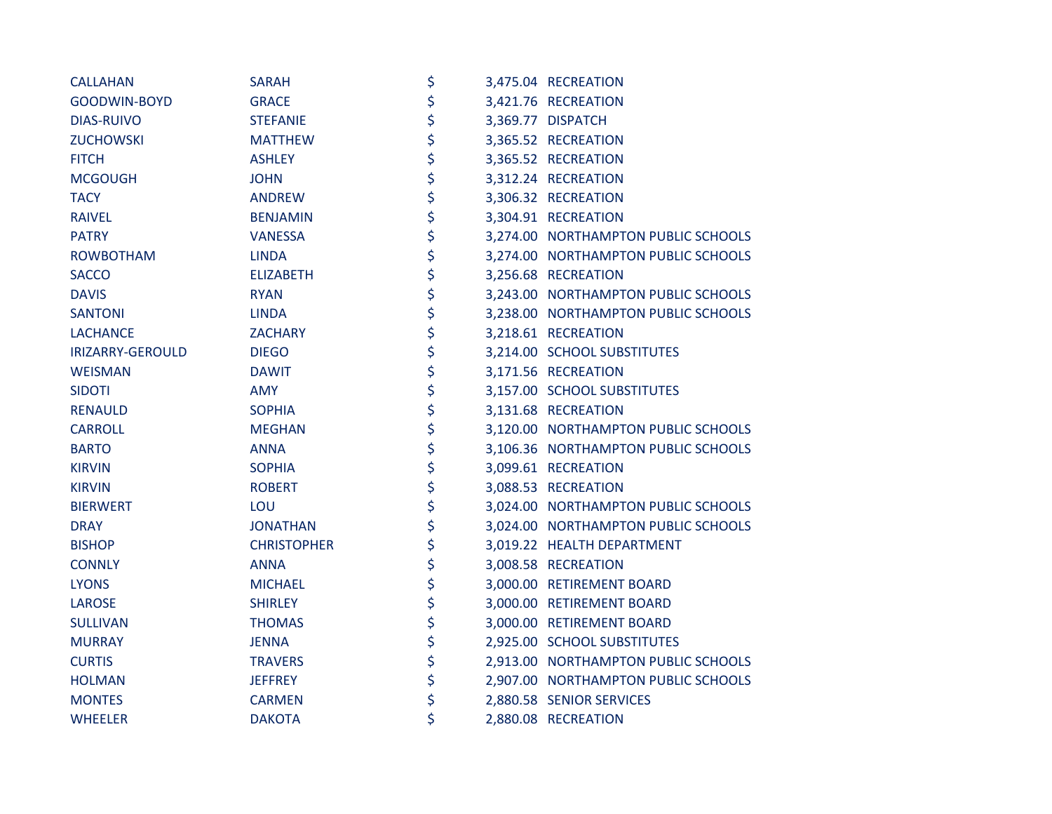| <b>CALLAHAN</b>   | <b>SARAH</b>       | \$ | 3,475.04 RECREATION                 |
|-------------------|--------------------|----|-------------------------------------|
| GOODWIN-BOYD      | <b>GRACE</b>       | \$ | 3,421.76 RECREATION                 |
| <b>DIAS-RUIVO</b> | <b>STEFANIE</b>    | \$ | 3,369.77 DISPATCH                   |
| <b>ZUCHOWSKI</b>  | <b>MATTHEW</b>     | \$ | 3,365.52 RECREATION                 |
| <b>FITCH</b>      | <b>ASHLEY</b>      | \$ | 3,365.52 RECREATION                 |
| <b>MCGOUGH</b>    | <b>JOHN</b>        | \$ | 3,312.24 RECREATION                 |
| <b>TACY</b>       | <b>ANDREW</b>      | \$ | 3,306.32 RECREATION                 |
| <b>RAIVEL</b>     | <b>BENJAMIN</b>    | \$ | 3,304.91 RECREATION                 |
| <b>PATRY</b>      | <b>VANESSA</b>     | \$ | 3,274.00 NORTHAMPTON PUBLIC SCHOOLS |
| <b>ROWBOTHAM</b>  | <b>LINDA</b>       | \$ | 3,274.00 NORTHAMPTON PUBLIC SCHOOLS |
| <b>SACCO</b>      | <b>ELIZABETH</b>   | \$ | 3,256.68 RECREATION                 |
| <b>DAVIS</b>      | <b>RYAN</b>        | \$ | 3,243.00 NORTHAMPTON PUBLIC SCHOOLS |
| <b>SANTONI</b>    | <b>LINDA</b>       | \$ | 3,238.00 NORTHAMPTON PUBLIC SCHOOLS |
| <b>LACHANCE</b>   | ZACHARY            | \$ | 3,218.61 RECREATION                 |
| IRIZARRY-GEROULD  | <b>DIEGO</b>       | \$ | 3,214.00 SCHOOL SUBSTITUTES         |
| <b>WEISMAN</b>    | <b>DAWIT</b>       | \$ | 3,171.56 RECREATION                 |
| <b>SIDOTI</b>     | <b>AMY</b>         | \$ | 3,157.00 SCHOOL SUBSTITUTES         |
| <b>RENAULD</b>    | <b>SOPHIA</b>      | \$ | 3,131.68 RECREATION                 |
| <b>CARROLL</b>    | <b>MEGHAN</b>      | \$ | 3,120.00 NORTHAMPTON PUBLIC SCHOOLS |
| <b>BARTO</b>      | <b>ANNA</b>        | \$ | 3,106.36 NORTHAMPTON PUBLIC SCHOOLS |
| <b>KIRVIN</b>     | <b>SOPHIA</b>      | \$ | 3,099.61 RECREATION                 |
| <b>KIRVIN</b>     | <b>ROBERT</b>      | \$ | 3,088.53 RECREATION                 |
| <b>BIERWERT</b>   | LOU                | \$ | 3,024.00 NORTHAMPTON PUBLIC SCHOOLS |
| <b>DRAY</b>       | <b>JONATHAN</b>    | \$ | 3,024.00 NORTHAMPTON PUBLIC SCHOOLS |
| <b>BISHOP</b>     | <b>CHRISTOPHER</b> | \$ | 3,019.22 HEALTH DEPARTMENT          |
| <b>CONNLY</b>     | <b>ANNA</b>        | \$ | 3,008.58 RECREATION                 |
| <b>LYONS</b>      | <b>MICHAEL</b>     | \$ | 3,000.00 RETIREMENT BOARD           |
| <b>LAROSE</b>     | <b>SHIRLEY</b>     | \$ | 3,000.00 RETIREMENT BOARD           |
| <b>SULLIVAN</b>   | <b>THOMAS</b>      | \$ | 3,000.00 RETIREMENT BOARD           |
| <b>MURRAY</b>     | <b>JENNA</b>       | \$ | 2,925.00 SCHOOL SUBSTITUTES         |
| <b>CURTIS</b>     | <b>TRAVERS</b>     | \$ | 2,913.00 NORTHAMPTON PUBLIC SCHOOLS |
| <b>HOLMAN</b>     | <b>JEFFREY</b>     | \$ | 2,907.00 NORTHAMPTON PUBLIC SCHOOLS |
| <b>MONTES</b>     | <b>CARMEN</b>      | \$ | 2,880.58 SENIOR SERVICES            |
| <b>WHEELER</b>    | <b>DAKOTA</b>      | \$ | 2,880.08 RECREATION                 |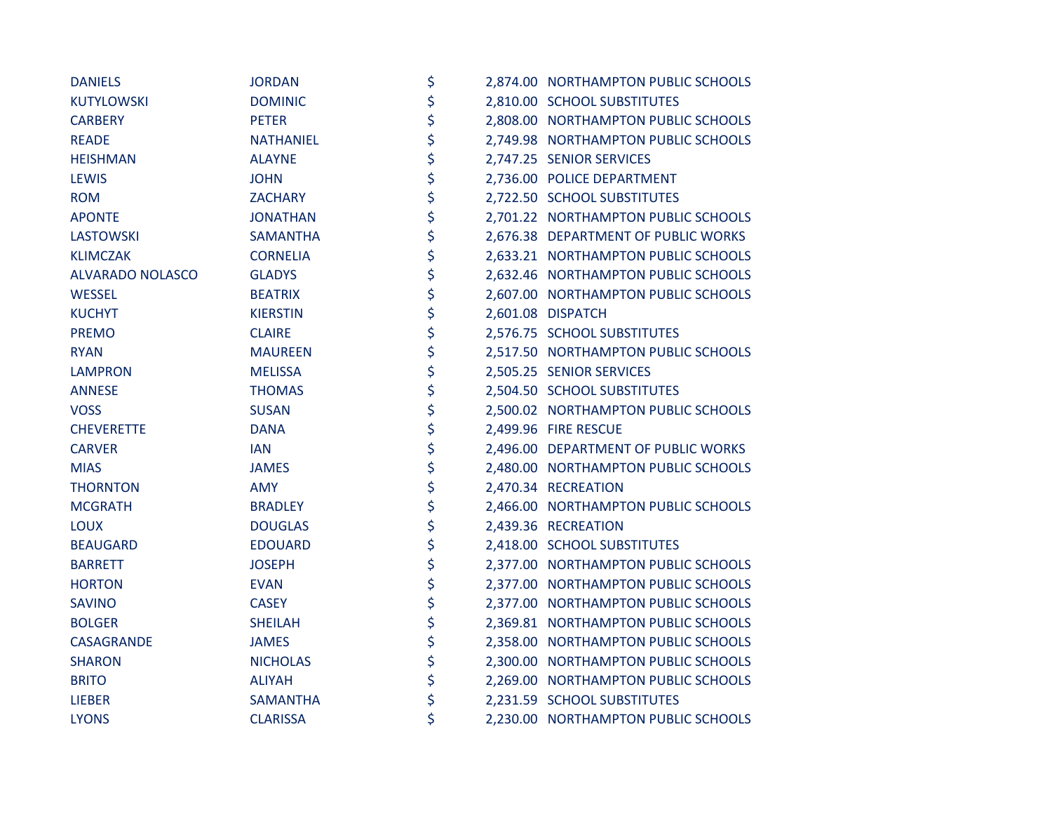| <b>DANIELS</b>          | <b>JORDAN</b>    | \$ | 2,874.00 NORTHAMPTON PUBLIC SCHOOLS |
|-------------------------|------------------|----|-------------------------------------|
| KUTYLOWSKI              | <b>DOMINIC</b>   | \$ | 2,810.00 SCHOOL SUBSTITUTES         |
| <b>CARBERY</b>          | <b>PETER</b>     | \$ | 2,808.00 NORTHAMPTON PUBLIC SCHOOLS |
| <b>READE</b>            | <b>NATHANIEL</b> | \$ | 2,749.98 NORTHAMPTON PUBLIC SCHOOLS |
| <b>HEISHMAN</b>         | <b>ALAYNE</b>    | \$ | 2,747.25 SENIOR SERVICES            |
| <b>LEWIS</b>            | <b>JOHN</b>      | \$ | 2,736.00 POLICE DEPARTMENT          |
| <b>ROM</b>              | <b>ZACHARY</b>   | \$ | 2,722.50 SCHOOL SUBSTITUTES         |
| <b>APONTE</b>           | <b>JONATHAN</b>  | \$ | 2,701.22 NORTHAMPTON PUBLIC SCHOOLS |
| LASTOWSKI               | <b>SAMANTHA</b>  | \$ | 2,676.38 DEPARTMENT OF PUBLIC WORKS |
| <b>KLIMCZAK</b>         | <b>CORNELIA</b>  | \$ | 2,633.21 NORTHAMPTON PUBLIC SCHOOLS |
| <b>ALVARADO NOLASCO</b> | <b>GLADYS</b>    | \$ | 2,632.46 NORTHAMPTON PUBLIC SCHOOLS |
| <b>WESSEL</b>           | <b>BEATRIX</b>   | \$ | 2,607.00 NORTHAMPTON PUBLIC SCHOOLS |
| <b>KUCHYT</b>           | <b>KIERSTIN</b>  | \$ | 2,601.08 DISPATCH                   |
| <b>PREMO</b>            | <b>CLAIRE</b>    | \$ | 2,576.75 SCHOOL SUBSTITUTES         |
| <b>RYAN</b>             | <b>MAUREEN</b>   | \$ | 2,517.50 NORTHAMPTON PUBLIC SCHOOLS |
| <b>LAMPRON</b>          | <b>MELISSA</b>   | \$ | 2,505.25 SENIOR SERVICES            |
| <b>ANNESE</b>           | <b>THOMAS</b>    | \$ | 2,504.50 SCHOOL SUBSTITUTES         |
| <b>VOSS</b>             | <b>SUSAN</b>     | \$ | 2,500.02 NORTHAMPTON PUBLIC SCHOOLS |
| <b>CHEVERETTE</b>       | <b>DANA</b>      | \$ | 2,499.96 FIRE RESCUE                |
| <b>CARVER</b>           | <b>IAN</b>       | \$ | 2,496.00 DEPARTMENT OF PUBLIC WORKS |
| <b>MIAS</b>             | <b>JAMES</b>     | \$ | 2,480.00 NORTHAMPTON PUBLIC SCHOOLS |
| <b>THORNTON</b>         | <b>AMY</b>       | \$ | 2,470.34 RECREATION                 |
| <b>MCGRATH</b>          | <b>BRADLEY</b>   | \$ | 2,466.00 NORTHAMPTON PUBLIC SCHOOLS |
| <b>LOUX</b>             | <b>DOUGLAS</b>   | \$ | 2,439.36 RECREATION                 |
| <b>BEAUGARD</b>         | <b>EDOUARD</b>   | \$ | 2,418.00 SCHOOL SUBSTITUTES         |
| <b>BARRETT</b>          | <b>JOSEPH</b>    | \$ | 2,377.00 NORTHAMPTON PUBLIC SCHOOLS |
| <b>HORTON</b>           | <b>EVAN</b>      | \$ | 2,377.00 NORTHAMPTON PUBLIC SCHOOLS |
| <b>SAVINO</b>           | <b>CASEY</b>     | \$ | 2,377.00 NORTHAMPTON PUBLIC SCHOOLS |
| <b>BOLGER</b>           | <b>SHEILAH</b>   | \$ | 2,369.81 NORTHAMPTON PUBLIC SCHOOLS |
| CASAGRANDE              | <b>JAMES</b>     | \$ | 2,358.00 NORTHAMPTON PUBLIC SCHOOLS |
| <b>SHARON</b>           | <b>NICHOLAS</b>  | \$ | 2,300.00 NORTHAMPTON PUBLIC SCHOOLS |
| <b>BRITO</b>            | <b>ALIYAH</b>    | \$ | 2,269.00 NORTHAMPTON PUBLIC SCHOOLS |
| <b>LIEBER</b>           | <b>SAMANTHA</b>  | \$ | 2,231.59 SCHOOL SUBSTITUTES         |
| <b>LYONS</b>            | <b>CLARISSA</b>  | \$ | 2,230.00 NORTHAMPTON PUBLIC SCHOOLS |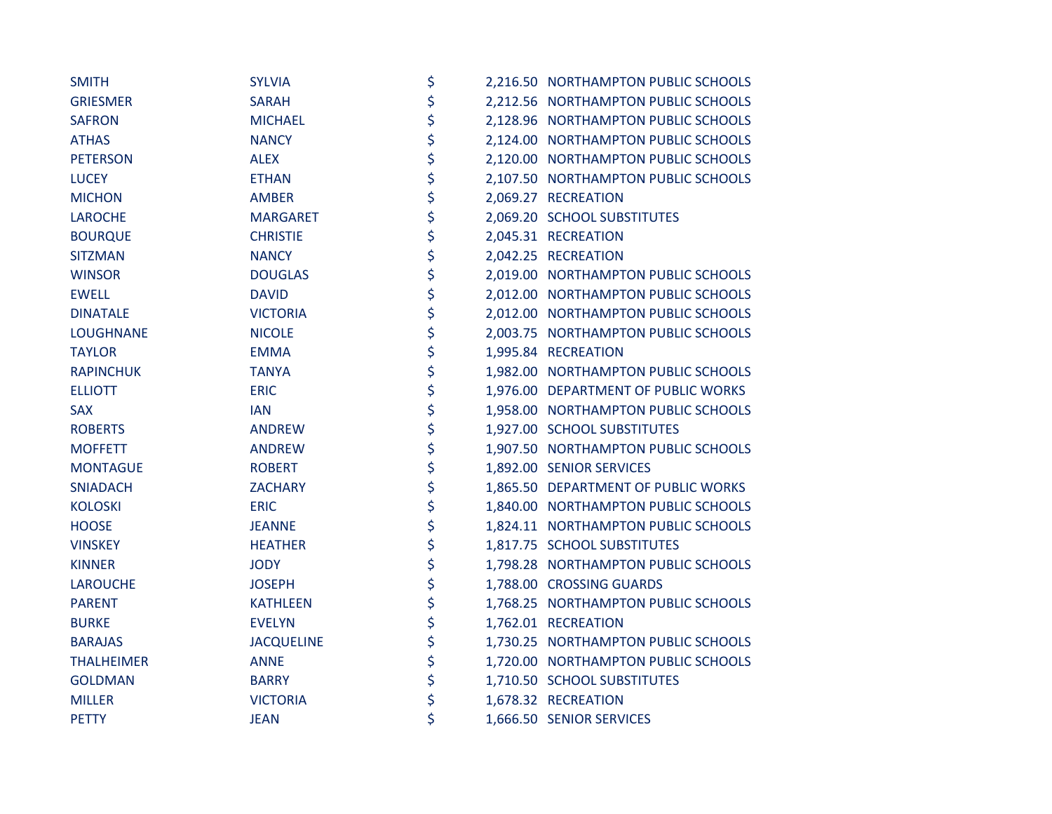| <b>SMITH</b>      | <b>SYLVIA</b>     | \$ | 2,216.50 NORTHAMPTON PUBLIC SCHOOLS |
|-------------------|-------------------|----|-------------------------------------|
| <b>GRIESMER</b>   | <b>SARAH</b>      | \$ | 2,212.56 NORTHAMPTON PUBLIC SCHOOLS |
| <b>SAFRON</b>     | <b>MICHAEL</b>    | \$ | 2,128.96 NORTHAMPTON PUBLIC SCHOOLS |
| <b>ATHAS</b>      | <b>NANCY</b>      | \$ | 2,124.00 NORTHAMPTON PUBLIC SCHOOLS |
| <b>PETERSON</b>   | <b>ALEX</b>       | \$ | 2,120.00 NORTHAMPTON PUBLIC SCHOOLS |
| <b>LUCEY</b>      | <b>ETHAN</b>      | \$ | 2,107.50 NORTHAMPTON PUBLIC SCHOOLS |
| <b>MICHON</b>     | <b>AMBER</b>      | \$ | 2,069.27 RECREATION                 |
| <b>LAROCHE</b>    | <b>MARGARET</b>   | \$ | 2,069.20 SCHOOL SUBSTITUTES         |
| <b>BOURQUE</b>    | <b>CHRISTIE</b>   | \$ | 2,045.31 RECREATION                 |
| <b>SITZMAN</b>    | <b>NANCY</b>      | \$ | 2,042.25 RECREATION                 |
| <b>WINSOR</b>     | <b>DOUGLAS</b>    | \$ | 2,019.00 NORTHAMPTON PUBLIC SCHOOLS |
| <b>EWELL</b>      | <b>DAVID</b>      | \$ | 2,012.00 NORTHAMPTON PUBLIC SCHOOLS |
| <b>DINATALE</b>   | <b>VICTORIA</b>   | \$ | 2,012.00 NORTHAMPTON PUBLIC SCHOOLS |
| <b>LOUGHNANE</b>  | <b>NICOLE</b>     | \$ | 2,003.75 NORTHAMPTON PUBLIC SCHOOLS |
| <b>TAYLOR</b>     | <b>EMMA</b>       | \$ | 1,995.84 RECREATION                 |
| <b>RAPINCHUK</b>  | <b>TANYA</b>      | \$ | 1,982.00 NORTHAMPTON PUBLIC SCHOOLS |
| <b>ELLIOTT</b>    | <b>ERIC</b>       | \$ | 1,976.00 DEPARTMENT OF PUBLIC WORKS |
| <b>SAX</b>        | <b>IAN</b>        | \$ | 1,958.00 NORTHAMPTON PUBLIC SCHOOLS |
| <b>ROBERTS</b>    | <b>ANDREW</b>     | \$ | 1,927.00 SCHOOL SUBSTITUTES         |
| <b>MOFFETT</b>    | <b>ANDREW</b>     | \$ | 1,907.50 NORTHAMPTON PUBLIC SCHOOLS |
| <b>MONTAGUE</b>   | <b>ROBERT</b>     | \$ | 1,892.00 SENIOR SERVICES            |
| <b>SNIADACH</b>   | <b>ZACHARY</b>    | \$ | 1,865.50 DEPARTMENT OF PUBLIC WORKS |
| <b>KOLOSKI</b>    | <b>ERIC</b>       | \$ | 1,840.00 NORTHAMPTON PUBLIC SCHOOLS |
| <b>HOOSE</b>      | <b>JEANNE</b>     | \$ | 1,824.11 NORTHAMPTON PUBLIC SCHOOLS |
| <b>VINSKEY</b>    | <b>HEATHER</b>    | \$ | 1,817.75 SCHOOL SUBSTITUTES         |
| <b>KINNER</b>     | <b>JODY</b>       | \$ | 1,798.28 NORTHAMPTON PUBLIC SCHOOLS |
| <b>LAROUCHE</b>   | <b>JOSEPH</b>     | \$ | 1,788.00 CROSSING GUARDS            |
| <b>PARENT</b>     | <b>KATHLEEN</b>   | \$ | 1,768.25 NORTHAMPTON PUBLIC SCHOOLS |
| <b>BURKE</b>      | <b>EVELYN</b>     | \$ | 1,762.01 RECREATION                 |
| <b>BARAJAS</b>    | <b>JACQUELINE</b> | \$ | 1,730.25 NORTHAMPTON PUBLIC SCHOOLS |
| <b>THALHEIMER</b> | <b>ANNE</b>       | \$ | 1,720.00 NORTHAMPTON PUBLIC SCHOOLS |
| <b>GOLDMAN</b>    | <b>BARRY</b>      | \$ | 1,710.50 SCHOOL SUBSTITUTES         |
| <b>MILLER</b>     | <b>VICTORIA</b>   | \$ | 1,678.32 RECREATION                 |
| <b>PETTY</b>      | <b>JEAN</b>       | \$ | 1,666.50 SENIOR SERVICES            |
|                   |                   |    |                                     |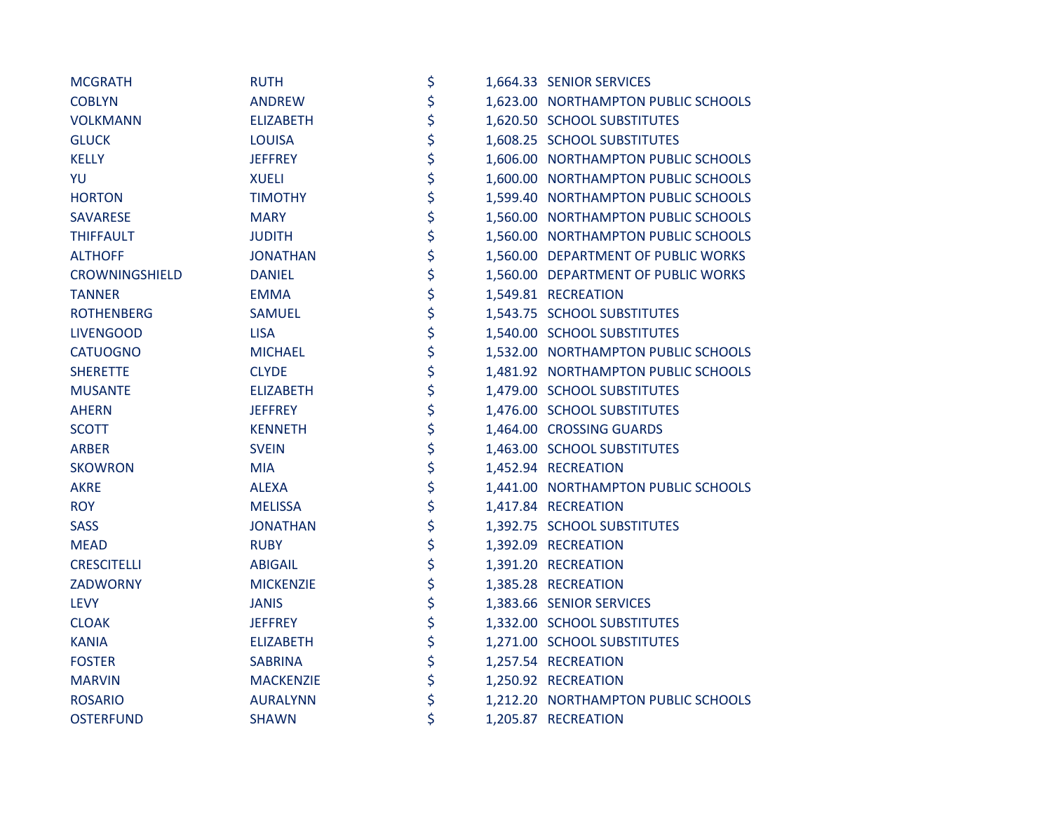| <b>MCGRATH</b>     | <b>RUTH</b>      | \$ | 1,664.33 SENIOR SERVICES            |
|--------------------|------------------|----|-------------------------------------|
| <b>COBLYN</b>      | <b>ANDREW</b>    | \$ | 1,623.00 NORTHAMPTON PUBLIC SCHOOLS |
| <b>VOLKMANN</b>    | <b>ELIZABETH</b> | \$ | 1,620.50 SCHOOL SUBSTITUTES         |
| <b>GLUCK</b>       | <b>LOUISA</b>    | \$ | 1,608.25 SCHOOL SUBSTITUTES         |
| <b>KELLY</b>       | <b>JEFFREY</b>   | \$ | 1,606.00 NORTHAMPTON PUBLIC SCHOOLS |
| YU                 | <b>XUELI</b>     | \$ | 1,600.00 NORTHAMPTON PUBLIC SCHOOLS |
| <b>HORTON</b>      | <b>TIMOTHY</b>   | \$ | 1,599.40 NORTHAMPTON PUBLIC SCHOOLS |
| <b>SAVARESE</b>    | <b>MARY</b>      | \$ | 1,560.00 NORTHAMPTON PUBLIC SCHOOLS |
| <b>THIFFAULT</b>   | <b>JUDITH</b>    | \$ | 1,560.00 NORTHAMPTON PUBLIC SCHOOLS |
| <b>ALTHOFF</b>     | <b>JONATHAN</b>  | \$ | 1,560.00 DEPARTMENT OF PUBLIC WORKS |
| CROWNINGSHIELD     | <b>DANIEL</b>    | \$ | 1,560.00 DEPARTMENT OF PUBLIC WORKS |
| <b>TANNER</b>      | <b>EMMA</b>      | \$ | 1,549.81 RECREATION                 |
| <b>ROTHENBERG</b>  | <b>SAMUEL</b>    | \$ | 1,543.75 SCHOOL SUBSTITUTES         |
| <b>LIVENGOOD</b>   | <b>LISA</b>      | \$ | 1,540.00 SCHOOL SUBSTITUTES         |
| <b>CATUOGNO</b>    | <b>MICHAEL</b>   | \$ | 1,532.00 NORTHAMPTON PUBLIC SCHOOLS |
| <b>SHERETTE</b>    | <b>CLYDE</b>     | \$ | 1,481.92 NORTHAMPTON PUBLIC SCHOOLS |
| <b>MUSANTE</b>     | <b>ELIZABETH</b> | \$ | 1,479.00 SCHOOL SUBSTITUTES         |
| <b>AHERN</b>       | <b>JEFFREY</b>   | \$ | 1,476.00 SCHOOL SUBSTITUTES         |
| <b>SCOTT</b>       | <b>KENNETH</b>   | \$ | 1,464.00 CROSSING GUARDS            |
| <b>ARBER</b>       | <b>SVEIN</b>     | \$ | 1,463.00 SCHOOL SUBSTITUTES         |
| <b>SKOWRON</b>     | <b>MIA</b>       | \$ | 1,452.94 RECREATION                 |
| <b>AKRE</b>        | <b>ALEXA</b>     | \$ | 1,441.00 NORTHAMPTON PUBLIC SCHOOLS |
| <b>ROY</b>         | <b>MELISSA</b>   | \$ | 1,417.84 RECREATION                 |
| <b>SASS</b>        | <b>JONATHAN</b>  | \$ | 1,392.75 SCHOOL SUBSTITUTES         |
| <b>MEAD</b>        | <b>RUBY</b>      | \$ | 1,392.09 RECREATION                 |
| <b>CRESCITELLI</b> | <b>ABIGAIL</b>   | \$ | 1,391.20 RECREATION                 |
| <b>ZADWORNY</b>    | <b>MICKENZIE</b> | \$ | 1,385.28 RECREATION                 |
| <b>LEVY</b>        | <b>JANIS</b>     | \$ | 1,383.66 SENIOR SERVICES            |
| <b>CLOAK</b>       | <b>JEFFREY</b>   | \$ | 1,332.00 SCHOOL SUBSTITUTES         |
| <b>KANIA</b>       | <b>ELIZABETH</b> | \$ | 1,271.00 SCHOOL SUBSTITUTES         |
| <b>FOSTER</b>      | <b>SABRINA</b>   | \$ | 1,257.54 RECREATION                 |
| <b>MARVIN</b>      | <b>MACKENZIE</b> | \$ | 1,250.92 RECREATION                 |
| <b>ROSARIO</b>     | <b>AURALYNN</b>  | \$ | 1,212.20 NORTHAMPTON PUBLIC SCHOOLS |
| <b>OSTERFUND</b>   | <b>SHAWN</b>     | \$ | 1,205.87 RECREATION                 |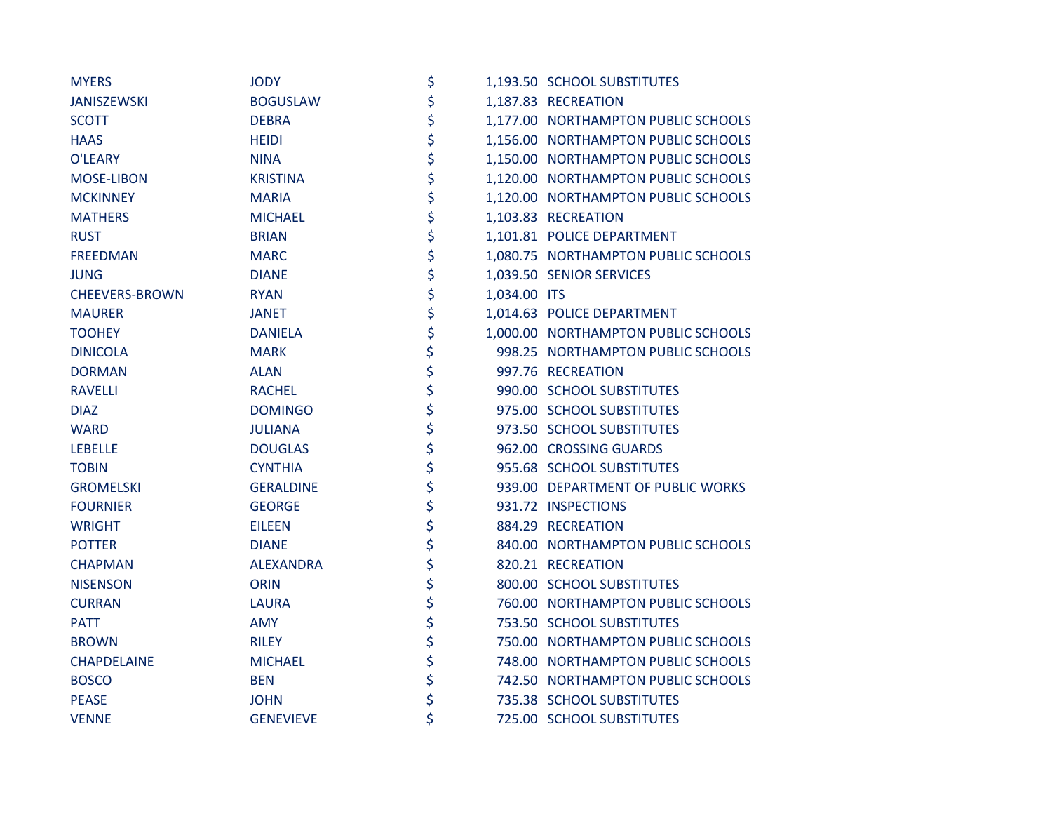| <b>MYERS</b>          | <b>JODY</b>      | \$                 | 1,193.50 SCHOOL SUBSTITUTES         |
|-----------------------|------------------|--------------------|-------------------------------------|
| <b>JANISZEWSKI</b>    | <b>BOGUSLAW</b>  | \$                 | 1,187.83 RECREATION                 |
| <b>SCOTT</b>          | <b>DEBRA</b>     | \$                 | 1,177.00 NORTHAMPTON PUBLIC SCHOOLS |
| <b>HAAS</b>           | <b>HEIDI</b>     | \$                 | 1,156.00 NORTHAMPTON PUBLIC SCHOOLS |
| O'LEARY               | <b>NINA</b>      | \$                 | 1,150.00 NORTHAMPTON PUBLIC SCHOOLS |
| <b>MOSE-LIBON</b>     | <b>KRISTINA</b>  | \$                 | 1,120.00 NORTHAMPTON PUBLIC SCHOOLS |
| <b>MCKINNEY</b>       | <b>MARIA</b>     | \$                 | 1,120.00 NORTHAMPTON PUBLIC SCHOOLS |
| <b>MATHERS</b>        | <b>MICHAEL</b>   | \$                 | 1,103.83 RECREATION                 |
| <b>RUST</b>           | <b>BRIAN</b>     | \$                 | 1,101.81 POLICE DEPARTMENT          |
| <b>FREEDMAN</b>       | <b>MARC</b>      | \$                 | 1,080.75 NORTHAMPTON PUBLIC SCHOOLS |
| <b>JUNG</b>           | <b>DIANE</b>     | \$                 | 1,039.50 SENIOR SERVICES            |
| <b>CHEEVERS-BROWN</b> | <b>RYAN</b>      | \$<br>1,034.00 ITS |                                     |
| <b>MAURER</b>         | <b>JANET</b>     | \$                 | 1,014.63 POLICE DEPARTMENT          |
| <b>TOOHEY</b>         | <b>DANIELA</b>   | \$                 | 1,000.00 NORTHAMPTON PUBLIC SCHOOLS |
| <b>DINICOLA</b>       | <b>MARK</b>      | \$                 | 998.25 NORTHAMPTON PUBLIC SCHOOLS   |
| <b>DORMAN</b>         | <b>ALAN</b>      | \$                 | 997.76 RECREATION                   |
| <b>RAVELLI</b>        | <b>RACHEL</b>    | \$                 | 990.00 SCHOOL SUBSTITUTES           |
| <b>DIAZ</b>           | <b>DOMINGO</b>   | \$                 | 975.00 SCHOOL SUBSTITUTES           |
| <b>WARD</b>           | <b>JULIANA</b>   | \$                 | 973.50 SCHOOL SUBSTITUTES           |
| <b>LEBELLE</b>        | <b>DOUGLAS</b>   | \$                 | 962.00 CROSSING GUARDS              |
| <b>TOBIN</b>          | <b>CYNTHIA</b>   | \$                 | 955.68 SCHOOL SUBSTITUTES           |
| <b>GROMELSKI</b>      | <b>GERALDINE</b> | \$                 | 939.00 DEPARTMENT OF PUBLIC WORKS   |
| <b>FOURNIER</b>       | <b>GEORGE</b>    | \$                 | 931.72 INSPECTIONS                  |
| <b>WRIGHT</b>         | <b>EILEEN</b>    | \$                 | 884.29 RECREATION                   |
| <b>POTTER</b>         | <b>DIANE</b>     | \$                 | 840.00 NORTHAMPTON PUBLIC SCHOOLS   |
| <b>CHAPMAN</b>        | <b>ALEXANDRA</b> | \$                 | 820.21 RECREATION                   |
| <b>NISENSON</b>       | <b>ORIN</b>      | \$                 | 800.00 SCHOOL SUBSTITUTES           |
| <b>CURRAN</b>         | <b>LAURA</b>     | \$                 | 760.00 NORTHAMPTON PUBLIC SCHOOLS   |
| <b>PATT</b>           | <b>AMY</b>       | \$                 | 753.50 SCHOOL SUBSTITUTES           |
| <b>BROWN</b>          | <b>RILEY</b>     | \$                 | 750.00 NORTHAMPTON PUBLIC SCHOOLS   |
| <b>CHAPDELAINE</b>    | <b>MICHAEL</b>   | \$                 | 748.00 NORTHAMPTON PUBLIC SCHOOLS   |
| <b>BOSCO</b>          | <b>BEN</b>       | \$                 | 742.50 NORTHAMPTON PUBLIC SCHOOLS   |
| <b>PEASE</b>          | <b>JOHN</b>      | \$                 | 735.38 SCHOOL SUBSTITUTES           |
| <b>VENNE</b>          | <b>GENEVIEVE</b> | \$                 | 725.00 SCHOOL SUBSTITUTES           |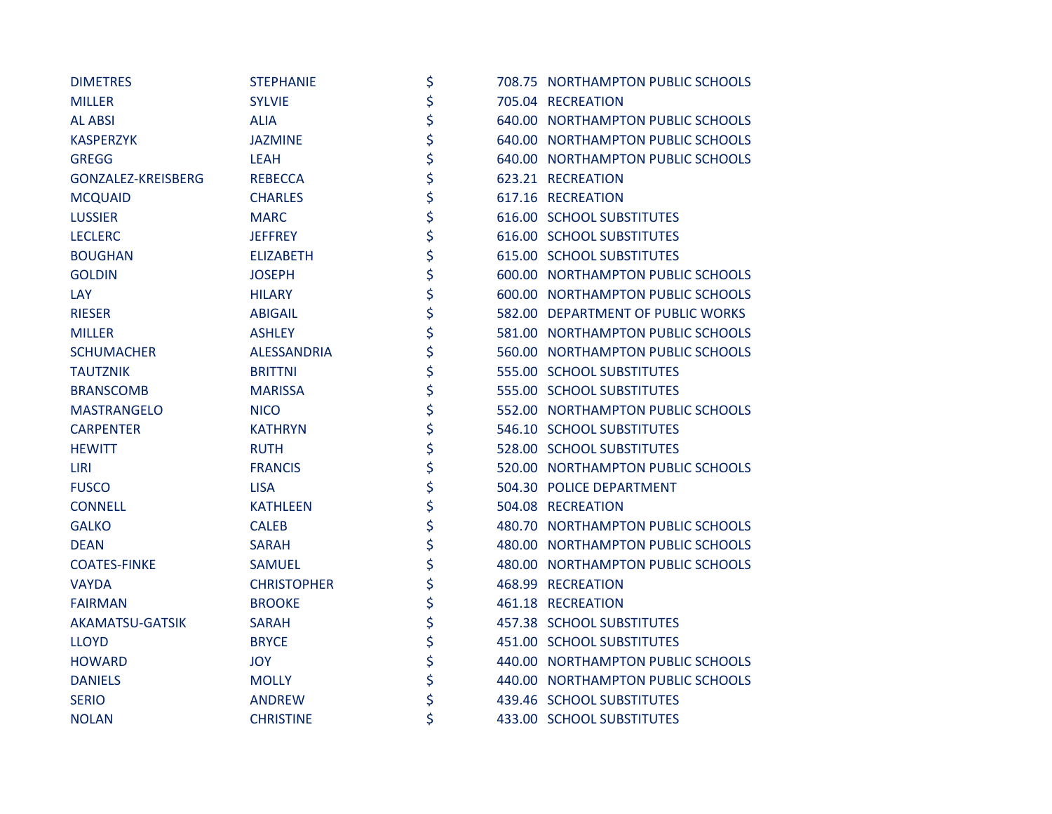| <b>DIMETRES</b>     | <b>STEPHANIE</b>   | \$ | 708.75 NORTHAMPTON PUBLIC SCHOOLS |
|---------------------|--------------------|----|-----------------------------------|
| <b>MILLER</b>       | <b>SYLVIE</b>      | \$ | 705.04 RECREATION                 |
| <b>AL ABSI</b>      | <b>ALIA</b>        | \$ | 640.00 NORTHAMPTON PUBLIC SCHOOLS |
| <b>KASPERZYK</b>    | <b>JAZMINE</b>     | \$ | 640.00 NORTHAMPTON PUBLIC SCHOOLS |
| <b>GREGG</b>        | LEAH               | \$ | 640.00 NORTHAMPTON PUBLIC SCHOOLS |
| GONZALEZ-KREISBERG  | <b>REBECCA</b>     | \$ | 623.21 RECREATION                 |
| <b>MCQUAID</b>      | <b>CHARLES</b>     | \$ | 617.16 RECREATION                 |
| <b>LUSSIER</b>      | <b>MARC</b>        | \$ | 616.00 SCHOOL SUBSTITUTES         |
| <b>LECLERC</b>      | <b>JEFFREY</b>     | \$ | 616.00 SCHOOL SUBSTITUTES         |
| <b>BOUGHAN</b>      | <b>ELIZABETH</b>   | \$ | 615.00 SCHOOL SUBSTITUTES         |
| <b>GOLDIN</b>       | <b>JOSEPH</b>      | \$ | 600.00 NORTHAMPTON PUBLIC SCHOOLS |
| LAY                 | <b>HILARY</b>      | \$ | 600.00 NORTHAMPTON PUBLIC SCHOOLS |
| <b>RIESER</b>       | <b>ABIGAIL</b>     | \$ | 582.00 DEPARTMENT OF PUBLIC WORKS |
| <b>MILLER</b>       | <b>ASHLEY</b>      | \$ | 581.00 NORTHAMPTON PUBLIC SCHOOLS |
| <b>SCHUMACHER</b>   | <b>ALESSANDRIA</b> | \$ | 560.00 NORTHAMPTON PUBLIC SCHOOLS |
| <b>TAUTZNIK</b>     | <b>BRITTNI</b>     | \$ | 555.00 SCHOOL SUBSTITUTES         |
| <b>BRANSCOMB</b>    | <b>MARISSA</b>     | \$ | 555.00 SCHOOL SUBSTITUTES         |
| <b>MASTRANGELO</b>  | <b>NICO</b>        | \$ | 552.00 NORTHAMPTON PUBLIC SCHOOLS |
| <b>CARPENTER</b>    | <b>KATHRYN</b>     | \$ | 546.10 SCHOOL SUBSTITUTES         |
| <b>HEWITT</b>       | <b>RUTH</b>        | \$ | 528.00 SCHOOL SUBSTITUTES         |
| LIRI                | <b>FRANCIS</b>     | \$ | 520.00 NORTHAMPTON PUBLIC SCHOOLS |
| <b>FUSCO</b>        | <b>LISA</b>        | \$ | 504.30 POLICE DEPARTMENT          |
| <b>CONNELL</b>      | <b>KATHLEEN</b>    | \$ | 504.08 RECREATION                 |
| <b>GALKO</b>        | <b>CALEB</b>       | \$ | 480.70 NORTHAMPTON PUBLIC SCHOOLS |
| <b>DEAN</b>         | <b>SARAH</b>       | \$ | 480.00 NORTHAMPTON PUBLIC SCHOOLS |
| <b>COATES-FINKE</b> | <b>SAMUEL</b>      | \$ | 480.00 NORTHAMPTON PUBLIC SCHOOLS |
| <b>VAYDA</b>        | <b>CHRISTOPHER</b> | \$ | 468.99 RECREATION                 |
| <b>FAIRMAN</b>      | <b>BROOKE</b>      | \$ | 461.18 RECREATION                 |
| AKAMATSU-GATSIK     | <b>SARAH</b>       | \$ | 457.38 SCHOOL SUBSTITUTES         |
| <b>LLOYD</b>        | <b>BRYCE</b>       | \$ | 451.00 SCHOOL SUBSTITUTES         |
| <b>HOWARD</b>       | JOY.               | \$ | 440.00 NORTHAMPTON PUBLIC SCHOOLS |
| <b>DANIELS</b>      | <b>MOLLY</b>       | \$ | 440.00 NORTHAMPTON PUBLIC SCHOOLS |
| <b>SERIO</b>        | <b>ANDREW</b>      | \$ | 439.46 SCHOOL SUBSTITUTES         |
| <b>NOLAN</b>        | <b>CHRISTINE</b>   | \$ | 433.00 SCHOOL SUBSTITUTES         |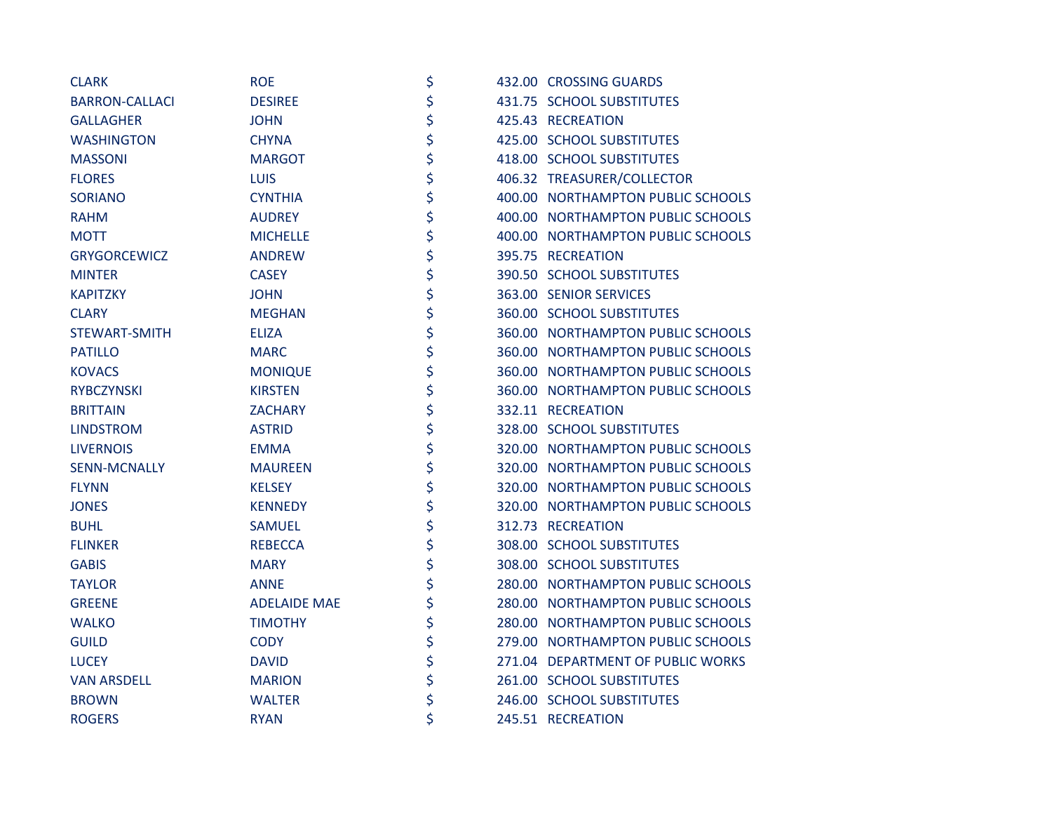| <b>CLARK</b>          | <b>ROE</b>          | \$ | 432.00 CROSSING GUARDS            |
|-----------------------|---------------------|----|-----------------------------------|
| <b>BARRON-CALLACI</b> | <b>DESIREE</b>      | \$ | 431.75 SCHOOL SUBSTITUTES         |
| <b>GALLAGHER</b>      | <b>JOHN</b>         | \$ | 425.43 RECREATION                 |
| <b>WASHINGTON</b>     | <b>CHYNA</b>        | \$ | 425.00 SCHOOL SUBSTITUTES         |
| <b>MASSONI</b>        | <b>MARGOT</b>       | \$ | 418.00 SCHOOL SUBSTITUTES         |
| <b>FLORES</b>         | <b>LUIS</b>         | \$ | 406.32 TREASURER/COLLECTOR        |
| <b>SORIANO</b>        | <b>CYNTHIA</b>      | \$ | 400.00 NORTHAMPTON PUBLIC SCHOOLS |
| <b>RAHM</b>           | <b>AUDREY</b>       | \$ | 400.00 NORTHAMPTON PUBLIC SCHOOLS |
| <b>MOTT</b>           | <b>MICHELLE</b>     | \$ | 400.00 NORTHAMPTON PUBLIC SCHOOLS |
| <b>GRYGORCEWICZ</b>   | <b>ANDREW</b>       | \$ | 395.75 RECREATION                 |
| <b>MINTER</b>         | <b>CASEY</b>        | \$ | 390.50 SCHOOL SUBSTITUTES         |
| <b>KAPITZKY</b>       | <b>JOHN</b>         | \$ | 363.00 SENIOR SERVICES            |
| <b>CLARY</b>          | <b>MEGHAN</b>       | \$ | 360.00 SCHOOL SUBSTITUTES         |
| <b>STEWART-SMITH</b>  | <b>ELIZA</b>        | \$ | 360.00 NORTHAMPTON PUBLIC SCHOOLS |
| <b>PATILLO</b>        | <b>MARC</b>         | \$ | 360.00 NORTHAMPTON PUBLIC SCHOOLS |
| <b>KOVACS</b>         | <b>MONIQUE</b>      | \$ | 360.00 NORTHAMPTON PUBLIC SCHOOLS |
| <b>RYBCZYNSKI</b>     | <b>KIRSTEN</b>      | \$ | 360.00 NORTHAMPTON PUBLIC SCHOOLS |
| <b>BRITTAIN</b>       | <b>ZACHARY</b>      | \$ | 332.11 RECREATION                 |
| <b>LINDSTROM</b>      | <b>ASTRID</b>       | \$ | 328.00 SCHOOL SUBSTITUTES         |
| <b>LIVERNOIS</b>      | <b>EMMA</b>         | \$ | 320.00 NORTHAMPTON PUBLIC SCHOOLS |
| <b>SENN-MCNALLY</b>   | <b>MAUREEN</b>      | \$ | 320.00 NORTHAMPTON PUBLIC SCHOOLS |
| <b>FLYNN</b>          | <b>KELSEY</b>       | \$ | 320.00 NORTHAMPTON PUBLIC SCHOOLS |
| <b>JONES</b>          | <b>KENNEDY</b>      | \$ | 320.00 NORTHAMPTON PUBLIC SCHOOLS |
| <b>BUHL</b>           | <b>SAMUEL</b>       | \$ | 312.73 RECREATION                 |
| <b>FLINKER</b>        | <b>REBECCA</b>      | \$ | 308.00 SCHOOL SUBSTITUTES         |
| <b>GABIS</b>          | <b>MARY</b>         | \$ | 308.00 SCHOOL SUBSTITUTES         |
| <b>TAYLOR</b>         | <b>ANNE</b>         | \$ | 280.00 NORTHAMPTON PUBLIC SCHOOLS |
| <b>GREENE</b>         | <b>ADELAIDE MAE</b> | \$ | 280.00 NORTHAMPTON PUBLIC SCHOOLS |
| <b>WALKO</b>          | <b>TIMOTHY</b>      | \$ | 280.00 NORTHAMPTON PUBLIC SCHOOLS |
| <b>GUILD</b>          | <b>CODY</b>         | \$ | 279.00 NORTHAMPTON PUBLIC SCHOOLS |
| <b>LUCEY</b>          | <b>DAVID</b>        | \$ | 271.04 DEPARTMENT OF PUBLIC WORKS |
| <b>VAN ARSDELL</b>    | <b>MARION</b>       | \$ | 261.00 SCHOOL SUBSTITUTES         |
| <b>BROWN</b>          | <b>WALTER</b>       | \$ | 246.00 SCHOOL SUBSTITUTES         |
| <b>ROGERS</b>         | <b>RYAN</b>         | \$ | 245.51 RECREATION                 |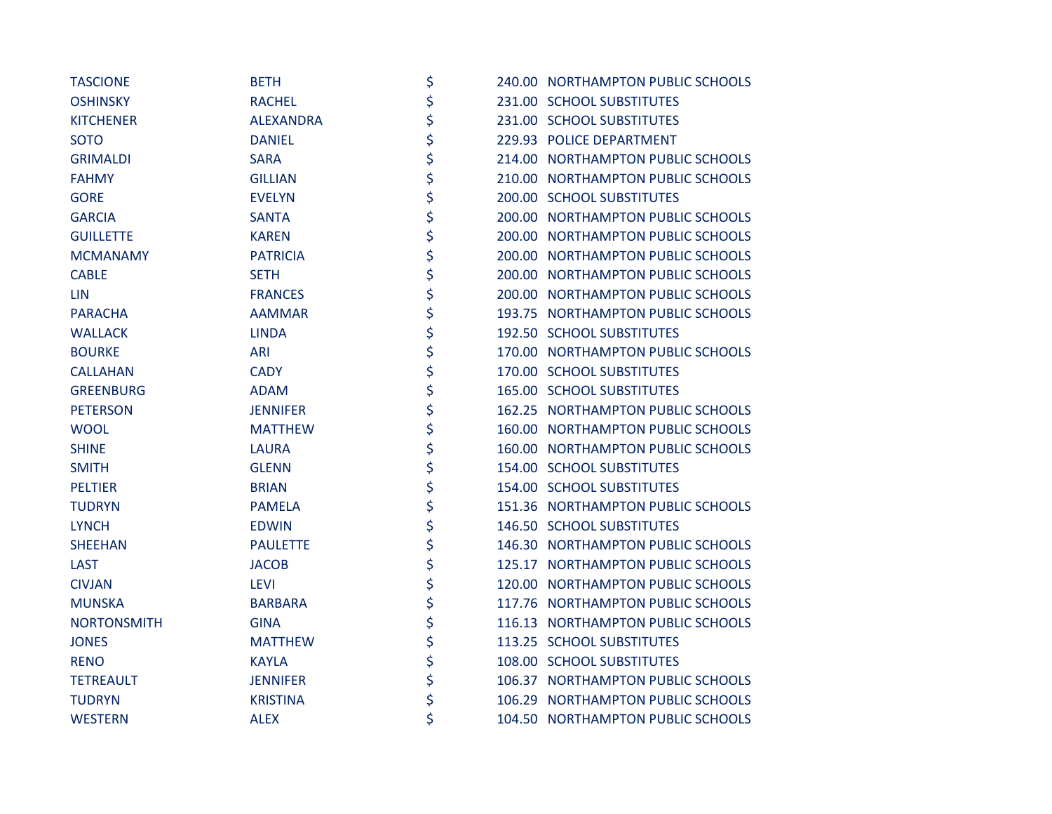| <b>TASCIONE</b>    | <b>BETH</b>      | \$ | 240.00 NORTHAMPTON PUBLIC SCHOOLS |
|--------------------|------------------|----|-----------------------------------|
| <b>OSHINSKY</b>    | <b>RACHEL</b>    | \$ | 231.00 SCHOOL SUBSTITUTES         |
| <b>KITCHENER</b>   | <b>ALEXANDRA</b> | \$ | 231.00 SCHOOL SUBSTITUTES         |
| <b>SOTO</b>        | <b>DANIEL</b>    | \$ | 229.93 POLICE DEPARTMENT          |
| <b>GRIMALDI</b>    | <b>SARA</b>      | \$ | 214.00 NORTHAMPTON PUBLIC SCHOOLS |
| <b>FAHMY</b>       | <b>GILLIAN</b>   | \$ | 210.00 NORTHAMPTON PUBLIC SCHOOLS |
| <b>GORE</b>        | <b>EVELYN</b>    | \$ | 200.00 SCHOOL SUBSTITUTES         |
| <b>GARCIA</b>      | <b>SANTA</b>     | \$ | 200.00 NORTHAMPTON PUBLIC SCHOOLS |
| <b>GUILLETTE</b>   | <b>KAREN</b>     | \$ | 200.00 NORTHAMPTON PUBLIC SCHOOLS |
| <b>MCMANAMY</b>    | <b>PATRICIA</b>  | \$ | 200.00 NORTHAMPTON PUBLIC SCHOOLS |
| <b>CABLE</b>       | <b>SETH</b>      | \$ | 200.00 NORTHAMPTON PUBLIC SCHOOLS |
| <b>LIN</b>         | <b>FRANCES</b>   | \$ | 200.00 NORTHAMPTON PUBLIC SCHOOLS |
| <b>PARACHA</b>     | <b>AAMMAR</b>    | \$ | 193.75 NORTHAMPTON PUBLIC SCHOOLS |
| <b>WALLACK</b>     | <b>LINDA</b>     | \$ | 192.50 SCHOOL SUBSTITUTES         |
| <b>BOURKE</b>      | <b>ARI</b>       | \$ | 170.00 NORTHAMPTON PUBLIC SCHOOLS |
| <b>CALLAHAN</b>    | <b>CADY</b>      | \$ | 170.00 SCHOOL SUBSTITUTES         |
| <b>GREENBURG</b>   | <b>ADAM</b>      | \$ | 165.00 SCHOOL SUBSTITUTES         |
| <b>PETERSON</b>    | <b>JENNIFER</b>  | \$ | 162.25 NORTHAMPTON PUBLIC SCHOOLS |
| <b>WOOL</b>        | <b>MATTHEW</b>   | \$ | 160.00 NORTHAMPTON PUBLIC SCHOOLS |
| <b>SHINE</b>       | <b>LAURA</b>     | \$ | 160.00 NORTHAMPTON PUBLIC SCHOOLS |
| <b>SMITH</b>       | <b>GLENN</b>     | \$ | 154.00 SCHOOL SUBSTITUTES         |
| <b>PELTIER</b>     | <b>BRIAN</b>     | \$ | 154.00 SCHOOL SUBSTITUTES         |
| <b>TUDRYN</b>      | <b>PAMELA</b>    | \$ | 151.36 NORTHAMPTON PUBLIC SCHOOLS |
| <b>LYNCH</b>       | <b>EDWIN</b>     | \$ | 146.50 SCHOOL SUBSTITUTES         |
| <b>SHEEHAN</b>     | <b>PAULETTE</b>  | \$ | 146.30 NORTHAMPTON PUBLIC SCHOOLS |
| <b>LAST</b>        | <b>JACOB</b>     | \$ | 125.17 NORTHAMPTON PUBLIC SCHOOLS |
| <b>CIVJAN</b>      | <b>LEVI</b>      | \$ | 120.00 NORTHAMPTON PUBLIC SCHOOLS |
| <b>MUNSKA</b>      | <b>BARBARA</b>   | \$ | 117.76 NORTHAMPTON PUBLIC SCHOOLS |
| <b>NORTONSMITH</b> | <b>GINA</b>      | \$ | 116.13 NORTHAMPTON PUBLIC SCHOOLS |
| <b>JONES</b>       | <b>MATTHEW</b>   | \$ | 113.25 SCHOOL SUBSTITUTES         |
| <b>RENO</b>        | <b>KAYLA</b>     | \$ | 108.00 SCHOOL SUBSTITUTES         |
| <b>TETREAULT</b>   | <b>JENNIFER</b>  | \$ | 106.37 NORTHAMPTON PUBLIC SCHOOLS |
| <b>TUDRYN</b>      | <b>KRISTINA</b>  | \$ | 106.29 NORTHAMPTON PUBLIC SCHOOLS |
| <b>WESTERN</b>     | <b>ALEX</b>      | \$ | 104.50 NORTHAMPTON PUBLIC SCHOOLS |